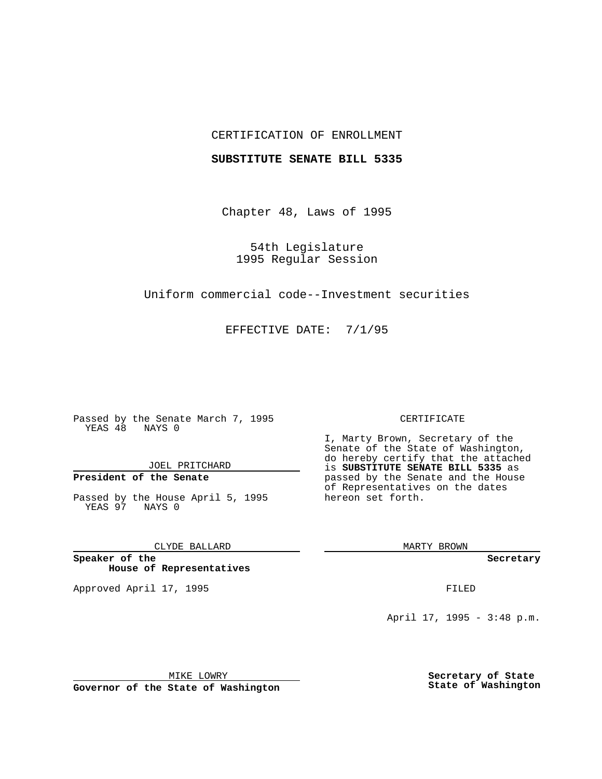## CERTIFICATION OF ENROLLMENT

## **SUBSTITUTE SENATE BILL 5335**

Chapter 48, Laws of 1995

54th Legislature 1995 Regular Session

Uniform commercial code--Investment securities

EFFECTIVE DATE: 7/1/95

Passed by the Senate March 7, 1995 YEAS 48 NAYS 0

JOEL PRITCHARD

# **President of the Senate**

Passed by the House April 5, 1995 YEAS 97 NAYS 0

CLYDE BALLARD

**Speaker of the House of Representatives**

Approved April 17, 1995 **FILED** 

#### CERTIFICATE

I, Marty Brown, Secretary of the Senate of the State of Washington, do hereby certify that the attached is **SUBSTITUTE SENATE BILL 5335** as passed by the Senate and the House of Representatives on the dates hereon set forth.

MARTY BROWN

**Secretary**

April 17, 1995 - 3:48 p.m.

MIKE LOWRY

**Governor of the State of Washington**

**Secretary of State State of Washington**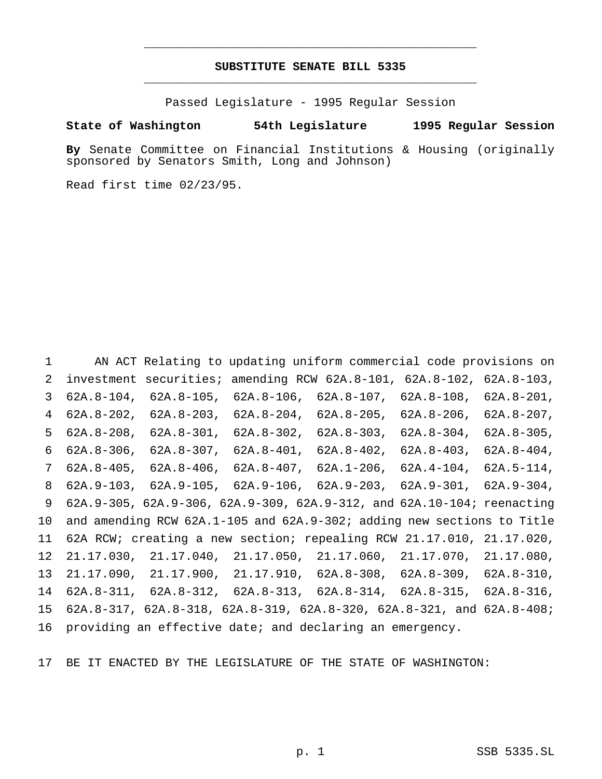## **SUBSTITUTE SENATE BILL 5335** \_\_\_\_\_\_\_\_\_\_\_\_\_\_\_\_\_\_\_\_\_\_\_\_\_\_\_\_\_\_\_\_\_\_\_\_\_\_\_\_\_\_\_\_\_\_\_

\_\_\_\_\_\_\_\_\_\_\_\_\_\_\_\_\_\_\_\_\_\_\_\_\_\_\_\_\_\_\_\_\_\_\_\_\_\_\_\_\_\_\_\_\_\_\_

Passed Legislature - 1995 Regular Session

#### **State of Washington 54th Legislature 1995 Regular Session**

**By** Senate Committee on Financial Institutions & Housing (originally sponsored by Senators Smith, Long and Johnson)

Read first time 02/23/95.

 AN ACT Relating to updating uniform commercial code provisions on investment securities; amending RCW 62A.8-101, 62A.8-102, 62A.8-103, 62A.8-104, 62A.8-105, 62A.8-106, 62A.8-107, 62A.8-108, 62A.8-201, 62A.8-202, 62A.8-203, 62A.8-204, 62A.8-205, 62A.8-206, 62A.8-207, 62A.8-208, 62A.8-301, 62A.8-302, 62A.8-303, 62A.8-304, 62A.8-305, 62A.8-306, 62A.8-307, 62A.8-401, 62A.8-402, 62A.8-403, 62A.8-404, 62A.8-405, 62A.8-406, 62A.8-407, 62A.1-206, 62A.4-104, 62A.5-114, 62A.9-103, 62A.9-105, 62A.9-106, 62A.9-203, 62A.9-301, 62A.9-304, 62A.9-305, 62A.9-306, 62A.9-309, 62A.9-312, and 62A.10-104; reenacting and amending RCW 62A.1-105 and 62A.9-302; adding new sections to Title 62A RCW; creating a new section; repealing RCW 21.17.010, 21.17.020, 21.17.030, 21.17.040, 21.17.050, 21.17.060, 21.17.070, 21.17.080, 21.17.090, 21.17.900, 21.17.910, 62A.8-308, 62A.8-309, 62A.8-310, 62A.8-311, 62A.8-312, 62A.8-313, 62A.8-314, 62A.8-315, 62A.8-316, 62A.8-317, 62A.8-318, 62A.8-319, 62A.8-320, 62A.8-321, and 62A.8-408; providing an effective date; and declaring an emergency.

BE IT ENACTED BY THE LEGISLATURE OF THE STATE OF WASHINGTON: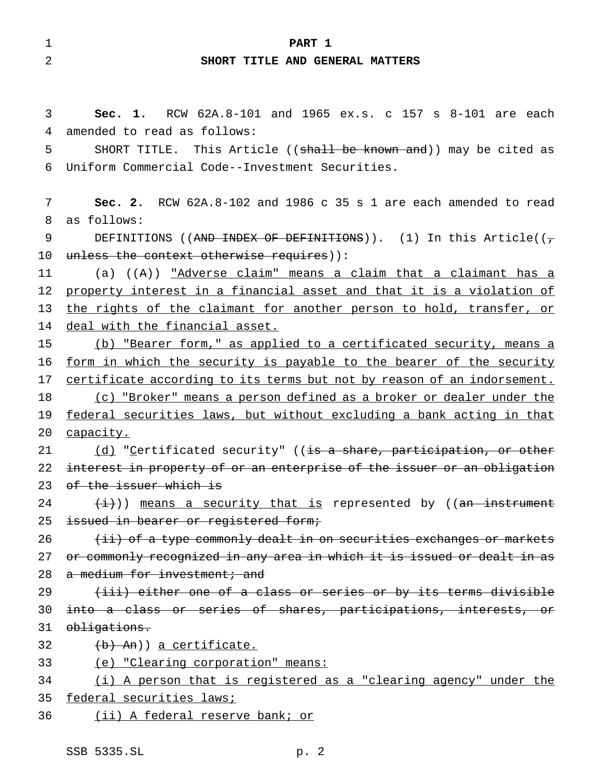1 **PART 1** 2 **SHORT TITLE AND GENERAL MATTERS** 3 **Sec. 1.** RCW 62A.8-101 and 1965 ex.s. c 157 s 8-101 are each 4 amended to read as follows: 5 SHORT TITLE. This Article ((shall be known and)) may be cited as 6 Uniform Commercial Code--Investment Securities. 7 **Sec. 2.** RCW 62A.8-102 and 1986 c 35 s 1 are each amended to read 8 as follows: 9 DEFINITIONS ((AND INDEX OF DEFINITIONS)). (1) In this Article( $(\tau$ 10 unless the context otherwise requires)): 11 (a) ((A)) "Adverse claim" means a claim that a claimant has a 12 property interest in a financial asset and that it is a violation of 13 the rights of the claimant for another person to hold, transfer, or 14 deal with the financial asset. 15 (b) "Bearer form," as applied to a certificated security, means a 16 form in which the security is payable to the bearer of the security 17 certificate according to its terms but not by reason of an indorsement. 18 (c) "Broker" means a person defined as a broker or dealer under the 19 federal securities laws, but without excluding a bank acting in that 20 capacity. 21 (d) "Certificated security" ((is a share, participation, or other 22 interest in property of or an enterprise of the issuer or an obligation 23 of the issuer which is  $24$   $(\frac{1}{1})$ ) means a security that is represented by ((an instrument 25 issued in bearer or registered form; 26 (ii) of a type commonly dealt in on securities exchanges or markets 27 or commonly recognized in any area in which it is issued or dealt in as 28 a medium for investment; and 29 (iii) either one of a class or series or by its terms divisible 30 into a class or series of shares, participations, interests, or 31 obligations.  $32$   $(b)$  An)) a certificate. 33 (e) "Clearing corporation" means: 34 (i) A person that is registered as a "clearing agency" under the 35 federal securities laws; 36 (ii) A federal reserve bank; or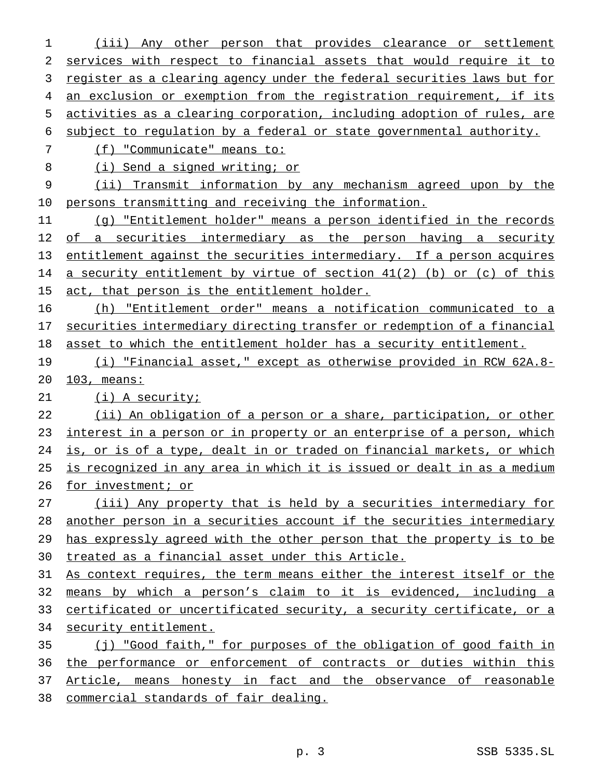(iii) Any other person that provides clearance or settlement services with respect to financial assets that would require it to register as a clearing agency under the federal securities laws but for an exclusion or exemption from the registration requirement, if its activities as a clearing corporation, including adoption of rules, are subject to regulation by a federal or state governmental authority. 7 (f) "Communicate" means to: (i) Send a signed writing; or (ii) Transmit information by any mechanism agreed upon by the 10 persons transmitting and receiving the information. (g) "Entitlement holder" means a person identified in the records 12 of a securities intermediary as the person having a security entitlement against the securities intermediary. If a person acquires a security entitlement by virtue of section 41(2) (b) or (c) of this 15 act, that person is the entitlement holder. (h) "Entitlement order" means a notification communicated to a securities intermediary directing transfer or redemption of a financial asset to which the entitlement holder has a security entitlement. (i) "Financial asset," except as otherwise provided in RCW 62A.8- 103, means: (i) A security; (ii) An obligation of a person or a share, participation, or other interest in a person or in property or an enterprise of a person, which is, or is of a type, dealt in or traded on financial markets, or which is recognized in any area in which it is issued or dealt in as a medium 26 for investment; or (iii) Any property that is held by a securities intermediary for another person in a securities account if the securities intermediary has expressly agreed with the other person that the property is to be treated as a financial asset under this Article. As context requires, the term means either the interest itself or the means by which a person's claim to it is evidenced, including a certificated or uncertificated security, a security certificate, or a security entitlement. (j) "Good faith," for purposes of the obligation of good faith in the performance or enforcement of contracts or duties within this 37 Article, means honesty in fact and the observance of reasonable

commercial standards of fair dealing.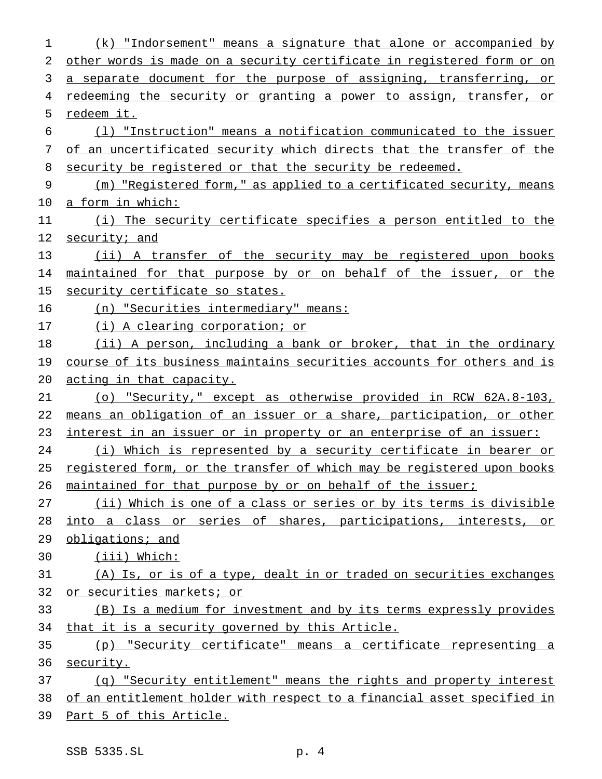(k) "Indorsement" means a signature that alone or accompanied by other words is made on a security certificate in registered form or on 3 a separate document for the purpose of assigning, transferring, or 4 redeeming the security or granting a power to assign, transfer, or redeem it. (l) "Instruction" means a notification communicated to the issuer of an uncertificated security which directs that the transfer of the 8 security be registered or that the security be redeemed. (m) "Registered form," as applied to a certificated security, means a form in which: (i) The security certificate specifies a person entitled to the 12 security; and (ii) A transfer of the security may be registered upon books 14 maintained for that purpose by or on behalf of the issuer, or the 15 security certificate so states. (n) "Securities intermediary" means: (i) A clearing corporation; or (ii) A person, including a bank or broker, that in the ordinary course of its business maintains securities accounts for others and is acting in that capacity. (o) "Security," except as otherwise provided in RCW 62A.8-103, means an obligation of an issuer or a share, participation, or other interest in an issuer or in property or an enterprise of an issuer: (i) Which is represented by a security certificate in bearer or registered form, or the transfer of which may be registered upon books 26 maintained for that purpose by or on behalf of the issuer; (ii) Which is one of a class or series or by its terms is divisible into a class or series of shares, participations, interests, or obligations; and (iii) Which: (A) Is, or is of a type, dealt in or traded on securities exchanges or securities markets; or (B) Is a medium for investment and by its terms expressly provides 34 that it is a security governed by this Article. (p) "Security certificate" means a certificate representing a 36 security. (q) "Security entitlement" means the rights and property interest of an entitlement holder with respect to a financial asset specified in Part 5 of this Article.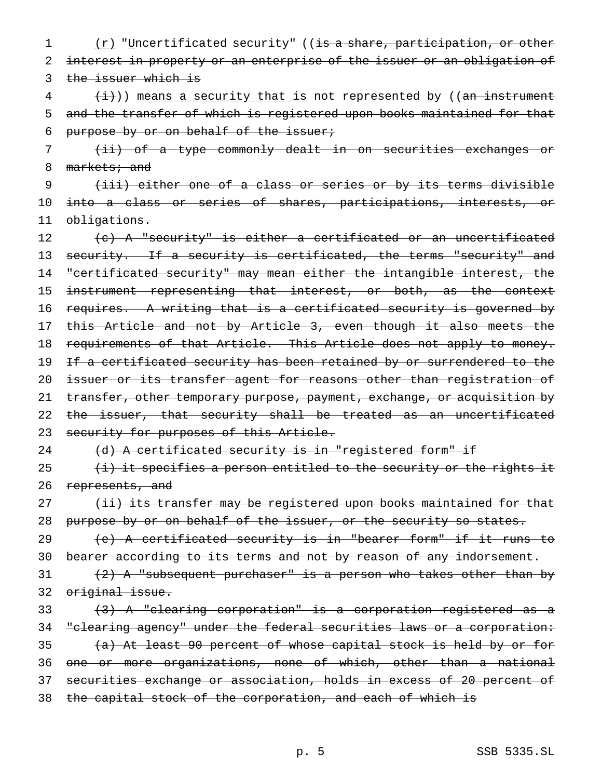1 (r) "Uncertificated security" ((is a share, participation, or other 2 interest in property or an enterprise of the issuer or an obligation of 3 the issuer which is

 $\frac{1}{i}$  (i)) means a security that is not represented by ((an instrument 5 and the transfer of which is registered upon books maintained for that 6 purpose by or on behalf of the issuer;

7 (ii) of a type commonly dealt in on securities exchanges or 8 markets; and

9 (iii) either one of a class or series or by its terms divisible 10 into a class or series of shares, participations, interests, or 11 obligations.

12 (c) A "security" is either a certificated or an uncertificated 13 security. If a security is certificated, the terms "security" and 14 "certificated security" may mean either the intangible interest, the 15 instrument representing that interest, or both, as the context 16 requires. A writing that is a certificated security is governed by 17 this Article and not by Article 3, even though it also meets the 18 requirements of that Article. This Article does not apply to money. 19 If a certificated security has been retained by or surrendered to the 20 issuer or its transfer agent for reasons other than registration of 21 transfer, other temporary purpose, payment, exchange, or acquisition by 22 the issuer, that security shall be treated as an uncertificated 23 security for purposes of this Article.

24  $(d)$  A certificated security is in "registered form" if

25  $\{i\}$  it specifies a person entitled to the security or the rights it 26 represents, and

27 (ii) its transfer may be registered upon books maintained for that 28 purpose by or on behalf of the issuer, or the security so states.

29 (e) A certificated security is in "bearer form" if it runs to 30 bearer according to its terms and not by reason of any indorsement.

31  $(2)$  A "subsequent purchaser" is a person who takes other than by 32 original issue.

 (3) A "clearing corporation" is a corporation registered as a "clearing agency" under the federal securities laws or a corporation: (a) At least 90 percent of whose capital stock is held by or for one or more organizations, none of which, other than a national securities exchange or association, holds in excess of 20 percent of the capital stock of the corporation, and each of which is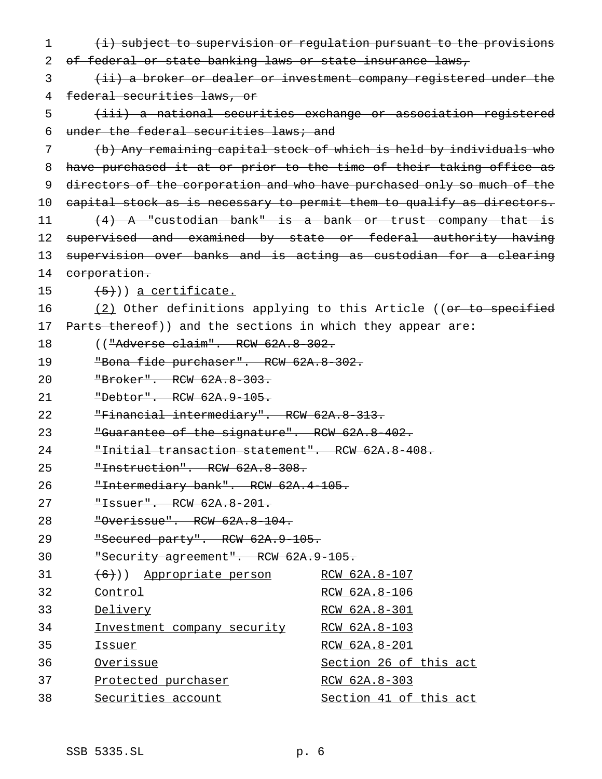(i) subject to supervision or regulation pursuant to the provisions of federal or state banking laws or state insurance laws, 3 (ii) a broker or dealer or investment company registered under the federal securities laws, or (iii) a national securities exchange or association registered 6 under the federal securities laws; and (b) Any remaining capital stock of which is held by individuals who have purchased it at or prior to the time of their taking office as 9 directors of the corporation and who have purchased only so much of the 10 capital stock as is necessary to permit them to qualify as directors. 11 (4) A "custodian bank" is a bank or trust company that is 12 supervised and examined by state or federal authority having supervision over banks and is acting as custodian for a clearing 14 corporation.  $(5)$ ) a certificate. 16 (2) Other definitions applying to this Article ((or to specified 17 Parts thereof)) and the sections in which they appear are: (("Adverse claim". RCW 62A.8-302. "Bona fide purchaser". RCW 62A.8-302. "Broker". RCW 62A.8-303. "Debtor". RCW 62A.9-105. "Financial intermediary". RCW 62A.8-313. "Guarantee of the signature". RCW 62A.8-402. "Initial transaction statement". RCW 62A.8-408. "Instruction". RCW 62A.8-308. "Intermediary bank". RCW 62A.4-105. "Issuer". RCW 62A.8-201. "Overissue". RCW 62A.8-104. "Secured party". RCW 62A.9-105. "Security agreement". RCW 62A.9-105. 31 (6)) Appropriate person RCW 62A.8-107 32 Control RCW 62A.8-106 Delivery RCW 62A.8-301 Investment company security RCW 62A.8-103 35 Issuer RCW 62A.8-201 36 Overissue Section 26 of this act 37 Protected purchaser RCW 62A.8-303

38 Securities account Section 41 of this act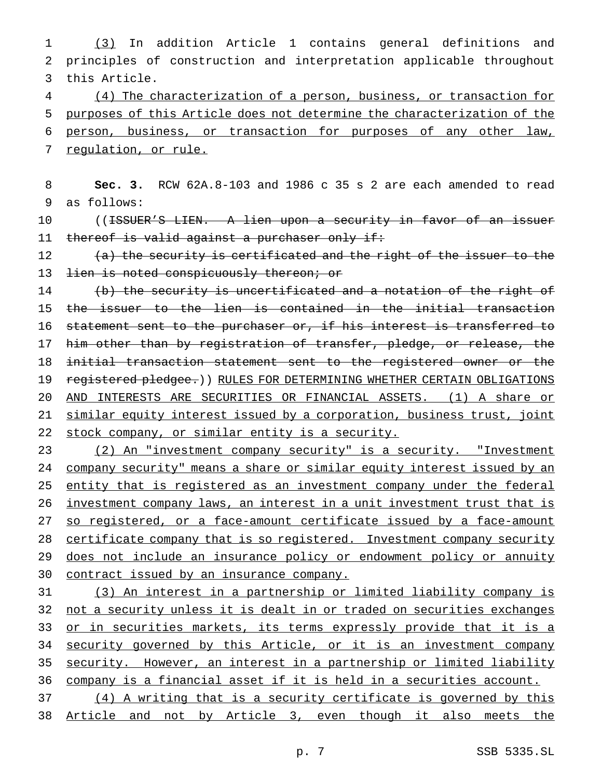(3) In addition Article 1 contains general definitions and principles of construction and interpretation applicable throughout this Article.

 (4) The characterization of a person, business, or transaction for purposes of this Article does not determine the characterization of the person, business, or transaction for purposes of any other law, regulation, or rule.

 **Sec. 3.** RCW 62A.8-103 and 1986 c 35 s 2 are each amended to read as follows:

10 ((ISSUER'S LIEN. A lien upon a security in favor of an issuer 11 thereof is valid against a purchaser only if:

 $(a)$  the security is certificated and the right of the issuer to the 13 <del>lien is noted conspicuously thereon; or</del>

 (b) the security is uncertificated and a notation of the right of the issuer to the lien is contained in the initial transaction 16 statement sent to the purchaser or, if his interest is transferred to 17 him other than by registration of transfer, pledge, or release, the initial transaction statement sent to the registered owner or the 19 registered pledgee.)) RULES FOR DETERMINING WHETHER CERTAIN OBLIGATIONS AND INTERESTS ARE SECURITIES OR FINANCIAL ASSETS. (1) A share or 21 similar equity interest issued by a corporation, business trust, joint 22 stock company, or similar entity is a security.

 (2) An "investment company security" is a security. "Investment 24 company security" means a share or similar equity interest issued by an 25 entity that is registered as an investment company under the federal investment company laws, an interest in a unit investment trust that is so registered, or a face-amount certificate issued by a face-amount 28 certificate company that is so registered. Investment company security does not include an insurance policy or endowment policy or annuity contract issued by an insurance company.

 (3) An interest in a partnership or limited liability company is not a security unless it is dealt in or traded on securities exchanges 33 or in securities markets, its terms expressly provide that it is a security governed by this Article, or it is an investment company security. However, an interest in a partnership or limited liability company is a financial asset if it is held in a securities account. (4) A writing that is a security certificate is governed by this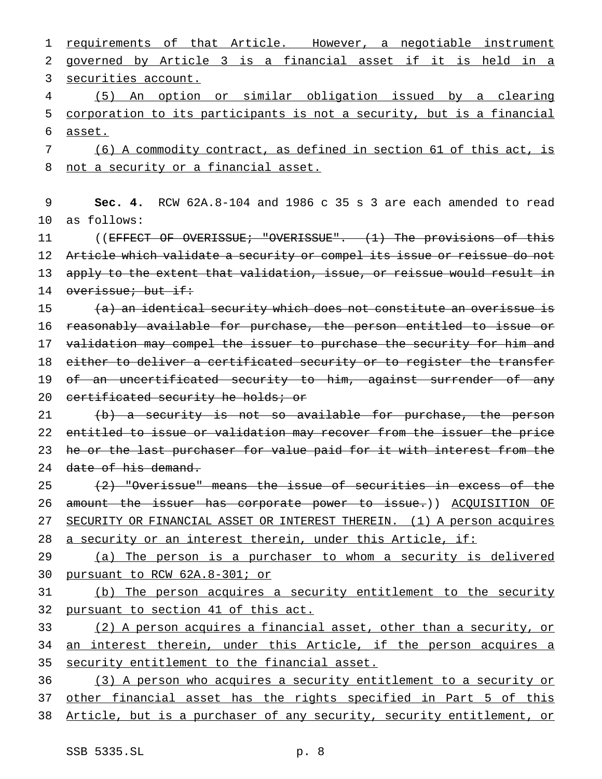requirements of that Article. However, a negotiable instrument governed by Article 3 is a financial asset if it is held in a securities account. (5) An option or similar obligation issued by a clearing corporation to its participants is not a security, but is a financial asset. (6) A commodity contract, as defined in section 61 of this act, is 8 not a security or a financial asset. **Sec. 4.** RCW 62A.8-104 and 1986 c 35 s 3 are each amended to read as follows: 11 ((EFFECT OF OVERISSUE; "OVERISSUE". (1) The provisions of this Article which validate a security or compel its issue or reissue do not 13 apply to the extent that validation, issue, or reissue would result in 14 overissue; but if: (a) an identical security which does not constitute an overissue is reasonably available for purchase, the person entitled to issue or 17 validation may compel the issuer to purchase the security for him and 18 either to deliver a certificated security or to register the transfer 19 of an uncertificated security to him, against surrender of any 20 certificated security he holds; or 21 (b) a security is not so available for purchase, the person entitled to issue or validation may recover from the issuer the price 23 he or the last purchaser for value paid for it with interest from the 24 date of his demand. (2) "Overissue" means the issue of securities in excess of the 26 amount the issuer has corporate power to issue.)) ACQUISITION OF SECURITY OR FINANCIAL ASSET OR INTEREST THEREIN. (1) A person acquires 28 a security or an interest therein, under this Article, if: (a) The person is a purchaser to whom a security is delivered pursuant to RCW 62A.8-301; or (b) The person acquires a security entitlement to the security pursuant to section 41 of this act. (2) A person acquires a financial asset, other than a security, or an interest therein, under this Article, if the person acquires a 35 security entitlement to the financial asset. (3) A person who acquires a security entitlement to a security or other financial asset has the rights specified in Part 5 of this Article, but is a purchaser of any security, security entitlement, or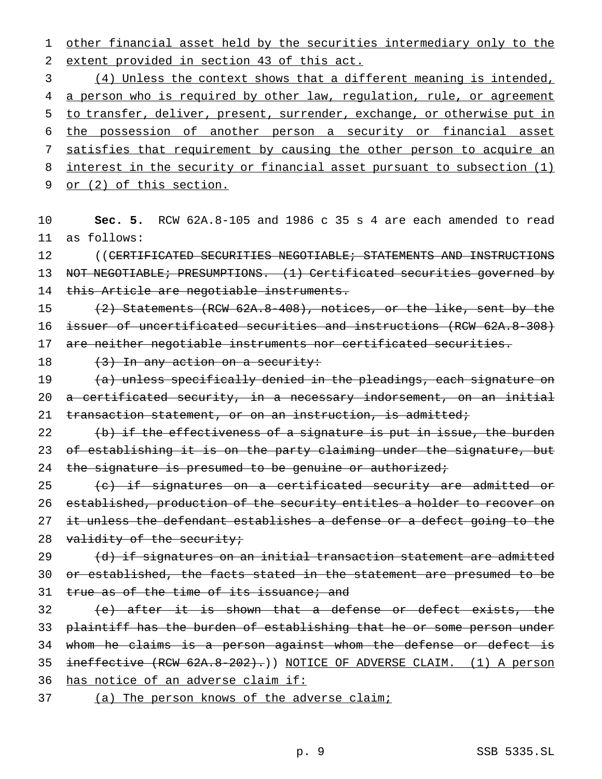1 other financial asset held by the securities intermediary only to the 2 extent provided in section 43 of this act.

 (4) Unless the context shows that a different meaning is intended, 4 a person who is required by other law, regulation, rule, or agreement to transfer, deliver, present, surrender, exchange, or otherwise put in the possession of another person a security or financial asset satisfies that requirement by causing the other person to acquire an interest in the security or financial asset pursuant to subsection (1) or (2) of this section.

10 **Sec. 5.** RCW 62A.8-105 and 1986 c 35 s 4 are each amended to read 11 as follows:

12 ((CERTIFICATED SECURITIES NEGOTIABLE; STATEMENTS AND INSTRUCTIONS 13 NOT NEGOTIABLE; PRESUMPTIONS. (1) Certificated securities governed by 14 this Article are negotiable instruments.

15 (2) Statements (RCW 62A.8-408), notices, or the like, sent by the 16 issuer of uncertificated securities and instructions (RCW 62A.8-308) 17 are neither negotiable instruments nor certificated securities.

18 (3) In any action on a security:

19 (a) unless specifically denied in the pleadings, each signature on 20 a certificated security, in a necessary indorsement, on an initial 21  $transaction statement, or on an instruction, is admitted;$ 

22  $(b)$  if the effectiveness of a signature is put in issue, the burden 23 of establishing it is on the party claiming under the signature, but 24 the signature is presumed to be genuine or authorized;

25 (c) if signatures on a certificated security are admitted or 26 established, production of the security entitles a holder to recover on 27 it unless the defendant establishes a defense or a defect going to the 28 validity of the security;

29 (d) if signatures on an initial transaction statement are admitted 30 or established, the facts stated in the statement are presumed to be 31 true as of the time of its issuance; and

 (e) after it is shown that a defense or defect exists, the plaintiff has the burden of establishing that he or some person under whom he claims is a person against whom the defense or defect is 35 ineffective (RCW 62A.8-202).)) NOTICE OF ADVERSE CLAIM. (1) A person has notice of an adverse claim if:

37 (a) The person knows of the adverse claim;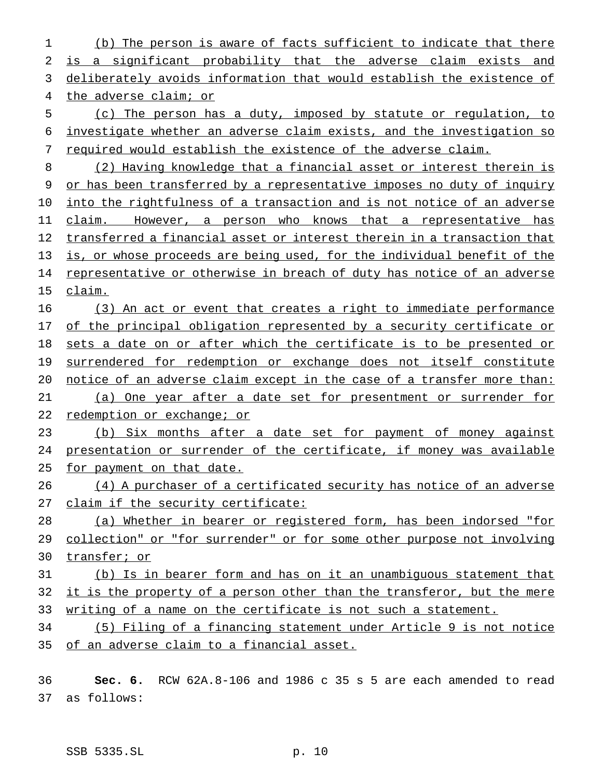(b) The person is aware of facts sufficient to indicate that there is a significant probability that the adverse claim exists and deliberately avoids information that would establish the existence of the adverse claim; or (c) The person has a duty, imposed by statute or regulation, to

 investigate whether an adverse claim exists, and the investigation so required would establish the existence of the adverse claim.

 (2) Having knowledge that a financial asset or interest therein is or has been transferred by a representative imposes no duty of inquiry into the rightfulness of a transaction and is not notice of an adverse 11 claim. However, a person who knows that a representative has transferred a financial asset or interest therein in a transaction that is, or whose proceeds are being used, for the individual benefit of the 14 representative or otherwise in breach of duty has notice of an adverse claim.

 (3) An act or event that creates a right to immediate performance of the principal obligation represented by a security certificate or 18 sets a date on or after which the certificate is to be presented or 19 surrendered for redemption or exchange does not itself constitute notice of an adverse claim except in the case of a transfer more than: (a) One year after a date set for presentment or surrender for 22 redemption or exchange; or

 (b) Six months after a date set for payment of money against presentation or surrender of the certificate, if money was available for payment on that date.

26 (4) A purchaser of a certificated security has notice of an adverse claim if the security certificate:

 (a) Whether in bearer or registered form, has been indorsed "for 29 collection" or "for surrender" or for some other purpose not involving transfer; or

 (b) Is in bearer form and has on it an unambiguous statement that 32 it is the property of a person other than the transferor, but the mere writing of a name on the certificate is not such a statement.

 (5) Filing of a financing statement under Article 9 is not notice of an adverse claim to a financial asset.

 **Sec. 6.** RCW 62A.8-106 and 1986 c 35 s 5 are each amended to read as follows: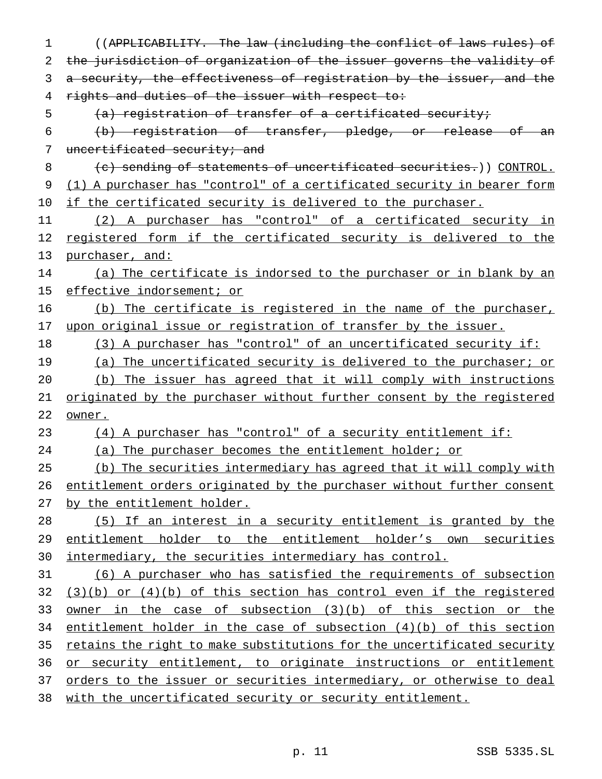| $\mathbf{1}$ | ((APPLICABILITY. The law (including the conflict of laws rules) of      |
|--------------|-------------------------------------------------------------------------|
| 2            | the jurisdiction of organization of the issuer governs the validity of  |
| 3            | a security, the effectiveness of registration by the issuer, and the    |
| 4            | rights and duties of the issuer with respect to:                        |
| 5            | (a) registration of transfer of a certificated security;                |
| 6            | (b) registration of transfer, pledge, or release of an                  |
| 7            | uncertificated security; and                                            |
| 8            | (c) sending of statements of uncertificated securities.) CONTROL.       |
| 9            | (1) A purchaser has "control" of a certificated security in bearer form |
| 10           | if the certificated security is delivered to the purchaser.             |
| 11           | (2) A purchaser has "control" of a certificated security in             |
| 12           | registered form if the certificated security is delivered to the        |
| 13           | purchaser, and:                                                         |
| 14           | (a) The certificate is indorsed to the purchaser or in blank by an      |
| 15           | effective indorsement; or                                               |
| 16           | (b) The certificate is registered in the name of the purchaser,         |
| 17           | upon original issue or registration of transfer by the issuer.          |
| 18           | (3) A purchaser has "control" of an uncertificated security if:         |
| 19           | The uncertificated security is delivered to the purchaser; or<br>(a)    |
| 20           | The issuer has agreed that it will comply with instructions<br>(b)      |
| 21           | originated by the purchaser without further consent by the registered   |
| 22           | owner.                                                                  |
| 23           | (4) A purchaser has "control" of a security entitlement if:             |
| 24           | The purchaser becomes the entitlement holder; or<br>(a)                 |
| 25           | (b) The securities intermediary has agreed that it will comply with     |
| 26           | entitlement orders originated by the purchaser without further consent  |
| 27           | by the entitlement holder.                                              |
| 28           | (5) If an interest in a security entitlement is granted by the          |
| 29           | entitlement holder to the entitlement holder's own securities           |
| 30           | intermediary, the securities intermediary has control.                  |
| 31           | (6) A purchaser who has satisfied the requirements of subsection        |
| 32           | $(3)(b)$ or $(4)(b)$ of this section has control even if the registered |
| 33           | owner in the case of subsection $(3)(b)$ of this section or the         |
| 34           | entitlement holder in the case of subsection $(4)(b)$ of this section   |
| 35           | retains the right to make substitutions for the uncertificated security |
| 36           | or security entitlement, to originate instructions or entitlement       |
| 37           | orders to the issuer or securities intermediary, or otherwise to deal   |
| 38           | with the uncertificated security or security entitlement.               |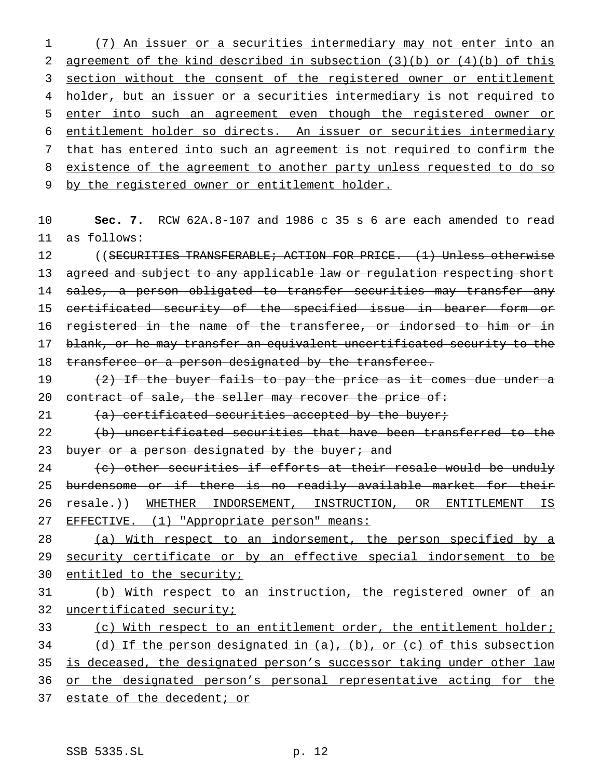(7) An issuer or a securities intermediary may not enter into an agreement of the kind described in subsection (3)(b) or (4)(b) of this 3 section without the consent of the registered owner or entitlement 4 holder, but an issuer or a securities intermediary is not required to enter into such an agreement even though the registered owner or entitlement holder so directs. An issuer or securities intermediary that has entered into such an agreement is not required to confirm the existence of the agreement to another party unless requested to do so by the registered owner or entitlement holder.

10 **Sec. 7.** RCW 62A.8-107 and 1986 c 35 s 6 are each amended to read 11 as follows:

12 ((SECURITIES TRANSFERABLE; ACTION FOR PRICE. (1) Unless otherwise 13 agreed and subject to any applicable law or regulation respecting short 14 sales, a person obligated to transfer securities may transfer any 15 certificated security of the specified issue in bearer form or 16 registered in the name of the transferee, or indorsed to him or in 17 blank, or he may transfer an equivalent uncertificated security to the 18 transferee or a person designated by the transferee.

19  $(2)$  If the buyer fails to pay the price as it comes due under a 20 contract of sale, the seller may recover the price of:

21  $(a)$  certificated securities accepted by the buyer;

22 (b) uncertificated securities that have been transferred to the 23 buyer or a person designated by the buyer; and

24 (c) other securities if efforts at their resale would be unduly 25 burdensome or if there is no readily available market for their 26 resale.)) WHETHER INDORSEMENT, INSTRUCTION, OR ENTITLEMENT IS 27 EFFECTIVE. (1) "Appropriate person" means:

28 (a) With respect to an indorsement, the person specified by a 29 security certificate or by an effective special indorsement to be 30 entitled to the security;

31 (b) With respect to an instruction, the registered owner of an 32 uncertificated security;

33 (c) With respect to an entitlement order, the entitlement holder; 34 (d) If the person designated in (a), (b), or (c) of this subsection 35 is deceased, the designated person's successor taking under other law 36 or the designated person's personal representative acting for the 37 estate of the decedent; or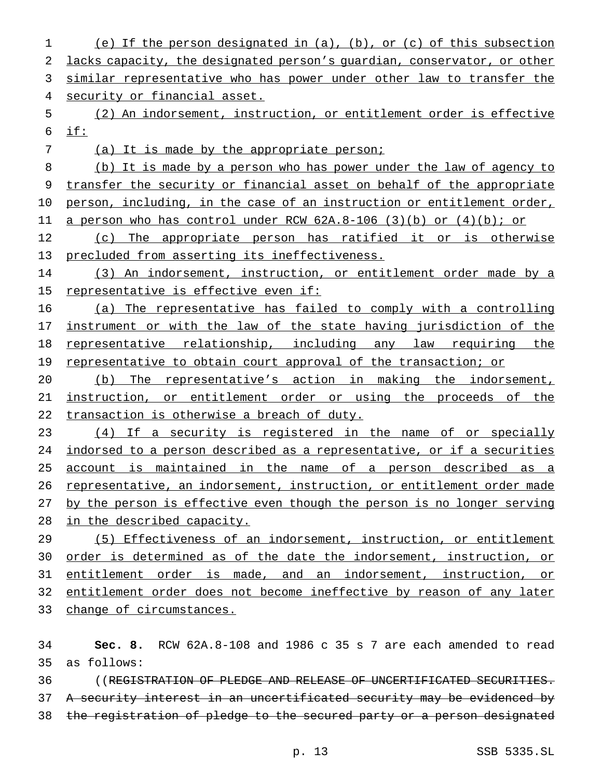(e) If the person designated in (a), (b), or (c) of this subsection lacks capacity, the designated person's guardian, conservator, or other similar representative who has power under other law to transfer the security or financial asset.

 (2) An indorsement, instruction, or entitlement order is effective if:

7 (a) It is made by the appropriate person;

 (b) It is made by a person who has power under the law of agency to transfer the security or financial asset on behalf of the appropriate person, including, in the case of an instruction or entitlement order, 11 a person who has control under RCW  $62A.8-106$  (3)(b) or  $(4)(b)$ ; or

 (c) The appropriate person has ratified it or is otherwise 13 precluded from asserting its ineffectiveness.

 (3) An indorsement, instruction, or entitlement order made by a 15 representative is effective even if:

 (a) The representative has failed to comply with a controlling 17 instrument or with the law of the state having jurisdiction of the representative relationship, including any law requiring the 19 representative to obtain court approval of the transaction; or

 (b) The representative's action in making the indorsement, instruction, or entitlement order or using the proceeds of the transaction is otherwise a breach of duty.

 (4) If a security is registered in the name of or specially indorsed to a person described as a representative, or if a securities account is maintained in the name of a person described as a representative, an indorsement, instruction, or entitlement order made by the person is effective even though the person is no longer serving in the described capacity.

 (5) Effectiveness of an indorsement, instruction, or entitlement order is determined as of the date the indorsement, instruction, or entitlement order is made, and an indorsement, instruction, or entitlement order does not become ineffective by reason of any later change of circumstances.

 **Sec. 8.** RCW 62A.8-108 and 1986 c 35 s 7 are each amended to read as follows:

 ((REGISTRATION OF PLEDGE AND RELEASE OF UNCERTIFICATED SECURITIES. A security interest in an uncertificated security may be evidenced by the registration of pledge to the secured party or a person designated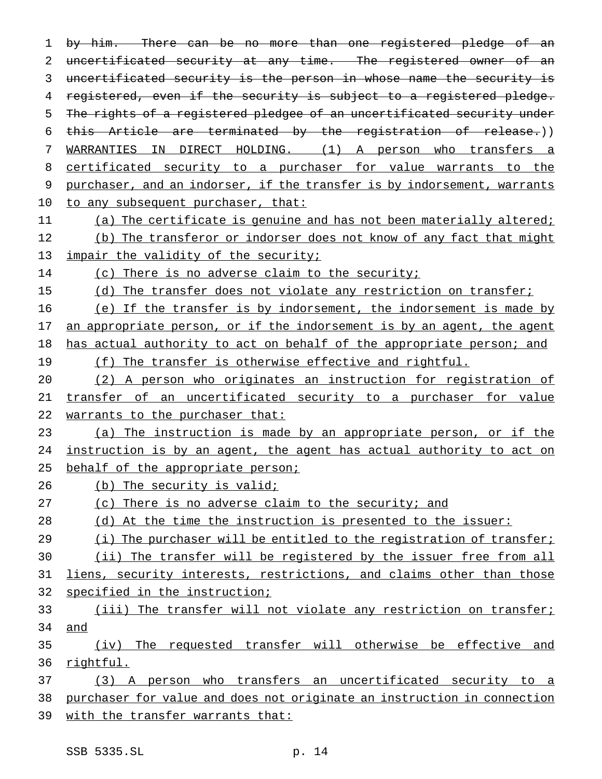1 by him. There can be no more than one registered pledge of an 2 uncertificated security at any time. The registered owner of an uncertificated security is the person in whose name the security is 4 registered, even if the security is subject to a registered pledge. The rights of a registered pledgee of an uncertificated security under this Article are terminated by the registration of release.)) WARRANTIES IN DIRECT HOLDING. (1) A person who transfers a certificated security to a purchaser for value warrants to the purchaser, and an indorser, if the transfer is by indorsement, warrants 10 to any subsequent purchaser, that: (a) The certificate is genuine and has not been materially altered; (b) The transferor or indorser does not know of any fact that might 13 impair the validity of the security; 14 (c) There is no adverse claim to the security; 15 (d) The transfer does not violate any restriction on transfer; (e) If the transfer is by indorsement, the indorsement is made by 17 an appropriate person, or if the indorsement is by an agent, the agent has actual authority to act on behalf of the appropriate person; and (f) The transfer is otherwise effective and rightful. (2) A person who originates an instruction for registration of transfer of an uncertificated security to a purchaser for value warrants to the purchaser that: (a) The instruction is made by an appropriate person, or if the instruction is by an agent, the agent has actual authority to act on 25 behalf of the appropriate person; 26 (b) The security is valid; 27 (c) There is no adverse claim to the security; and (d) At the time the instruction is presented to the issuer: 29 (i) The purchaser will be entitled to the registration of transfer; 30 (ii) The transfer will be registered by the issuer free from all liens, security interests, restrictions, and claims other than those specified in the instruction; (iii) The transfer will not violate any restriction on transfer; and (iv) The requested transfer will otherwise be effective and 36 rightful. (3) A person who transfers an uncertificated security to a purchaser for value and does not originate an instruction in connection with the transfer warrants that: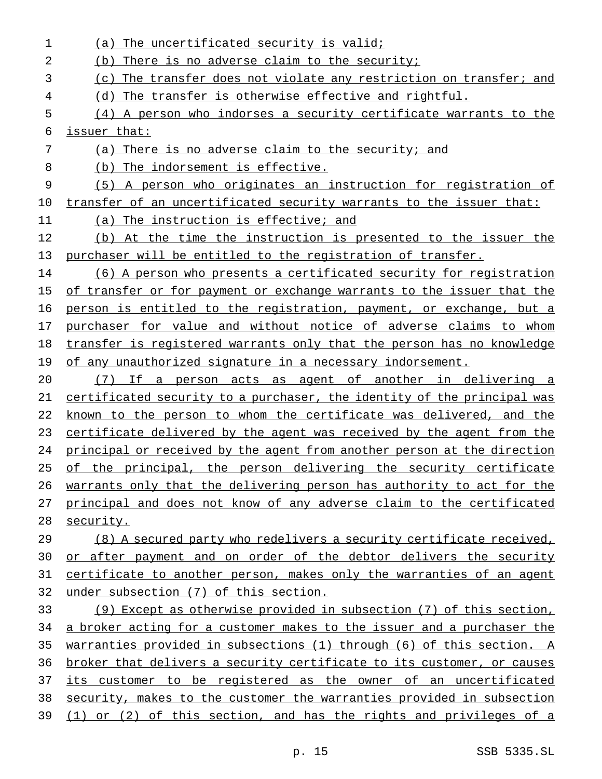(a) The uncertificated security is valid; (b) There is no adverse claim to the security; (c) The transfer does not violate any restriction on transfer; and (d) The transfer is otherwise effective and rightful. (4) A person who indorses a security certificate warrants to the issuer that: (a) There is no adverse claim to the security; and (b) The indorsement is effective. (5) A person who originates an instruction for registration of 10 transfer of an uncertificated security warrants to the issuer that: (a) The instruction is effective; and (b) At the time the instruction is presented to the issuer the 13 purchaser will be entitled to the registration of transfer. (6) A person who presents a certificated security for registration 15 of transfer or for payment or exchange warrants to the issuer that the person is entitled to the registration, payment, or exchange, but a 17 purchaser for value and without notice of adverse claims to whom transfer is registered warrants only that the person has no knowledge 19 of any unauthorized signature in a necessary indorsement. (7) If a person acts as agent of another in delivering a certificated security to a purchaser, the identity of the principal was known to the person to whom the certificate was delivered, and the certificate delivered by the agent was received by the agent from the principal or received by the agent from another person at the direction of the principal, the person delivering the security certificate warrants only that the delivering person has authority to act for the principal and does not know of any adverse claim to the certificated 28 security. (8) A secured party who redelivers a security certificate received, 30 or after payment and on order of the debtor delivers the security certificate to another person, makes only the warranties of an agent under subsection (7) of this section. (9) Except as otherwise provided in subsection (7) of this section, a broker acting for a customer makes to the issuer and a purchaser the warranties provided in subsections (1) through (6) of this section. A broker that delivers a security certificate to its customer, or causes its customer to be registered as the owner of an uncertificated security, makes to the customer the warranties provided in subsection 39 (1) or (2) of this section, and has the rights and privileges of a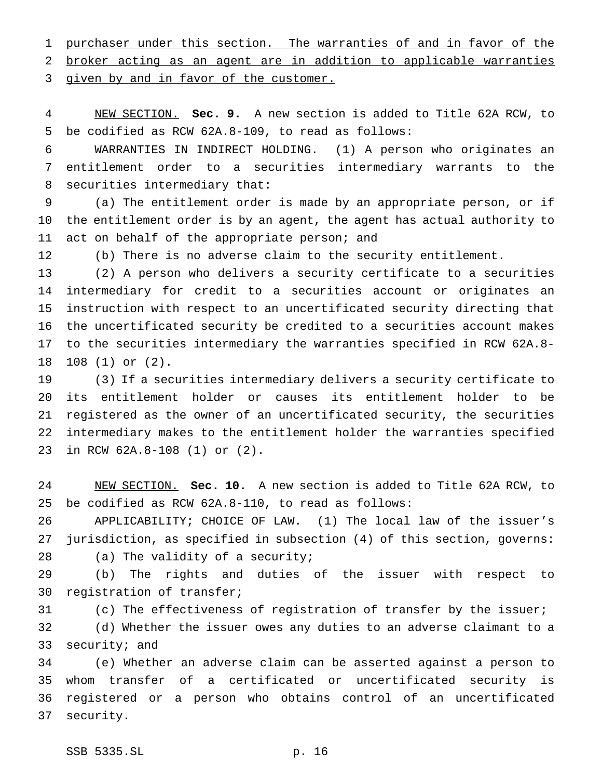1 purchaser under this section. The warranties of and in favor of the

 broker acting as an agent are in addition to applicable warranties 3 given by and in favor of the customer.

 NEW SECTION. **Sec. 9.** A new section is added to Title 62A RCW, to be codified as RCW 62A.8-109, to read as follows:

 WARRANTIES IN INDIRECT HOLDING. (1) A person who originates an entitlement order to a securities intermediary warrants to the securities intermediary that:

 (a) The entitlement order is made by an appropriate person, or if the entitlement order is by an agent, the agent has actual authority to 11 act on behalf of the appropriate person; and

(b) There is no adverse claim to the security entitlement.

 (2) A person who delivers a security certificate to a securities intermediary for credit to a securities account or originates an instruction with respect to an uncertificated security directing that the uncertificated security be credited to a securities account makes to the securities intermediary the warranties specified in RCW 62A.8- 108 (1) or (2).

 (3) If a securities intermediary delivers a security certificate to its entitlement holder or causes its entitlement holder to be registered as the owner of an uncertificated security, the securities intermediary makes to the entitlement holder the warranties specified in RCW 62A.8-108 (1) or (2).

 NEW SECTION. **Sec. 10.** A new section is added to Title 62A RCW, to be codified as RCW 62A.8-110, to read as follows:

 APPLICABILITY; CHOICE OF LAW. (1) The local law of the issuer's jurisdiction, as specified in subsection (4) of this section, governs:

(a) The validity of a security;

 (b) The rights and duties of the issuer with respect to registration of transfer;

 (c) The effectiveness of registration of transfer by the issuer; (d) Whether the issuer owes any duties to an adverse claimant to a security; and

 (e) Whether an adverse claim can be asserted against a person to whom transfer of a certificated or uncertificated security is registered or a person who obtains control of an uncertificated security.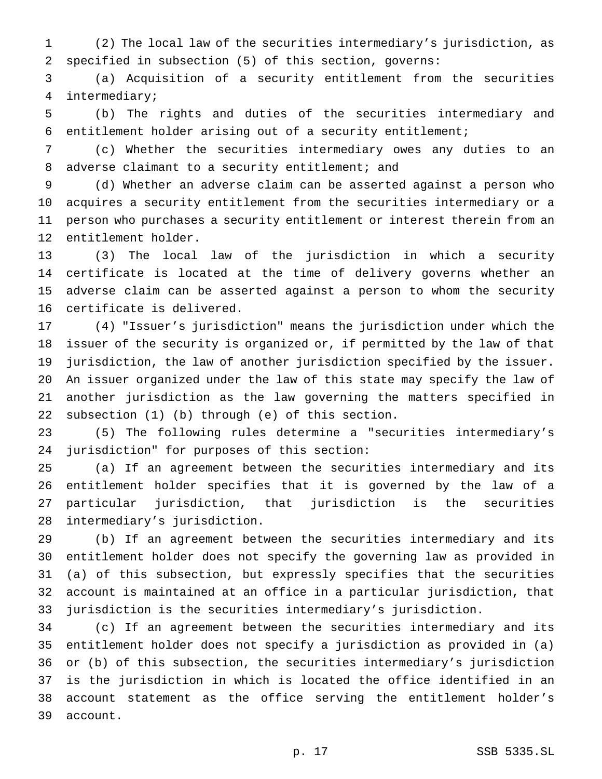(2) The local law of the securities intermediary's jurisdiction, as specified in subsection (5) of this section, governs:

 (a) Acquisition of a security entitlement from the securities intermediary;

 (b) The rights and duties of the securities intermediary and entitlement holder arising out of a security entitlement;

 (c) Whether the securities intermediary owes any duties to an 8 adverse claimant to a security entitlement; and

 (d) Whether an adverse claim can be asserted against a person who acquires a security entitlement from the securities intermediary or a person who purchases a security entitlement or interest therein from an entitlement holder.

 (3) The local law of the jurisdiction in which a security certificate is located at the time of delivery governs whether an adverse claim can be asserted against a person to whom the security certificate is delivered.

 (4) "Issuer's jurisdiction" means the jurisdiction under which the issuer of the security is organized or, if permitted by the law of that jurisdiction, the law of another jurisdiction specified by the issuer. An issuer organized under the law of this state may specify the law of another jurisdiction as the law governing the matters specified in subsection (1) (b) through (e) of this section.

 (5) The following rules determine a "securities intermediary's jurisdiction" for purposes of this section:

 (a) If an agreement between the securities intermediary and its entitlement holder specifies that it is governed by the law of a particular jurisdiction, that jurisdiction is the securities intermediary's jurisdiction.

 (b) If an agreement between the securities intermediary and its entitlement holder does not specify the governing law as provided in (a) of this subsection, but expressly specifies that the securities account is maintained at an office in a particular jurisdiction, that jurisdiction is the securities intermediary's jurisdiction.

 (c) If an agreement between the securities intermediary and its entitlement holder does not specify a jurisdiction as provided in (a) or (b) of this subsection, the securities intermediary's jurisdiction is the jurisdiction in which is located the office identified in an account statement as the office serving the entitlement holder's account.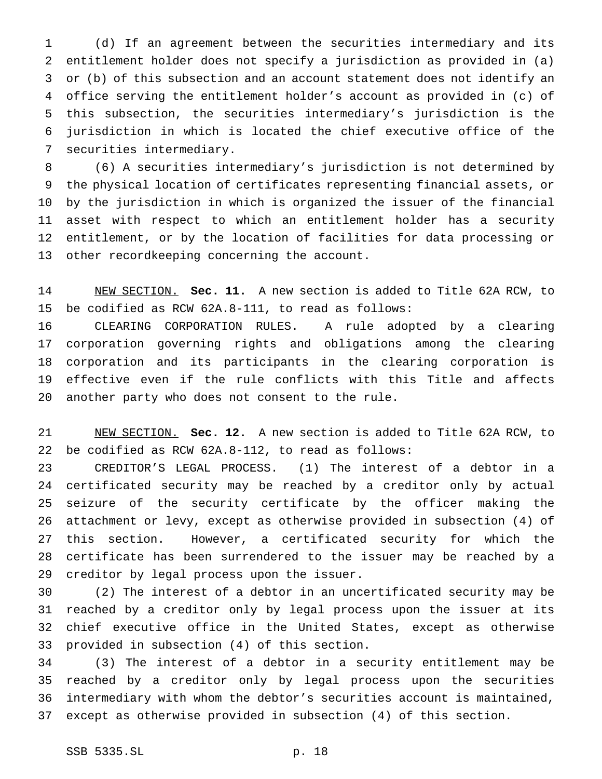(d) If an agreement between the securities intermediary and its entitlement holder does not specify a jurisdiction as provided in (a) or (b) of this subsection and an account statement does not identify an office serving the entitlement holder's account as provided in (c) of this subsection, the securities intermediary's jurisdiction is the jurisdiction in which is located the chief executive office of the securities intermediary.

 (6) A securities intermediary's jurisdiction is not determined by the physical location of certificates representing financial assets, or by the jurisdiction in which is organized the issuer of the financial asset with respect to which an entitlement holder has a security entitlement, or by the location of facilities for data processing or other recordkeeping concerning the account.

 NEW SECTION. **Sec. 11.** A new section is added to Title 62A RCW, to be codified as RCW 62A.8-111, to read as follows:

 CLEARING CORPORATION RULES. A rule adopted by a clearing corporation governing rights and obligations among the clearing corporation and its participants in the clearing corporation is effective even if the rule conflicts with this Title and affects another party who does not consent to the rule.

 NEW SECTION. **Sec. 12.** A new section is added to Title 62A RCW, to be codified as RCW 62A.8-112, to read as follows:

 CREDITOR'S LEGAL PROCESS. (1) The interest of a debtor in a certificated security may be reached by a creditor only by actual seizure of the security certificate by the officer making the attachment or levy, except as otherwise provided in subsection (4) of this section. However, a certificated security for which the certificate has been surrendered to the issuer may be reached by a creditor by legal process upon the issuer.

 (2) The interest of a debtor in an uncertificated security may be reached by a creditor only by legal process upon the issuer at its chief executive office in the United States, except as otherwise provided in subsection (4) of this section.

 (3) The interest of a debtor in a security entitlement may be reached by a creditor only by legal process upon the securities intermediary with whom the debtor's securities account is maintained, except as otherwise provided in subsection (4) of this section.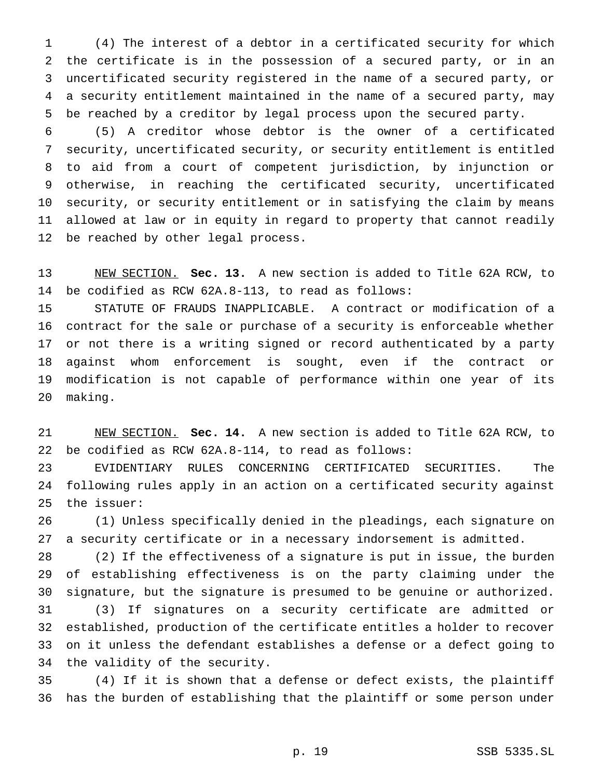(4) The interest of a debtor in a certificated security for which the certificate is in the possession of a secured party, or in an uncertificated security registered in the name of a secured party, or a security entitlement maintained in the name of a secured party, may be reached by a creditor by legal process upon the secured party.

 (5) A creditor whose debtor is the owner of a certificated security, uncertificated security, or security entitlement is entitled to aid from a court of competent jurisdiction, by injunction or otherwise, in reaching the certificated security, uncertificated security, or security entitlement or in satisfying the claim by means allowed at law or in equity in regard to property that cannot readily be reached by other legal process.

 NEW SECTION. **Sec. 13.** A new section is added to Title 62A RCW, to be codified as RCW 62A.8-113, to read as follows:

 STATUTE OF FRAUDS INAPPLICABLE. A contract or modification of a contract for the sale or purchase of a security is enforceable whether or not there is a writing signed or record authenticated by a party against whom enforcement is sought, even if the contract or modification is not capable of performance within one year of its making.

 NEW SECTION. **Sec. 14.** A new section is added to Title 62A RCW, to be codified as RCW 62A.8-114, to read as follows:

 EVIDENTIARY RULES CONCERNING CERTIFICATED SECURITIES. The following rules apply in an action on a certificated security against the issuer:

 (1) Unless specifically denied in the pleadings, each signature on a security certificate or in a necessary indorsement is admitted.

 (2) If the effectiveness of a signature is put in issue, the burden of establishing effectiveness is on the party claiming under the signature, but the signature is presumed to be genuine or authorized. (3) If signatures on a security certificate are admitted or established, production of the certificate entitles a holder to recover on it unless the defendant establishes a defense or a defect going to the validity of the security.

 (4) If it is shown that a defense or defect exists, the plaintiff has the burden of establishing that the plaintiff or some person under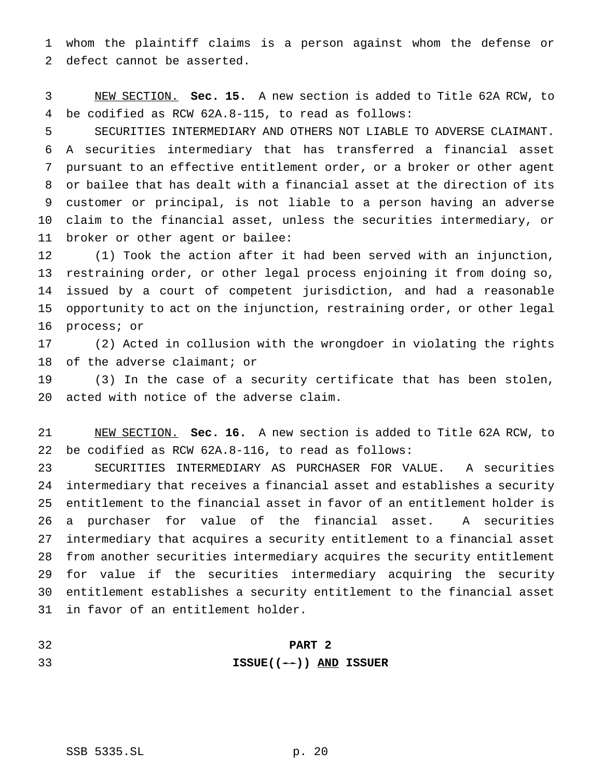whom the plaintiff claims is a person against whom the defense or defect cannot be asserted.

 NEW SECTION. **Sec. 15.** A new section is added to Title 62A RCW, to be codified as RCW 62A.8-115, to read as follows:

 SECURITIES INTERMEDIARY AND OTHERS NOT LIABLE TO ADVERSE CLAIMANT. A securities intermediary that has transferred a financial asset pursuant to an effective entitlement order, or a broker or other agent or bailee that has dealt with a financial asset at the direction of its customer or principal, is not liable to a person having an adverse claim to the financial asset, unless the securities intermediary, or broker or other agent or bailee:

 (1) Took the action after it had been served with an injunction, restraining order, or other legal process enjoining it from doing so, issued by a court of competent jurisdiction, and had a reasonable opportunity to act on the injunction, restraining order, or other legal process; or

 (2) Acted in collusion with the wrongdoer in violating the rights 18 of the adverse claimant; or

 (3) In the case of a security certificate that has been stolen, acted with notice of the adverse claim.

 NEW SECTION. **Sec. 16.** A new section is added to Title 62A RCW, to be codified as RCW 62A.8-116, to read as follows:

 SECURITIES INTERMEDIARY AS PURCHASER FOR VALUE. A securities intermediary that receives a financial asset and establishes a security entitlement to the financial asset in favor of an entitlement holder is a purchaser for value of the financial asset. A securities intermediary that acquires a security entitlement to a financial asset from another securities intermediary acquires the security entitlement for value if the securities intermediary acquiring the security entitlement establishes a security entitlement to the financial asset in favor of an entitlement holder.

## **PART 2**

**ISSUE((--)) AND ISSUER**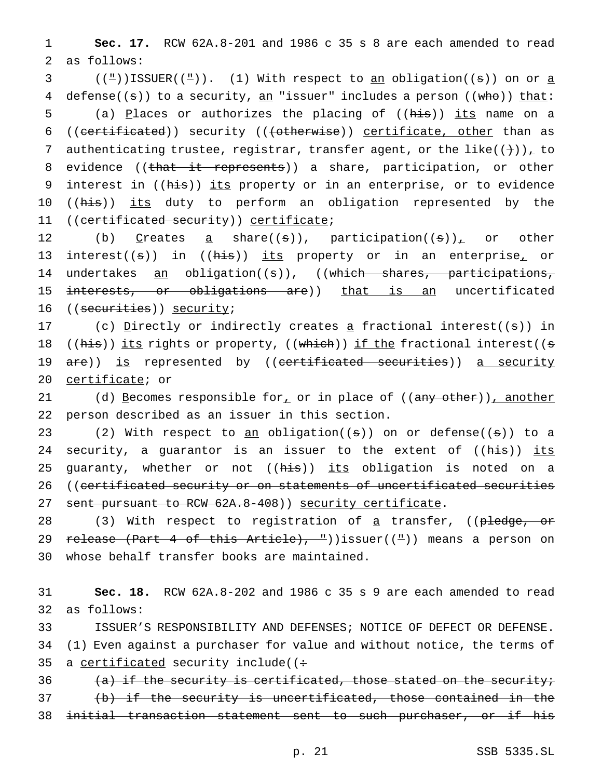1 **Sec. 17.** RCW 62A.8-201 and 1986 c 35 s 8 are each amended to read 2 as follows:

 $(1)$  (( $\text{I}$ ))ISSUER(( $\text{I}$ )). (1) With respect to an obligation(( $\text{I}$ )) on or a 4 defense(( $s$ )) to a security, an "issuer" includes a person (( $who$ )) that: 5 (a) Places or authorizes the placing of ((his)) its name on a 6 ((certificated)) security (((otherwise)) certificate, other than as 7 authenticating trustee, registrar, transfer agent, or the like( $(+)$ ), to 8 evidence ((that it represents)) a share, participation, or other 9 interest in ((his)) its property or in an enterprise, or to evidence 10 ((his)) its duty to perform an obligation represented by the 11 ((certificated security)) certificate;

12 (b)  $C$ reates a share((s)), participation((s)), or other 13 interest((s)) in ((his)) its property or in an enterprise, or 14 undertakes an obligation((s)), ((which shares, participations, 15 interests, or obligations are)) that is an uncertificated 16 ((securities)) security;

17 (c) Directly or indirectly creates  $\underline{a}$  fractional interest((s)) in 18 ((his)) its rights or property, ((which)) if the fractional interest((s 19 are)) is represented by ((certificated securities)) a security 20 certificate; or

21 (d) Becomes responsible for<sub>1</sub> or in place of  $((any other))$ , another 22 person described as an issuer in this section.

23 (2) With respect to  $\underline{an}$  obligation((s)) on or defense((s)) to a 24 security, a guarantor is an issuer to the extent of ((his)) its 25 guaranty, whether or not ((his)) its obligation is noted on a 26 ((certificated security or on statements of uncertificated securities 27 sent pursuant to RCW 62A.8-408) security certificate.

28 (3) With respect to registration of <u>a</u> transfer, ((pledge, or 29 release (Part 4 of this Article), "))issuer((")) means a person on 30 whose behalf transfer books are maintained.

31 **Sec. 18.** RCW 62A.8-202 and 1986 c 35 s 9 are each amended to read 32 as follows:

33 ISSUER'S RESPONSIBILITY AND DEFENSES; NOTICE OF DEFECT OR DEFENSE. 34 (1) Even against a purchaser for value and without notice, the terms of 35 a certificated security include( $($ :

36  $(a)$  if the security is certificated, those stated on the security; 37 (b) if the security is uncertificated, those contained in the

38 initial transaction statement sent to such purchaser, or if his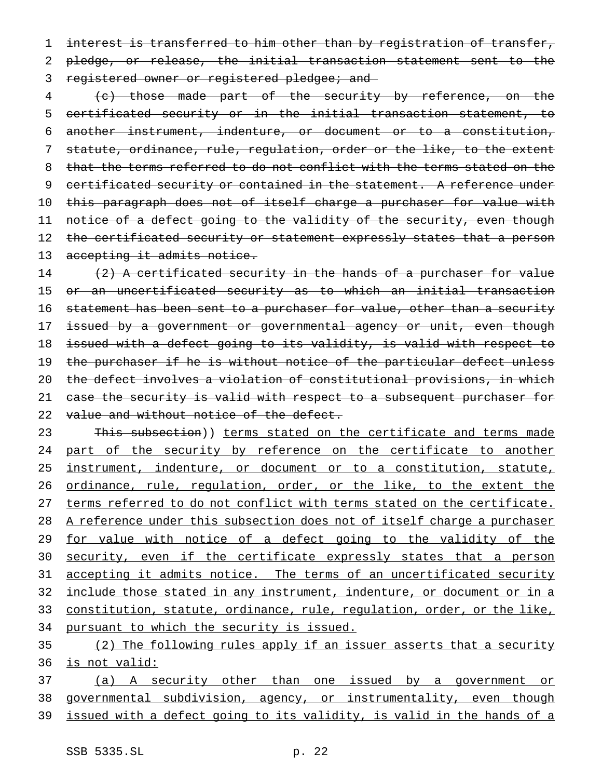1 interest is transferred to him other than by registration of transfer, 2 pledge, or release, the initial transaction statement sent to the 3 registered owner or registered pledgee; and

4 (c) those made part of the security by reference, on the 5 certificated security or in the initial transaction statement, to 6 another instrument, indenture, or document or to a constitution, 7 statute, ordinance, rule, regulation, order or the like, to the extent 8 that the terms referred to do not conflict with the terms stated on the 9 certificated security or contained in the statement. A reference under 10 this paragraph does not of itself charge a purchaser for value with 11 notice of a defect going to the validity of the security, even though 12 the certificated security or statement expressly states that a person 13 accepting it admits notice.

14 (2) A certificated security in the hands of a purchaser for value 15 or an uncertificated security as to which an initial transaction 16 statement has been sent to a purchaser for value, other than a security 17 <del>issued by a government or governmental agency or unit, even though</del> 18 issued with a defect going to its validity, is valid with respect to 19 the purchaser if he is without notice of the particular defect unless 20 the defect involves a violation of constitutional provisions, in which 21 case the security is valid with respect to a subsequent purchaser for 22 value and without notice of the defect.

23 This subsection)) terms stated on the certificate and terms made 24 part of the security by reference on the certificate to another 25 instrument, indenture, or document or to a constitution, statute, 26 ordinance, rule, regulation, order, or the like, to the extent the 27 terms referred to do not conflict with terms stated on the certificate. 28 A reference under this subsection does not of itself charge a purchaser 29 for value with notice of a defect going to the validity of the 30 security, even if the certificate expressly states that a person 31 accepting it admits notice. The terms of an uncertificated security 32 include those stated in any instrument, indenture, or document or in a 33 constitution, statute, ordinance, rule, regulation, order, or the like, 34 pursuant to which the security is issued.

35 (2) The following rules apply if an issuer asserts that a security 36 is not valid:

37 (a) A security other than one issued by a government or 38 governmental subdivision, agency, or instrumentality, even though 39 issued with a defect going to its validity, is valid in the hands of a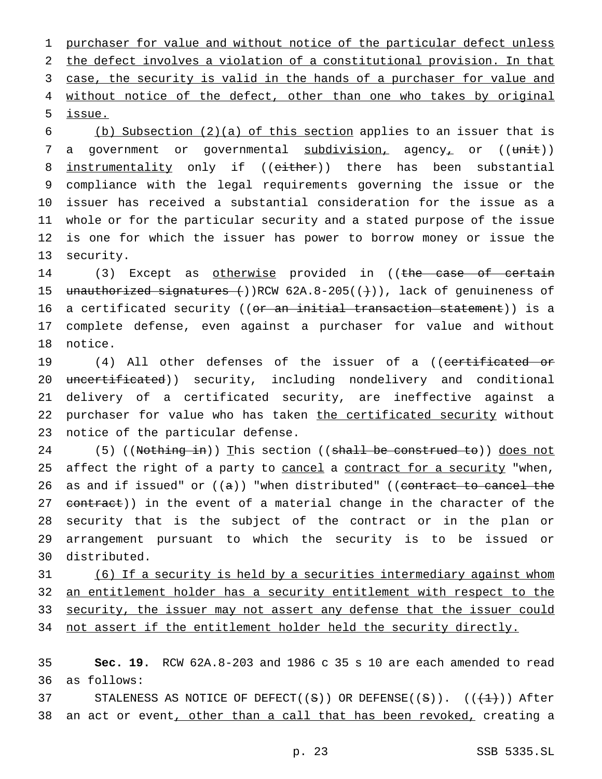1 purchaser for value and without notice of the particular defect unless 2 the defect involves a violation of a constitutional provision. In that 3 case, the security is valid in the hands of a purchaser for value and 4 without notice of the defect, other than one who takes by original 5 issue.

 (b) Subsection (2)(a) of this section applies to an issuer that is 7 a government or governmental subdivision, agency, or ((unit)) 8 instrumentality only if ((either)) there has been substantial compliance with the legal requirements governing the issue or the issuer has received a substantial consideration for the issue as a whole or for the particular security and a stated purpose of the issue is one for which the issuer has power to borrow money or issue the security.

14 (3) Except as otherwise provided in ((the case of certain 15 unauthorized signatures ())RCW 62A.8-205((+)), lack of genuineness of 16 a certificated security ((or an initial transaction statement)) is a 17 complete defense, even against a purchaser for value and without 18 notice.

19 (4) All other defenses of the issuer of a ((certificated or 20 uncertificated)) security, including nondelivery and conditional 21 delivery of a certificated security, are ineffective against a 22 purchaser for value who has taken the certificated security without 23 notice of the particular defense.

24 (5) ((Nothing in)) This section ((shall be construed to)) does not 25 affect the right of a party to cancel a contract for a security "when, 26 as and if issued" or  $((a))$  "when distributed" ((contract to cancel the 27 contract)) in the event of a material change in the character of the 28 security that is the subject of the contract or in the plan or 29 arrangement pursuant to which the security is to be issued or 30 distributed.

31 (6) If a security is held by a securities intermediary against whom 32 an entitlement holder has a security entitlement with respect to the 33 security, the issuer may not assert any defense that the issuer could 34 not assert if the entitlement holder held the security directly.

35 **Sec. 19.** RCW 62A.8-203 and 1986 c 35 s 10 are each amended to read 36 as follows:

37 STALENESS AS NOTICE OF DEFECT( $(S)$ ) OR DEFENSE( $(S)$ ). ( $(\overline{\{+ \}})$ ) After 38 an act or event, other than a call that has been revoked, creating a

p. 23 SSB 5335.SL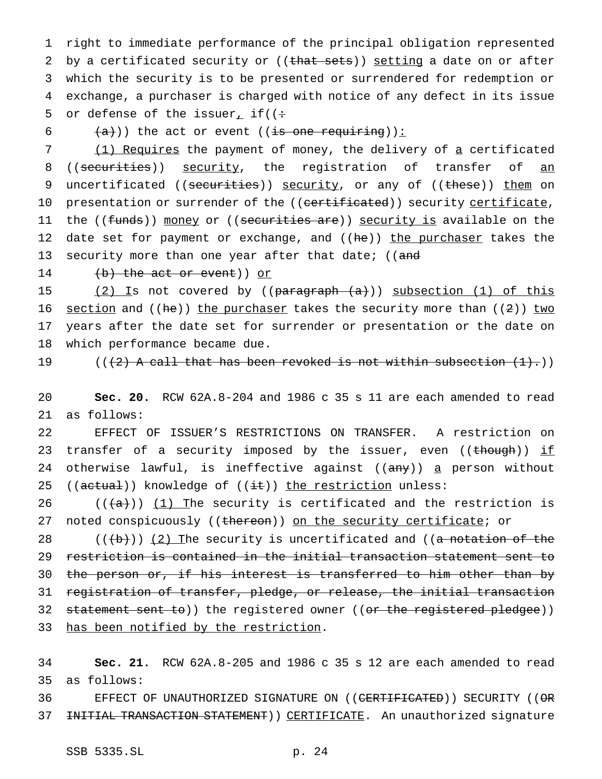1 right to immediate performance of the principal obligation represented 2 by a certificated security or ((that sets)) setting a date on or after 3 which the security is to be presented or surrendered for redemption or 4 exchange, a purchaser is charged with notice of any defect in its issue 5 or defense of the issuer<sub> $\pm$ </sub> if( $\div$ 

6  $(a+)$ ) the act or event ((is one requiring)):

7 (1) Requires the payment of money, the delivery of a certificated 8 ((securities)) security, the registration of transfer of an 9 uncertificated ((securities)) security, or any of ((these)) them on 10 presentation or surrender of the ((certificated)) security certificate, 11 the ((<del>funds</del>)) money or ((<del>securities are</del>)) <u>security is</u> available on the 12 date set for payment or exchange, and ((he)) the purchaser takes the 13 security more than one year after that date; ((and

14  $(b)$  the act or event)) or

15 (2) Is not covered by ((paragraph (a))) subsection (1) of this 16 section and ((he)) the purchaser takes the security more than ((2)) two 17 years after the date set for surrender or presentation or the date on 18 which performance became due.

19 ( $(\frac{2}{3})$  A call that has been revoked is not within subsection  $(1)$ .)

20 **Sec. 20.** RCW 62A.8-204 and 1986 c 35 s 11 are each amended to read 21 as follows:

22 EFFECT OF ISSUER'S RESTRICTIONS ON TRANSFER. A restriction on 23 transfer of a security imposed by the issuer, even  $((t$ hough)) if 24 otherwise lawful, is ineffective against  $((a_n,y_n))$  a person without 25 (( $\text{actual}$ )) knowledge of (( $\pm$ )) the restriction unless:

26 ( $(\overline{a})$ ) (1) The security is certificated and the restriction is 27 noted conspicuously ((thereon)) on the security certificate; or

 $((+b))$   $(2)$  The security is uncertificated and ((<del>a notation of the</del> restriction is contained in the initial transaction statement sent to the person or, if his interest is transferred to him other than by registration of transfer, pledge, or release, the initial transaction 32 statement sent to)) the registered owner ((or the registered pledgee)) 33 has been notified by the restriction.

34 **Sec. 21.** RCW 62A.8-205 and 1986 c 35 s 12 are each amended to read 35 as follows:

36 EFFECT OF UNAUTHORIZED SIGNATURE ON ((<del>CERTIFICATED</del>)) SECURITY ((OR 37 **INITIAL TRANSACTION STATEMENT**) (CERTIFICATE. An unauthorized signature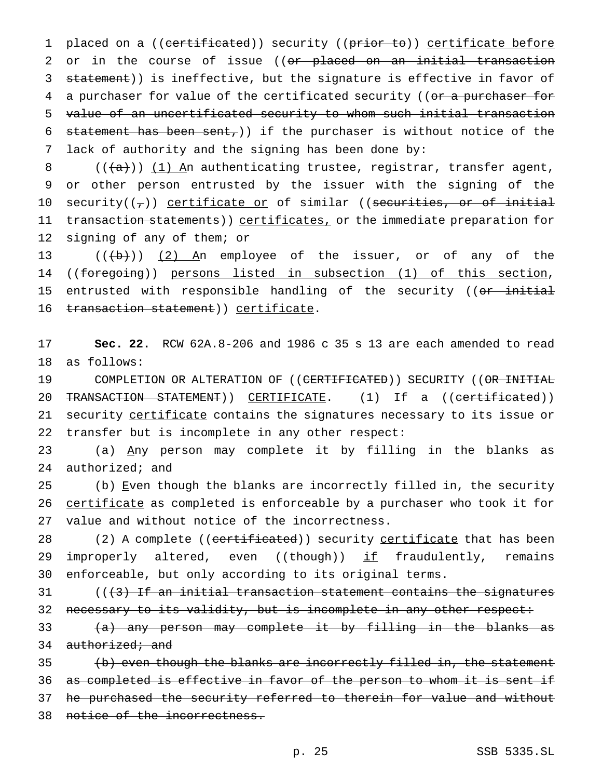1 placed on a ((certificated)) security ((prior to)) certificate before 2 or in the course of issue ((or placed on an initial transaction 3 statement)) is ineffective, but the signature is effective in favor of 4 a purchaser for value of the certificated security ((or a purchaser for 5 value of an uncertificated security to whom such initial transaction 6 statement has been sent,)) if the purchaser is without notice of the 7 lack of authority and the signing has been done by:

8 ( $(\overline{\{a\}})$ ) (1) An authenticating trustee, registrar, transfer agent, 9 or other person entrusted by the issuer with the signing of the 10 security( $(\tau)$ ) certificate or of similar ((securities, or of initial 11 transaction statements)) certificates, or the immediate preparation for 12 signing of any of them; or

13 (((b)) (2) An employee of the issuer, or of any of the 14 ((foregoing)) persons listed in subsection (1) of this section, 15 entrusted with responsible handling of the security ((or initial 16 transaction statement) eertificate.

17 **Sec. 22.** RCW 62A.8-206 and 1986 c 35 s 13 are each amended to read 18 as follows:

19 COMPLETION OR ALTERATION OF ((CERTIFICATED)) SECURITY ((OR INITIAL 20 TRANSACTION STATEMENT)) CERTIFICATE. (1) If a ((certificated)) 21 security certificate contains the signatures necessary to its issue or 22 transfer but is incomplete in any other respect:

23 (a) Any person may complete it by filling in the blanks as 24 authorized; and

 $25$  (b) Even though the blanks are incorrectly filled in, the security 26 certificate as completed is enforceable by a purchaser who took it for 27 value and without notice of the incorrectness.

28 (2) A complete ((certificated)) security certificate that has been 29 improperly altered, even ((though)) if fraudulently, remains 30 enforceable, but only according to its original terms.

 $31$  (( $\left(3\right)$ ) If an initial transaction statement contains the signatures 32 necessary to its validity, but is incomplete in any other respect:

33 (a) any person may complete it by filling in the blanks as 34 authorized; and

35 (b) even though the blanks are incorrectly filled in, the statement 36 as completed is effective in favor of the person to whom it is sent if 37 he purchased the security referred to therein for value and without 38 notice of the incorrectness.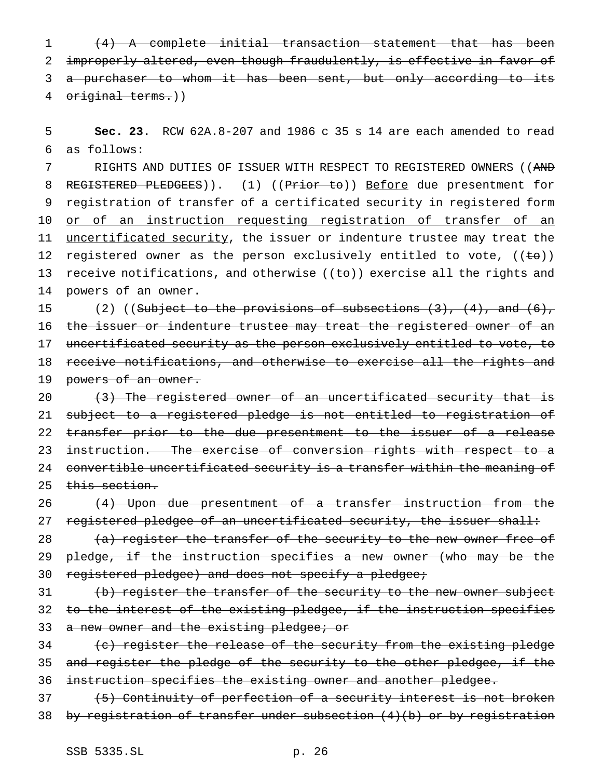1 (4) A complete initial transaction statement that has been 2 improperly altered, even though fraudulently, is effective in favor of 3 a purchaser to whom it has been sent, but only according to its 4 original terms.))

5 **Sec. 23.** RCW 62A.8-207 and 1986 c 35 s 14 are each amended to read 6 as follows:

7 RIGHTS AND DUTIES OF ISSUER WITH RESPECT TO REGISTERED OWNERS ((AND 8 REGISTERED PLEDGEES)). (1) ((Prior to)) Before due presentment for 9 registration of transfer of a certificated security in registered form 10 <u>or of an instruction requesting registration of transfer of an</u> 11 uncertificated security, the issuer or indenture trustee may treat the 12 registered owner as the person exclusively entitled to vote,  $((\pm \theta))$ 13 receive notifications, and otherwise  $((\epsilon e))$  exercise all the rights and 14 powers of an owner.

15 (2) ((Subject to the provisions of subsections  $(3)$ ,  $(4)$ , and  $(6)$ , 16 the issuer or indenture trustee may treat the registered owner of an 17 uncertificated security as the person exclusively entitled to vote, to 18 receive notifications, and otherwise to exercise all the rights and 19 powers of an owner.

20 (3) The registered owner of an uncertificated security that is 21 subject to a registered pledge is not entitled to registration of 22 transfer prior to the due presentment to the issuer of a release 23 instruction. The exercise of conversion rights with respect to a 24 convertible uncertificated security is a transfer within the meaning of 25 this section.

26  $(4)$  Upon due presentment of a transfer instruction from the 27 registered pledgee of an uncertificated security, the issuer shall:

28 (a) register the transfer of the security to the new owner free of 29 pledge, if the instruction specifies a new owner (who may be the 30 registered pledgee) and does not specify a pledgee;

31 (b) register the transfer of the security to the new owner subject 32 to the interest of the existing pledgee, if the instruction specifies 33 a new owner and the existing pledgee; or

34 (c) register the release of the security from the existing pledge 35 and register the pledge of the security to the other pledgee, if the 36 instruction specifies the existing owner and another pledgee.

37 (5) Continuity of perfection of a security interest is not broken 38 by registration of transfer under subsection  $(4)(b)$  or by registration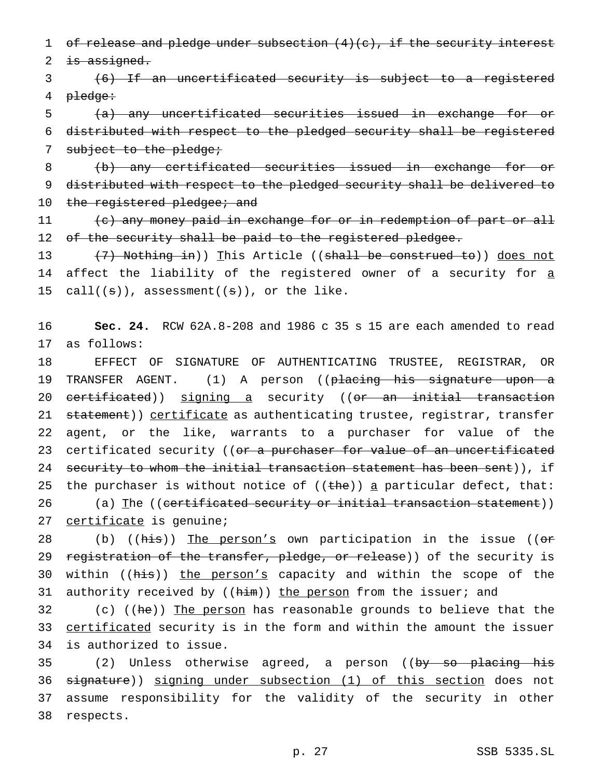1 of release and pledge under subsection  $(4)(c)$ , if the security interest

2 is assigned.

3 (6) If an uncertificated security is subject to a registered 4 pledge:

5 (a) any uncertificated securities issued in exchange for or 6 distributed with respect to the pledged security shall be registered 7 subject to the pledge;

8 (b) any certificated securities issued in exchange for or 9 distributed with respect to the pledged security shall be delivered to 10 the registered pledgee; and

11 (c) any money paid in exchange for or in redemption of part or all 12 of the security shall be paid to the registered pledgee.

13 (7) Nothing in)) This Article ((shall be construed to)) does not 14 affect the liability of the registered owner of a security for a 15 call $((s))$ , assessment $((s))$ , or the like.

16 **Sec. 24.** RCW 62A.8-208 and 1986 c 35 s 15 are each amended to read 17 as follows:

18 EFFECT OF SIGNATURE OF AUTHENTICATING TRUSTEE, REGISTRAR, OR 19 TRANSFER AGENT. (1) A person ((placing his signature upon a 20 certificated)) signing a security ((or an initial transaction 21 statement)) certificate as authenticating trustee, registrar, transfer 22 agent, or the like, warrants to a purchaser for value of the 23 certificated security ((or a purchaser for value of an uncertificated 24 security to whom the initial transaction statement has been sent)), if 25 the purchaser is without notice of  $((the)$  a particular defect, that: 26 (a) The ((certificated security or initial transaction statement)) 27 certificate is genuine;

28 (b) ((his)) The person's own participation in the issue ((or 29 registration of the transfer, pledge, or release)) of the security is 30 within ((his)) the person's capacity and within the scope of the 31 authority received by ( $(him)$ ) the person from the issuer; and

32 (c) ((he)) The person has reasonable grounds to believe that the 33 certificated security is in the form and within the amount the issuer 34 is authorized to issue.

35 (2) Unless otherwise agreed, a person ((by so placing his 36 signature)) signing under subsection (1) of this section does not 37 assume responsibility for the validity of the security in other 38 respects.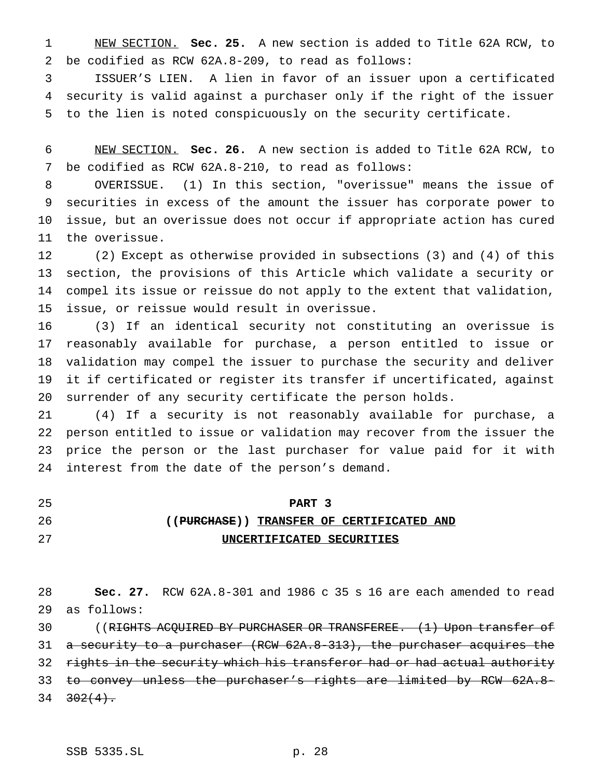NEW SECTION. **Sec. 25.** A new section is added to Title 62A RCW, to be codified as RCW 62A.8-209, to read as follows:

 ISSUER'S LIEN. A lien in favor of an issuer upon a certificated security is valid against a purchaser only if the right of the issuer to the lien is noted conspicuously on the security certificate.

 NEW SECTION. **Sec. 26.** A new section is added to Title 62A RCW, to be codified as RCW 62A.8-210, to read as follows:

 OVERISSUE. (1) In this section, "overissue" means the issue of securities in excess of the amount the issuer has corporate power to issue, but an overissue does not occur if appropriate action has cured the overissue.

 (2) Except as otherwise provided in subsections (3) and (4) of this section, the provisions of this Article which validate a security or compel its issue or reissue do not apply to the extent that validation, issue, or reissue would result in overissue.

 (3) If an identical security not constituting an overissue is reasonably available for purchase, a person entitled to issue or validation may compel the issuer to purchase the security and deliver it if certificated or register its transfer if uncertificated, against surrender of any security certificate the person holds.

 (4) If a security is not reasonably available for purchase, a person entitled to issue or validation may recover from the issuer the price the person or the last purchaser for value paid for it with interest from the date of the person's demand.

| 25 | PART 3                                                 |
|----|--------------------------------------------------------|
| 26 | ((P <del>URCHASE</del> )) TRANSFER OF CERTIFICATED AND |
| 27 | UNCERTIFICATED SECURITIES                              |

 **Sec. 27.** RCW 62A.8-301 and 1986 c 35 s 16 are each amended to read as follows:

30 ((RIGHTS ACQUIRED BY PURCHASER OR TRANSFEREE. (1) Upon transfer of 31 a security to a purchaser (RCW 62A.8-313), the purchaser acquires the 32 rights in the security which his transferor had or had actual authority 33 to convey unless the purchaser's rights are limited by RCW 62A.8- $34 \quad 302(4)$ .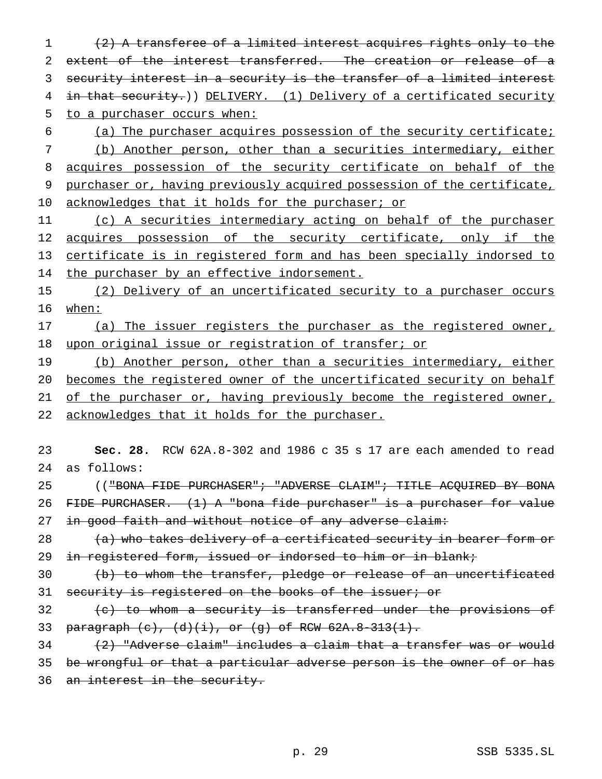1 (2) A transferee of a limited interest acquires rights only to the 2 extent of the interest transferred. The creation or release of a 3 security interest in a security is the transfer of a limited interest 4 in that security.) DELIVERY. (1) Delivery of a certificated security 5 to a purchaser occurs when:

 (a) The purchaser acquires possession of the security certificate; (b) Another person, other than a securities intermediary, either acquires possession of the security certificate on behalf of the purchaser or, having previously acquired possession of the certificate, 10 acknowledges that it holds for the purchaser; or

11 (c) A securities intermediary acting on behalf of the purchaser 12 acquires possession of the security certificate, only if the 13 certificate is in registered form and has been specially indorsed to 14 the purchaser by an effective indorsement.

15 (2) Delivery of an uncertificated security to a purchaser occurs 16 when:

# 17 (a) The issuer registers the purchaser as the registered owner, 18 upon original issue or registration of transfer; or

19 (b) Another person, other than a securities intermediary, either 20 becomes the registered owner of the uncertificated security on behalf 21 of the purchaser or, having previously become the registered owner, 22 acknowledges that it holds for the purchaser.

23 **Sec. 28.** RCW 62A.8-302 and 1986 c 35 s 17 are each amended to read 24 as follows:

25 (("BONA FIDE PURCHASER"; "ADVERSE CLAIM"; TITLE ACQUIRED BY BONA 26 FIDE PURCHASER. (1) A "bona fide purchaser" is a purchaser for value 27 in good faith and without notice of any adverse claim:

28 (a) who takes delivery of a certificated security in bearer form or 29 in registered form, issued or indorsed to him or in blank;

30 (b) to whom the transfer, pledge or release of an uncertificated 31 security is registered on the books of the issuer; or

 $32 \t\t (c)$  to whom a security is transferred under the provisions of 33 paragraph (c), (d)(i), or (g) of RCW 62A.8-313(1).

34 (2) "Adverse claim" includes a claim that a transfer was or would 35 be wrongful or that a particular adverse person is the owner of or has 36 an interest in the security.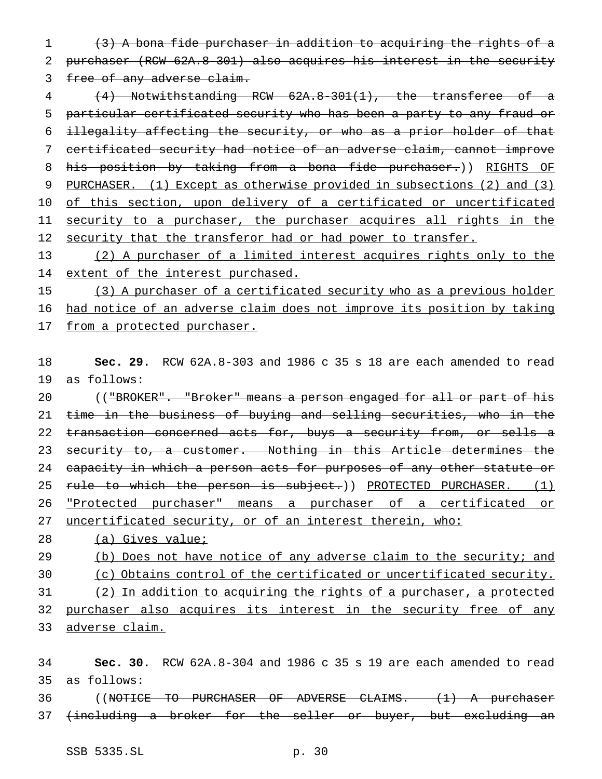(3) A bona fide purchaser in addition to acquiring the rights of a purchaser (RCW 62A.8-301) also acquires his interest in the security free of any adverse claim.

 (4) Notwithstanding RCW 62A.8-301(1), the transferee of a particular certificated security who has been a party to any fraud or illegality affecting the security, or who as a prior holder of that certificated security had notice of an adverse claim, cannot improve 8 his position by taking from a bona fide purchaser.)) RIGHTS OF PURCHASER. (1) Except as otherwise provided in subsections (2) and (3) 10 of this section, upon delivery of a certificated or uncertificated 11 security to a purchaser, the purchaser acquires all rights in the 12 security that the transferor had or had power to transfer.

 (2) A purchaser of a limited interest acquires rights only to the 14 extent of the interest purchased.

15 (3) A purchaser of a certificated security who as a previous holder had notice of an adverse claim does not improve its position by taking 17 from a protected purchaser.

 **Sec. 29.** RCW 62A.8-303 and 1986 c 35 s 18 are each amended to read as follows:

20 (("BROKER". "Broker" means a person engaged for all or part of his 21 time in the business of buying and selling securities, who in the 22 transaction concerned acts for, buys a security from, or sells a security to, a customer. Nothing in this Article determines the 24 capacity in which a person acts for purposes of any other statute or 25 rule to which the person is subject.)) PROTECTED PURCHASER. (1) "Protected purchaser" means a purchaser of a certificated or uncertificated security, or of an interest therein, who:

(a) Gives value;

29 (b) Does not have notice of any adverse claim to the security; and

(c) Obtains control of the certificated or uncertificated security.

 (2) In addition to acquiring the rights of a purchaser, a protected purchaser also acquires its interest in the security free of any adverse claim.

 **Sec. 30.** RCW 62A.8-304 and 1986 c 35 s 19 are each amended to read as follows:

 ((NOTICE TO PURCHASER OF ADVERSE CLAIMS. (1) A purchaser 37 (including a broker for the seller or buyer, but excluding an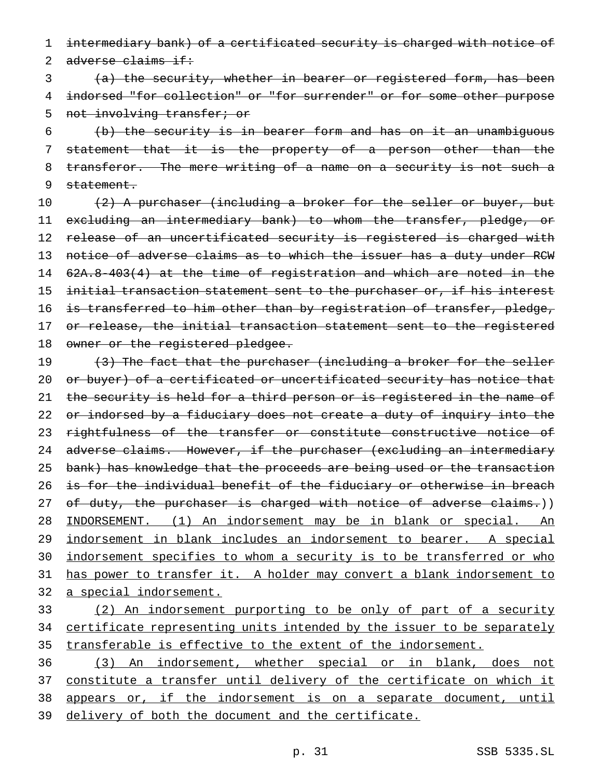1 intermediary bank) of a certificated security is charged with notice of

2 adverse claims if:

3 (a) the security, whether in bearer or registered form, has been 4 indorsed "for collection" or "for surrender" or for some other purpose 5 not involving transfer; or

 (b) the security is in bearer form and has on it an unambiguous statement that it is the property of a person other than the 8 transferor. The mere writing of a name on a security is not such a statement.

10 (2) A purchaser (including a broker for the seller or buyer, but 11 excluding an intermediary bank) to whom the transfer, pledge, or 12 release of an uncertificated security is registered is charged with 13 notice of adverse claims as to which the issuer has a duty under RCW 14 62A.8-403(4) at the time of registration and which are noted in the 15 initial transaction statement sent to the purchaser or, if his interest 16 is transferred to him other than by registration of transfer, pledge, 17 or release, the initial transaction statement sent to the registered 18 owner or the registered pledgee.

19 (3) The fact that the purchaser (including a broker for the seller 20 or buyer) of a certificated or uncertificated security has notice that 21 the security is held for a third person or is registered in the name of 22 or indorsed by a fiduciary does not create a duty of inquiry into the 23 rightfulness of the transfer or constitute constructive notice of 24 adverse claims. However, if the purchaser (excluding an intermediary 25 bank) has knowledge that the proceeds are being used or the transaction 26 is for the individual benefit of the fiduciary or otherwise in breach 27 of duty, the purchaser is charged with notice of adverse claims.)) 28 INDORSEMENT. (1) An indorsement may be in blank or special. An 29 indorsement in blank includes an indorsement to bearer. A special 30 indorsement specifies to whom a security is to be transferred or who 31 has power to transfer it. A holder may convert a blank indorsement to 32 a special indorsement.

33 (2) An indorsement purporting to be only of part of a security 34 certificate representing units intended by the issuer to be separately 35 transferable is effective to the extent of the indorsement.

 (3) An indorsement, whether special or in blank, does not constitute a transfer until delivery of the certificate on which it appears or, if the indorsement is on a separate document, until delivery of both the document and the certificate.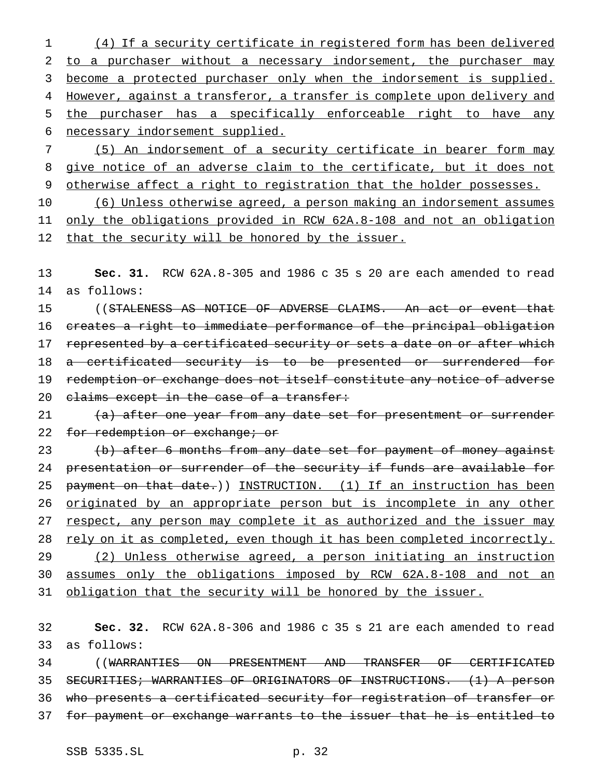(4) If a security certificate in registered form has been delivered 2 to a purchaser without a necessary indorsement, the purchaser may 3 become a protected purchaser only when the indorsement is supplied. However, against a transferor, a transfer is complete upon delivery and the purchaser has a specifically enforceable right to have any necessary indorsement supplied.

7 (5) An indorsement of a security certificate in bearer form may 8 give notice of an adverse claim to the certificate, but it does not 9 otherwise affect a right to registration that the holder possesses.

10 (6) Unless otherwise agreed, a person making an indorsement assumes 11 only the obligations provided in RCW 62A.8-108 and not an obligation 12 that the security will be honored by the issuer.

13 **Sec. 31.** RCW 62A.8-305 and 1986 c 35 s 20 are each amended to read 14 as follows:

15 ((STALENESS AS NOTICE OF ADVERSE CLAIMS. An act or event that 16 creates a right to immediate performance of the principal obligation 17 represented by a certificated security or sets a date on or after which 18 a certificated security is to be presented or surrendered for 19 redemption or exchange does not itself constitute any notice of adverse 20 claims except in the case of a transfer:

21 (a) after one year from any date set for presentment or surrender 22 for redemption or exchange; or

23 (b) after 6 months from any date set for payment of money against 24 presentation or surrender of the security if funds are available for 25 payment on that date.)) INSTRUCTION. (1) If an instruction has been 26 originated by an appropriate person but is incomplete in any other 27 respect, any person may complete it as authorized and the issuer may 28 rely on it as completed, even though it has been completed incorrectly. 29 (2) Unless otherwise agreed, a person initiating an instruction 30 assumes only the obligations imposed by RCW 62A.8-108 and not an 31 obligation that the security will be honored by the issuer.

32 **Sec. 32.** RCW 62A.8-306 and 1986 c 35 s 21 are each amended to read 33 as follows:

 ((WARRANTIES ON PRESENTMENT AND TRANSFER OF CERTIFICATED SECURITIES; WARRANTIES OF ORIGINATORS OF INSTRUCTIONS. (1) A person who presents a certificated security for registration of transfer or 37 for payment or exchange warrants to the issuer that he is entitled to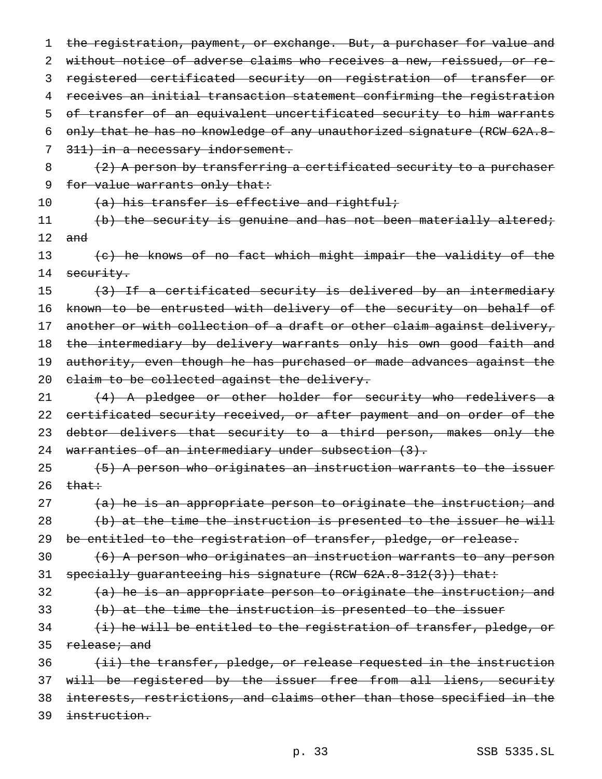the registration, payment, or exchange. But, a purchaser for value and without notice of adverse claims who receives a new, reissued, or re- registered certificated security on registration of transfer or receives an initial transaction statement confirming the registration of transfer of an equivalent uncertificated security to him warrants only that he has no knowledge of any unauthorized signature (RCW 62A.8- 7 311) in a necessary indorsement.

 $8$  (2) A person by transferring a certificated security to a purchaser 9 for value warrants only that:

10 (a) his transfer is effective and rightful;

11 (b) the security is genuine and has not been materially altered; 12 and

13 (c) he knows of no fact which might impair the validity of the 14 security.

15 (3) If a certificated security is delivered by an intermediary 16 known to be entrusted with delivery of the security on behalf of 17 another or with collection of a draft or other claim against delivery, 18 the intermediary by delivery warrants only his own good faith and 19 authority, even though he has purchased or made advances against the 20 claim to be collected against the delivery.

21 (4) A pledgee or other holder for security who redelivers a 22 certificated security received, or after payment and on order of the 23 debtor delivers that security to a third person, makes only the 24 warranties of an intermediary under subsection (3).

 $25$  (5) A person who originates an instruction warrants to the issuer  $26$  that:

27  $(a)$  he is an appropriate person to originate the instruction; and 28  $(b)$  at the time the instruction is presented to the issuer he will 29 be entitled to the registration of transfer, pledge, or release.

30 (6) A person who originates an instruction warrants to any person 31 specially guaranteeing his signature (RCW 62A.8-312(3)) that:

 $32$  (a) he is an appropriate person to originate the instruction; and  $33$  (b) at the time the instruction is presented to the issuer

 $34$  (i) he will be entitled to the registration of transfer, pledge, or 35 release; and

36 (ii) the transfer, pledge, or release requested in the instruction 37 will be registered by the issuer free from all liens, security 38 interests, restrictions, and claims other than those specified in the 39 instruction.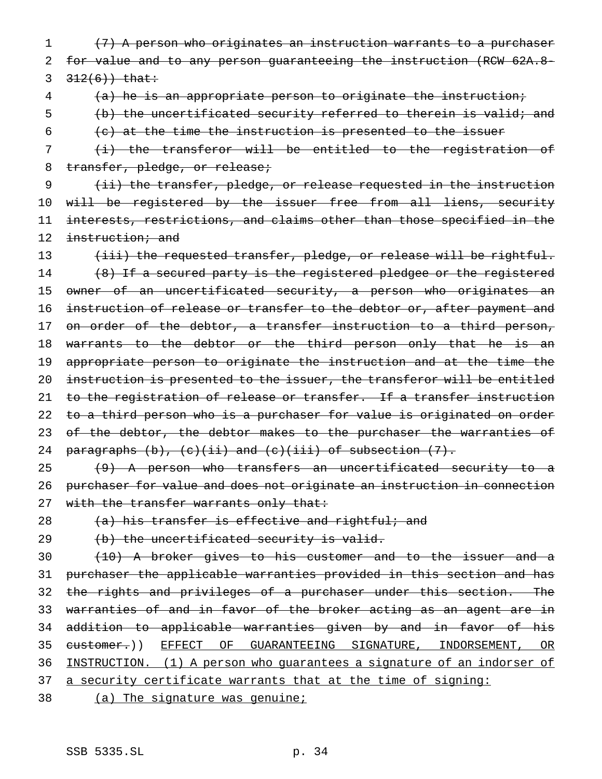- 1 (7) A person who originates an instruction warrants to a purchaser 2 for value and to any person guaranteeing the instruction (RCW 62A.8-  $3 \frac{312(6)}{2000}$  that:
- 4 (a) he is an appropriate person to originate the instruction;
- 5 (b) the uncertificated security referred to therein is valid; and
- $6$  (c) at the time the instruction is presented to the issuer
- 7 (i) the transferor will be entitled to the registration of 8 transfer, pledge, or release;
- 9 (ii) the transfer, pledge, or release requested in the instruction 10 will be registered by the issuer free from all liens, security 11 interests, restrictions, and claims other than those specified in the 12 instruction; and
- 13 (iii) the requested transfer, pledge, or release will be rightful. 14 (8) If a secured party is the registered pledgee or the registered 15 owner of an uncertificated security, a person who originates an 16 instruction of release or transfer to the debtor or, after payment and 17 on order of the debtor, a transfer instruction to a third person, 18 warrants to the debtor or the third person only that he is an 19 appropriate person to originate the instruction and at the time the 20 instruction is presented to the issuer, the transferor will be entitled 21 to the registration of release or transfer. If a transfer instruction 22 to a third person who is a purchaser for value is originated on order 23 of the debtor, the debtor makes to the purchaser the warranties of 24 paragraphs  $(b)$ ,  $(c)(ii)$  and  $(c)(iii)$  of subsection  $(7)$ .
- 25  $(9)$  A person who transfers an uncertificated security to a 26 purchaser for value and does not originate an instruction in connection 27 with the transfer warrants only that:

## 28  $(a)$  his transfer is effective and rightful; and

29 (b) the uncertificated security is valid.

 (10) A broker gives to his customer and to the issuer and a purchaser the applicable warranties provided in this section and has 32 the rights and privileges of a purchaser under this section. The 33 warranties of and in favor of the broker acting as an agent are in addition to applicable warranties given by and in favor of his customer.)) EFFECT OF GUARANTEEING SIGNATURE, INDORSEMENT, OR INSTRUCTION. (1) A person who guarantees a signature of an indorser of 37 a security certificate warrants that at the time of signing: (a) The signature was genuine;

SSB 5335.SL p. 34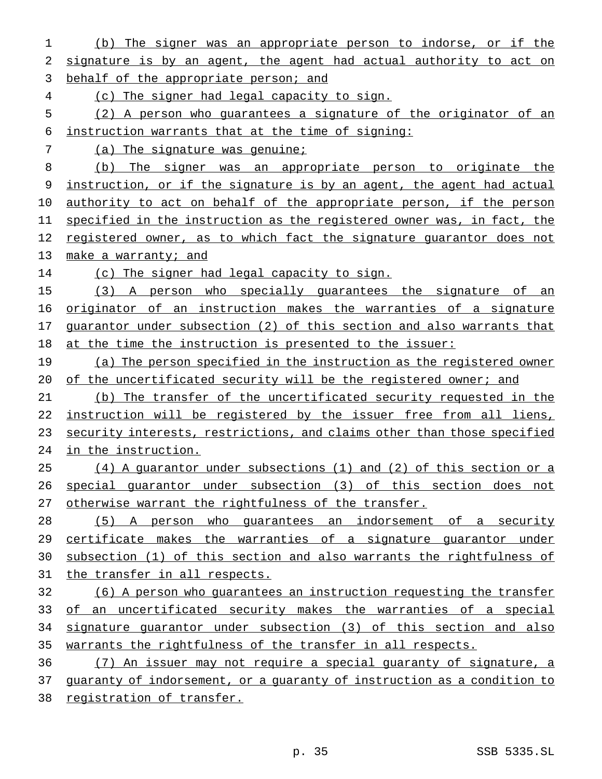(b) The signer was an appropriate person to indorse, or if the signature is by an agent, the agent had actual authority to act on 3 behalf of the appropriate person; and (c) The signer had legal capacity to sign. (2) A person who guarantees a signature of the originator of an instruction warrants that at the time of signing: 7 (a) The signature was genuine; (b) The signer was an appropriate person to originate the instruction, or if the signature is by an agent, the agent had actual authority to act on behalf of the appropriate person, if the person specified in the instruction as the registered owner was, in fact, the 12 registered owner, as to which fact the signature quarantor does not 13 make a warranty; and 14 (c) The signer had legal capacity to sign. 15 (3) A person who specially guarantees the signature of an originator of an instruction makes the warranties of a signature guarantor under subsection (2) of this section and also warrants that 18 at the time the instruction is presented to the issuer: (a) The person specified in the instruction as the registered owner 20 of the uncertificated security will be the registered owner; and (b) The transfer of the uncertificated security requested in the instruction will be registered by the issuer free from all liens, security interests, restrictions, and claims other than those specified in the instruction. (4) A guarantor under subsections (1) and (2) of this section or a special guarantor under subsection (3) of this section does not 27 otherwise warrant the rightfulness of the transfer. (5) A person who guarantees an indorsement of a security certificate makes the warranties of a signature guarantor under subsection (1) of this section and also warrants the rightfulness of the transfer in all respects. (6) A person who guarantees an instruction requesting the transfer of an uncertificated security makes the warranties of a special signature guarantor under subsection (3) of this section and also warrants the rightfulness of the transfer in all respects. (7) An issuer may not require a special guaranty of signature, a guaranty of indorsement, or a guaranty of instruction as a condition to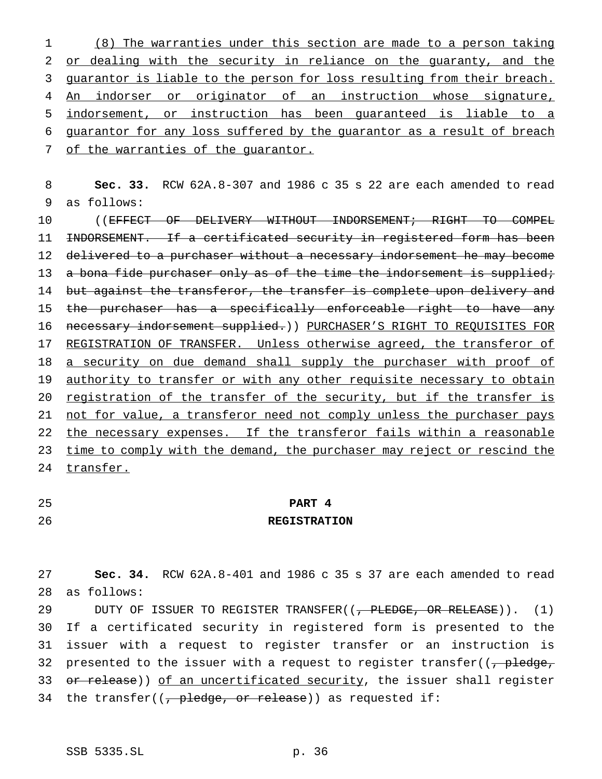(8) The warranties under this section are made to a person taking 2 or dealing with the security in reliance on the quaranty, and the 3 guarantor is liable to the person for loss resulting from their breach. An indorser or originator of an instruction whose signature, indorsement, or instruction has been guaranteed is liable to a guarantor for any loss suffered by the guarantor as a result of breach of the warranties of the guarantor.

8 **Sec. 33.** RCW 62A.8-307 and 1986 c 35 s 22 are each amended to read 9 as follows:

10 ((EFFECT OF DELIVERY WITHOUT INDORSEMENT; RIGHT TO COMPEL 11 INDORSEMENT. If a certificated security in registered form has been 12 delivered to a purchaser without a necessary indorsement he may become 13 a bona fide purchaser only as of the time the indorsement is supplied; 14 but against the transferor, the transfer is complete upon delivery and 15 the purchaser has a specifically enforceable right to have any 16 necessary indorsement supplied.)) PURCHASER'S RIGHT TO REQUISITES FOR 17 REGISTRATION OF TRANSFER. Unless otherwise agreed, the transferor of 18 a security on due demand shall supply the purchaser with proof of 19 authority to transfer or with any other requisite necessary to obtain 20 registration of the transfer of the security, but if the transfer is 21 not for value, a transferor need not comply unless the purchaser pays 22 the necessary expenses. If the transferor fails within a reasonable 23 time to comply with the demand, the purchaser may reject or rescind the 24 transfer.

# 25 **PART 4**

## 26 **REGISTRATION**

27 **Sec. 34.** RCW 62A.8-401 and 1986 c 35 s 37 are each amended to read 28 as follows:

29 DUTY OF ISSUER TO REGISTER TRANSFER((<del>, PLEDGE, OR RELEASE</del>)). (1) 30 If a certificated security in registered form is presented to the 31 issuer with a request to register transfer or an instruction is 32 presented to the issuer with a request to register transfer( $\sqrt{\frac{1}{2} \text{pledge}}$ , 33 or release)) of an uncertificated security, the issuer shall register 34 the transfer( $\left(\frac{1}{2} + \frac{1}{2} + \frac{1}{2} + \frac{1}{2} + \frac{1}{2} + \frac{1}{2} + \frac{1}{2} + \frac{1}{2} + \frac{1}{2} + \frac{1}{2} + \frac{1}{2} + \frac{1}{2} + \frac{1}{2} + \frac{1}{2} + \frac{1}{2} + \frac{1}{2} + \frac{1}{2} + \frac{1}{2} + \frac{1}{2} + \frac{1}{2} + \frac{1}{2} + \frac{1}{2} + \frac{1}{2} + \frac{1}{2} + \frac{1}{2} + \frac$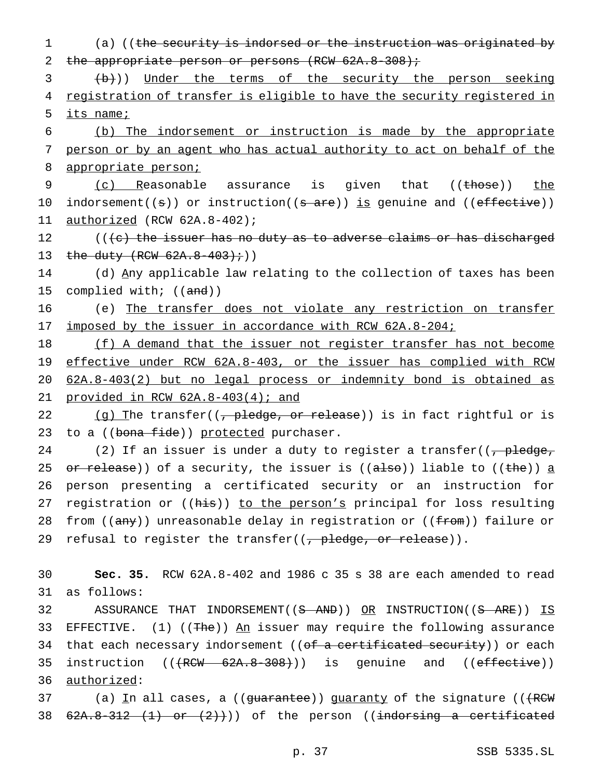1 (a) ((the security is indorsed or the instruction was originated by 2 the appropriate person or persons (RCW 62A.8-308);

3 (b))) Under the terms of the security the person seeking 4 registration of transfer is eligible to have the security registered in 5 its name;

6 (b) The indorsement or instruction is made by the appropriate 7 person or by an agent who has actual authority to act on behalf of the 8 appropriate person;

9 (c) Reasonable assurance is given that ((those)) the 10 indorsement((s)) or instruction((s are)) is genuine and ((effective)) 11 authorized (RCW 62A.8-402);

12  $($  ( $\epsilon$ ) the issuer has no duty as to adverse claims or has discharged 13 the duty  $(RCW 62A.8-403)$ ;

14 (d) Any applicable law relating to the collection of taxes has been 15 complied with; ((and))

16 (e) The transfer does not violate any restriction on transfer 17 imposed by the issuer in accordance with RCW 62A.8-204;

18 (f) A demand that the issuer not register transfer has not become 19 effective under RCW 62A.8-403, or the issuer has complied with RCW 20 62A.8-403(2) but no legal process or indemnity bond is obtained as 21 provided in RCW  $62A.8-403(4)$ ; and

22 (g) The transfer((, pledge, or release)) is in fact rightful or is 23 to a ((bona fide)) protected purchaser.

24 (2) If an issuer is under a duty to register a transfer( $\sqrt{ }$ , pledge, 25  $\sigma$ release)) of a security, the issuer is ((also)) liable to ((the)) <u>a</u> 26 person presenting a certificated security or an instruction for 27 registration or ((his)) to the person's principal for loss resulting 28 from ((any)) unreasonable delay in registration or ((<del>from</del>)) failure or 29 refusal to register the transfer( $(\frac{1}{2})$  pledge, or release)).

30 **Sec. 35.** RCW 62A.8-402 and 1986 c 35 s 38 are each amended to read 31 as follows:

32 ASSURANCE THAT INDORSEMENT((<del>S AND</del>)) <u>OR</u> INSTRUCTION((<del>S ARE</del>)) IS 33 EFFECTIVE.  $(1)$  ((The)) An issuer may require the following assurance 34 that each necessary indorsement ((of a certificated security)) or each 35 instruction ((<del>(RCW 62A.8-308)</del>)) is genuine and ((effective)) 36 authorized:

37 (a) In all cases, a ((guarantee)) guaranty of the signature (( $\{RCW$ 38  $62A.8-312$   $(1)$  or  $(2)$ )) of the person ((indorsing a certificated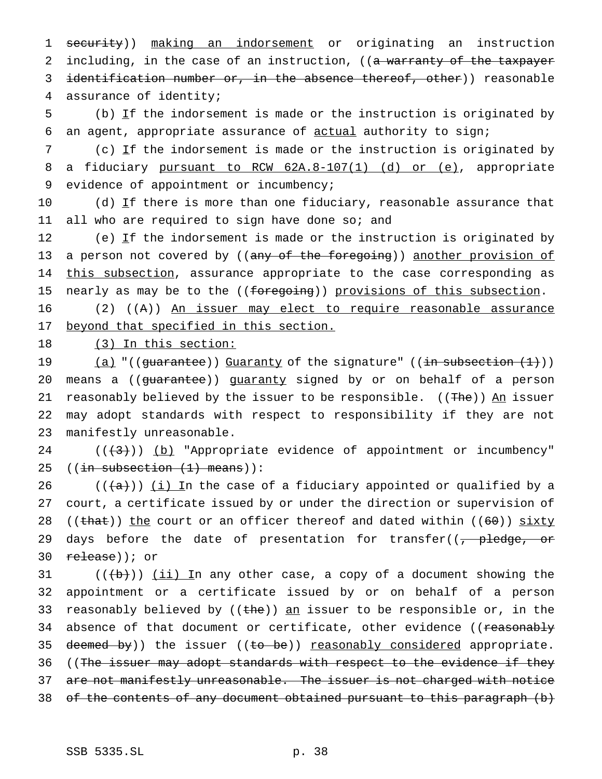1 security)) making an indorsement or originating an instruction 2 including, in the case of an instruction, ((a warranty of the taxpayer 3 identification number or, in the absence thereof, other)) reasonable 4 assurance of identity;

5 (b) If the indorsement is made or the instruction is originated by 6 an agent, appropriate assurance of actual authority to sign;

7 (c) If the indorsement is made or the instruction is originated by 8 a fiduciary pursuant to RCW 62A.8-107(1) (d) or (e), appropriate 9 evidence of appointment or incumbency;

10 (d) If there is more than one fiduciary, reasonable assurance that 11 all who are required to sign have done so; and

12 (e) If the indorsement is made or the instruction is originated by 13 a person not covered by ((any of the foregoing)) another provision of 14 this subsection, assurance appropriate to the case corresponding as 15 nearly as may be to the ((foregoing)) provisions of this subsection.

16 (2) ((A)) An issuer may elect to require reasonable assurance 17 beyond that specified in this section.

18 (3) In this section:

19 (a) "((guarantee)) Guaranty of the signature" ((in subsection  $(1)$ )) 20 means a ((guarantee)) guaranty signed by or on behalf of a person 21 reasonably believed by the issuer to be responsible. ((The)) An issuer 22 may adopt standards with respect to responsibility if they are not 23 manifestly unreasonable.

 $24$  ( $(\frac{43}{})$ ) (b) "Appropriate evidence of appointment or incumbency" 25  $((\text{in subsection} (+1) \text{ means}))$ :

26 ( $(\overline{a})$ ) (i) In the case of a fiduciary appointed or qualified by a 27 court, a certificate issued by or under the direction or supervision of 28 ((that)) the court or an officer thereof and dated within (( $60$ )) sixty 29 days before the date of presentation for transfer( $\sqrt{\tau}$  pledge, or 30 release)); or

31  $((+b))$   $(ii)$  In any other case, a copy of a document showing the 32 appointment or a certificate issued by or on behalf of a person 33 reasonably believed by  $((the))$  an issuer to be responsible or, in the 34 absence of that document or certificate, other evidence ((reasonably 35 deemed by)) the issuer (( $\pm$ o be)) reasonably considered appropriate. 36 ((The issuer may adopt standards with respect to the evidence if they 37 are not manifestly unreasonable. The issuer is not charged with notice 38 of the contents of any document obtained pursuant to this paragraph (b)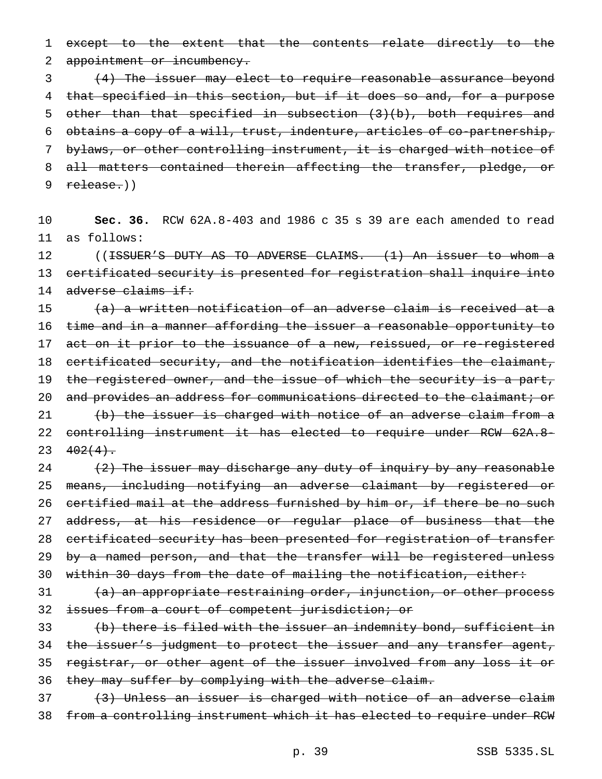1 except to the extent that the contents relate directly to the

2 appointment or incumbency.

 (4) The issuer may elect to require reasonable assurance beyond that specified in this section, but if it does so and, for a purpose other than that specified in subsection (3)(b), both requires and obtains a copy of a will, trust, indenture, articles of co-partnership, bylaws, or other controlling instrument, it is charged with notice of 8 all matters contained therein affecting the transfer, pledge, or 9 release.))

10 **Sec. 36.** RCW 62A.8-403 and 1986 c 35 s 39 are each amended to read 11 as follows:

12 ((<del>ISSUER'S DUTY AS TO ADVERSE CLAIMS. (1) An issuer to whom a</del> 13 certificated security is presented for registration shall inquire into 14 adverse claims if:

15 (a) a written notification of an adverse claim is received at a 16 time and in a manner affording the issuer a reasonable opportunity to 17 act on it prior to the issuance of a new, reissued, or re-registered 18 certificated security, and the notification identifies the claimant, 19 the registered owner, and the issue of which the security is a part, 20 and provides an address for communications directed to the claimant; or 21 (b) the issuer is charged with notice of an adverse claim from a 22 controlling instrument it has elected to require under RCW 62A.8- 23  $402(4)$ .

24  $(2)$  The issuer may discharge any duty of inquiry by any reasonable 25 means, including notifying an adverse claimant by registered or 26 certified mail at the address furnished by him or, if there be no such 27 address, at his residence or regular place of business that the 28 certificated security has been presented for registration of transfer 29 by a named person, and that the transfer will be registered unless 30 within 30 days from the date of mailing the notification, either:

31 (a) an appropriate restraining order, injunction, or other process 32 issues from a court of competent jurisdiction; or

33 (b) there is filed with the issuer an indemnity bond, sufficient in 34 the issuer's judgment to protect the issuer and any transfer agent, 35 registrar, or other agent of the issuer involved from any loss it or 36 they may suffer by complying with the adverse claim.

37 (3) Unless an issuer is charged with notice of an adverse claim 38 from a controlling instrument which it has elected to require under RCW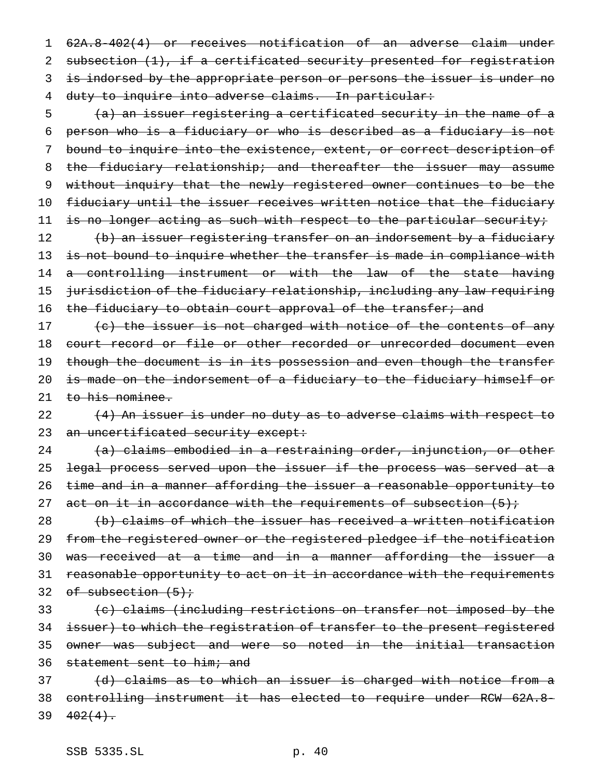62A.8-402(4) or receives notification of an adverse claim under subsection (1), if a certificated security presented for registration 3 is indorsed by the appropriate person or persons the issuer is under no duty to inquire into adverse claims. In particular:

 (a) an issuer registering a certificated security in the name of a person who is a fiduciary or who is described as a fiduciary is not bound to inquire into the existence, extent, or correct description of 8 the fiduciary relationship; and thereafter the issuer may assume without inquiry that the newly registered owner continues to be the fiduciary until the issuer receives written notice that the fiduciary 11 is no longer acting as such with respect to the particular security;

12 (b) an issuer registering transfer on an indorsement by a fiduciary 13 is not bound to inquire whether the transfer is made in compliance with 14 a controlling instrument or with the law of the state having 15 jurisdiction of the fiduciary relationship, including any law requiring 16 the fiduciary to obtain court approval of the transfer; and

17 (c) the issuer is not charged with notice of the contents of any 18 court record or file or other recorded or unrecorded document even 19 though the document is in its possession and even though the transfer 20 is made on the indorsement of a fiduciary to the fiduciary himself or 21 to his nominee.

22 (4) An issuer is under no duty as to adverse claims with respect to 23 an uncertificated security except:

 $24$  (a) claims embodied in a restraining order, injunction, or other 25 <del>legal process served upon the issuer if the process was served at a</del> 26 time and in a manner affording the issuer a reasonable opportunity to 27 act on it in accordance with the requirements of subsection  $(5)$ ;

28 (b) claims of which the issuer has received a written notification 29 from the registered owner or the registered pledgee if the notification 30 was received at a time and in a manner affording the issuer a 31 reasonable opportunity to act on it in accordance with the requirements 32 of subsection  $(5)$ ;

33 (c) claims (including restrictions on transfer not imposed by the 34 issuer) to which the registration of transfer to the present registered 35 owner was subject and were so noted in the initial transaction 36 statement sent to him; and

 $37$  (d) claims as to which an issuer is charged with notice from a 38 controlling instrument it has elected to require under RCW 62A.8- 39  $402(4)$ .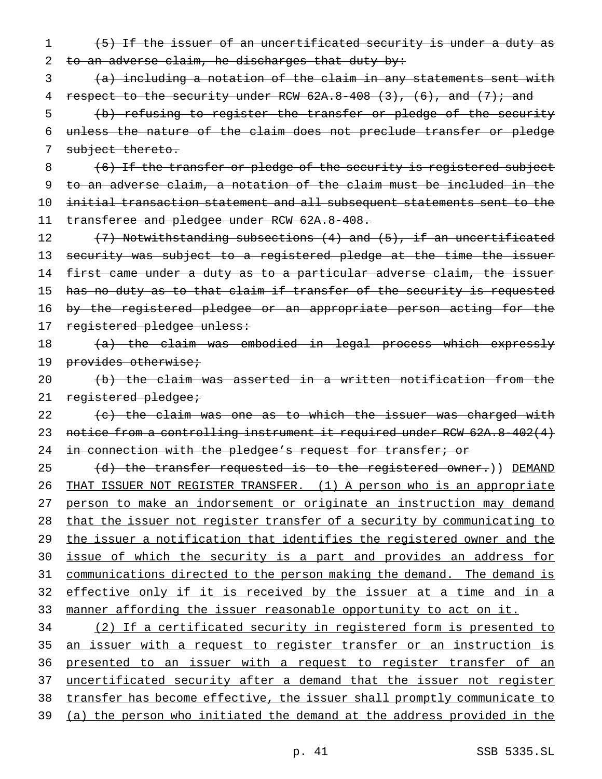1 (5) If the issuer of an uncertificated security is under a duty as 2 to an adverse claim, he discharges that duty by:

3 (a) including a notation of the claim in any statements sent with 4 respect to the security under RCW 62A.8-408 (3), (6), and (7); and

5 (b) refusing to register the transfer or pledge of the security 6 unless the nature of the claim does not preclude transfer or pledge 7 subject thereto.

8 (6) If the transfer or pledge of the security is registered subject 9 to an adverse claim, a notation of the claim must be included in the 10 initial transaction statement and all subsequent statements sent to the 11 transferee and pledgee under RCW 62A.8-408.

12 (7) Notwithstanding subsections (4) and (5), if an uncertificated 13 security was subject to a registered pledge at the time the issuer 14 first came under a duty as to a particular adverse claim, the issuer 15 has no duty as to that claim if transfer of the security is requested 16 by the registered pledgee or an appropriate person acting for the 17 registered pledgee unless:

18 (a) the claim was embodied in legal process which expressly 19 provides otherwise;

20 (b) the claim was asserted in a written notification from the 21 registered pledgee;

22  $\left\{\mathrm{c}\right\}$  the claim was one as to which the issuer was charged with 23 notice from a controlling instrument it required under RCW 62A.8-402(4) 24 in connection with the pledgee's request for transfer; or

25 (d) the transfer requested is to the registered owner.)) DEMAND 26 THAT ISSUER NOT REGISTER TRANSFER. (1) A person who is an appropriate 27 person to make an indorsement or originate an instruction may demand 28 that the issuer not register transfer of a security by communicating to 29 the issuer a notification that identifies the registered owner and the 30 issue of which the security is a part and provides an address for 31 communications directed to the person making the demand. The demand is 32 effective only if it is received by the issuer at a time and in a 33 manner affording the issuer reasonable opportunity to act on it.

 (2) If a certificated security in registered form is presented to an issuer with a request to register transfer or an instruction is 36 presented to an issuer with a request to register transfer of an 37 uncertificated security after a demand that the issuer not register transfer has become effective, the issuer shall promptly communicate to (a) the person who initiated the demand at the address provided in the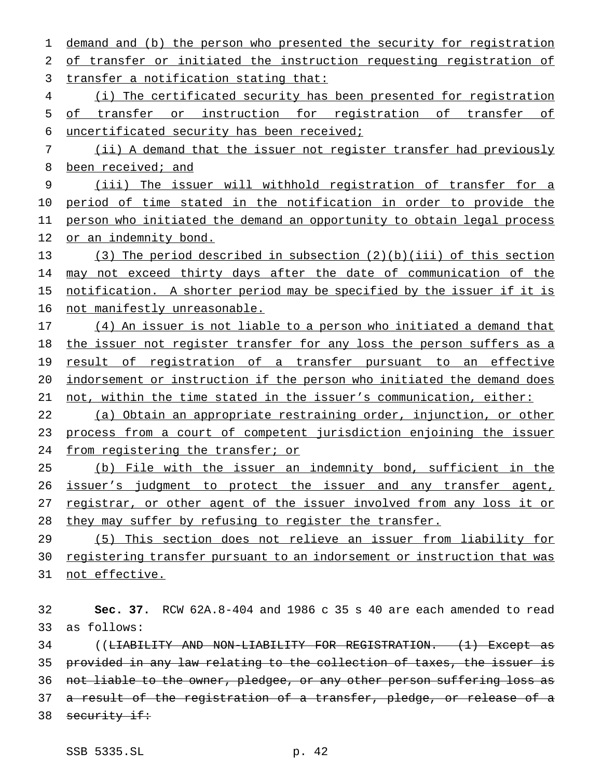demand and (b) the person who presented the security for registration of transfer or initiated the instruction requesting registration of transfer a notification stating that: (i) The certificated security has been presented for registration of transfer or instruction for registration of transfer of uncertificated security has been received; (ii) A demand that the issuer not register transfer had previously been received; and (iii) The issuer will withhold registration of transfer for a period of time stated in the notification in order to provide the 11 person who initiated the demand an opportunity to obtain legal process 12 or an indemnity bond. (3) The period described in subsection (2)(b)(iii) of this section 14 may not exceed thirty days after the date of communication of the notification. A shorter period may be specified by the issuer if it is not manifestly unreasonable. (4) An issuer is not liable to a person who initiated a demand that the issuer not register transfer for any loss the person suffers as a 19 result of registration of a transfer pursuant to an effective indorsement or instruction if the person who initiated the demand does not, within the time stated in the issuer's communication, either: (a) Obtain an appropriate restraining order, injunction, or other process from a court of competent jurisdiction enjoining the issuer 24 from registering the transfer; or (b) File with the issuer an indemnity bond, sufficient in the 26 issuer's judgment to protect the issuer and any transfer agent, registrar, or other agent of the issuer involved from any loss it or they may suffer by refusing to register the transfer. (5) This section does not relieve an issuer from liability for 30 registering transfer pursuant to an indorsement or instruction that was not effective. **Sec. 37.** RCW 62A.8-404 and 1986 c 35 s 40 are each amended to read as follows: 34 ((LIABILITY AND NON-LIABILITY FOR REGISTRATION. (1) Except as provided in any law relating to the collection of taxes, the issuer is not liable to the owner, pledgee, or any other person suffering loss as 37 a result of the registration of a transfer, pledge, or release of a 38 security if: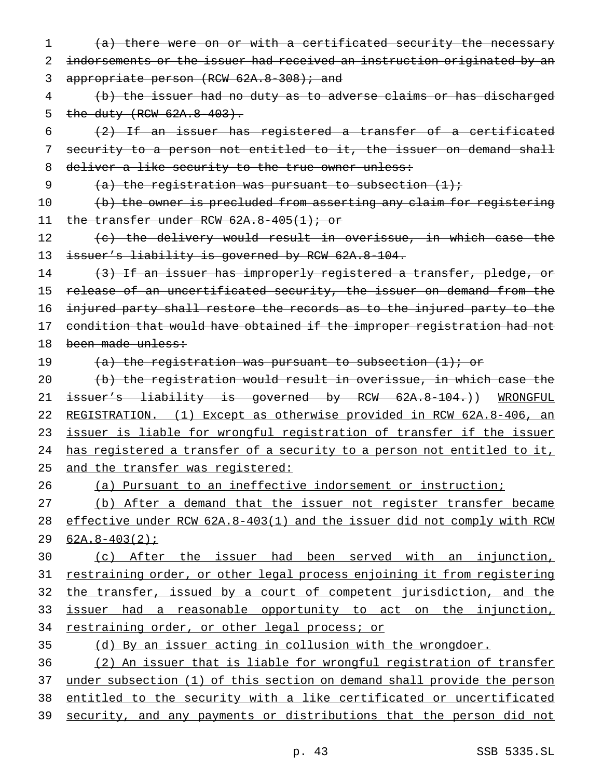1 (a) there were on or with a certificated security the necessary 2 indorsements or the issuer had received an instruction originated by an 3 appropriate person  $(RCW 62A.8-308)$ ; and

4 (b) the issuer had no duty as to adverse claims or has discharged 5 the duty (RCW 62A.8-403).

 $6$  (2) If an issuer has registered a transfer of a certificated 7 security to a person not entitled to it, the issuer on demand shall 8 deliver a like security to the true owner unless:

9 (a) the registration was pursuant to subsection  $(1)$ ;

10 (b) the owner is precluded from asserting any claim for registering 11 the transfer under RCW  $62A.8-405(1)$ ; or

12 (c) the delivery would result in overissue, in which case the 13 issuer's liability is governed by RCW 62A.8-104.

14 (3) If an issuer has improperly registered a transfer, pledge, or 15 release of an uncertificated security, the issuer on demand from the 16 injured party shall restore the records as to the injured party to the 17 condition that would have obtained if the improper registration had not 18 been made unless:

19  $(a)$  the registration was pursuant to subsection  $(1)$ ; or

20 (b) the registration would result in overissue, in which case the 21 issuer's liability is governed by RCW 62A.8-104.)) WRONGFUL 22 REGISTRATION. (1) Except as otherwise provided in RCW 62A.8-406, an 23 issuer is liable for wrongful registration of transfer if the issuer 24 has registered a transfer of a security to a person not entitled to it, 25 and the transfer was registered:

26 (a) Pursuant to an ineffective indorsement or instruction;

27 (b) After a demand that the issuer not register transfer became 28 effective under RCW 62A.8-403(1) and the issuer did not comply with RCW 29 62A.8-403(2);

30 (c) After the issuer had been served with an injunction, 31 restraining order, or other legal process enjoining it from registering 32 the transfer, issued by a court of competent jurisdiction, and the 33 issuer had a reasonable opportunity to act on the injunction, 34 restraining order, or other legal process; or

35 (d) By an issuer acting in collusion with the wrongdoer.

 (2) An issuer that is liable for wrongful registration of transfer under subsection (1) of this section on demand shall provide the person entitled to the security with a like certificated or uncertificated security, and any payments or distributions that the person did not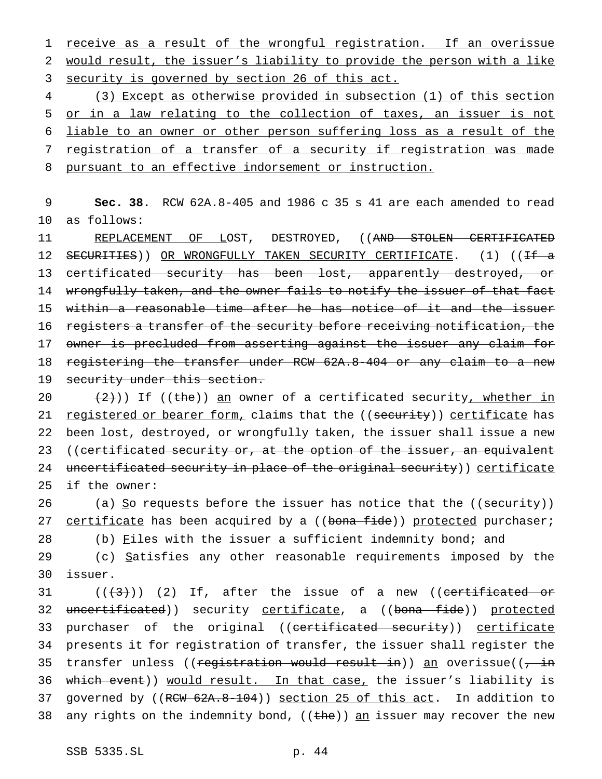1 receive as a result of the wrongful registration. If an overissue 2 would result, the issuer's liability to provide the person with a like 3 security is governed by section 26 of this act.

 (3) Except as otherwise provided in subsection (1) of this section or in a law relating to the collection of taxes, an issuer is not liable to an owner or other person suffering loss as a result of the 7 registration of a transfer of a security if registration was made pursuant to an effective indorsement or instruction.

9 **Sec. 38.** RCW 62A.8-405 and 1986 c 35 s 41 are each amended to read 10 as follows:

11 REPLACEMENT OF LOST, DESTROYED, ((AND STOLEN CERTIFICATED 12 SECURITIES)) OR WRONGFULLY TAKEN SECURITY CERTIFICATE. (1) ((If a 13 certificated security has been lost, apparently destroyed, or 14 wrongfully taken, and the owner fails to notify the issuer of that fact 15 within a reasonable time after he has notice of it and the issuer 16 registers a transfer of the security before receiving notification, the 17 owner is precluded from asserting against the issuer any claim for 18 registering the transfer under RCW 62A.8-404 or any claim to a new 19 security under this section.

20  $(2)$ )) If ((the)) an owner of a certificated security, whether in 21 registered or bearer form, claims that the ((security)) certificate has 22 been lost, destroyed, or wrongfully taken, the issuer shall issue a new 23 ((certificated security or, at the option of the issuer, an equivalent 24 uncertificated security in place of the original security)) certificate 25 if the owner:

26 (a) So requests before the issuer has notice that the ((security)) 27 certificate has been acquired by a ((bona fide)) protected purchaser;

28 (b) Files with the issuer a sufficient indemnity bond; and

29 (c) Satisfies any other reasonable requirements imposed by the 30 issuer.

31  $((+3))$   $(2)$  If, after the issue of a new ((certificated or 32 uncertificated)) security certificate, a ((bona fide)) protected 33 purchaser of the original ((certificated security)) certificate 34 presents it for registration of transfer, the issuer shall register the 35 transfer unless ((registration would result in)) an overissue( $(-\text{in}$ 36 which event)) would result. In that case, the issuer's liability is 37 governed by ((RCW 62A.8-104)) section 25 of this act. In addition to 38 any rights on the indemnity bond,  $((the h e))$  an issuer may recover the new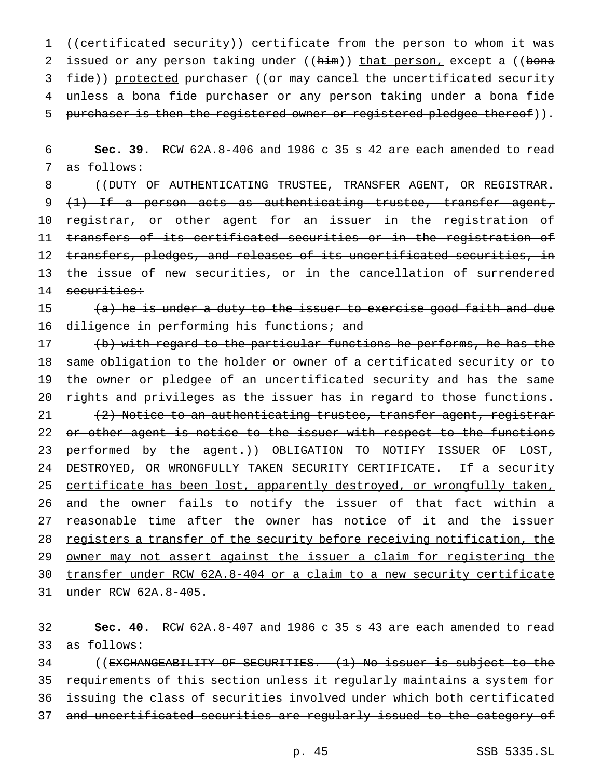1 ((certificated security)) certificate from the person to whom it was 2 issued or any person taking under ((him)) that person, except a ((bona 3 fide)) protected purchaser ((or may cancel the uncertificated security 4 unless a bona fide purchaser or any person taking under a bona fide 5 purchaser is then the registered owner or registered pledgee thereof)).

6 **Sec. 39.** RCW 62A.8-406 and 1986 c 35 s 42 are each amended to read 7 as follows:

8 ((DUTY OF AUTHENTICATING TRUSTEE, TRANSFER AGENT, OR REGISTRAR. 9 <del>(1) If a person acts as authenticating trustee, transfer agent,</del> 10 registrar, or other agent for an issuer in the registration of 11 transfers of its certificated securities or in the registration of 12 transfers, pledges, and releases of its uncertificated securities, in 13 the issue of new securities, or in the cancellation of surrendered 14 securities:

## 15 (a) he is under a duty to the issuer to exercise good faith and due 16 diligence in performing his functions; and

17 (b) with regard to the particular functions he performs, he has the 18 same obligation to the holder or owner of a certificated security or to 19 the owner or pledgee of an uncertificated security and has the same 20 rights and privileges as the issuer has in regard to those functions. 21 (2) Notice to an authenticating trustee, transfer agent, registrar 22 or other agent is notice to the issuer with respect to the functions 23 performed by the agent.) OBLIGATION TO NOTIFY ISSUER OF LOST, 24 DESTROYED, OR WRONGFULLY TAKEN SECURITY CERTIFICATE. If a security 25 certificate has been lost, apparently destroyed, or wrongfully taken, 26 and the owner fails to notify the issuer of that fact within a 27 reasonable time after the owner has notice of it and the issuer 28 registers a transfer of the security before receiving notification, the 29 owner may not assert against the issuer a claim for registering the 30 transfer under RCW 62A.8-404 or a claim to a new security certificate 31 under RCW 62A.8-405.

32 **Sec. 40.** RCW 62A.8-407 and 1986 c 35 s 43 are each amended to read 33 as follows:

34 ((EXCHANGEABILITY OF SECURITIES. (1) No issuer is subject to the 35 requirements of this section unless it regularly maintains a system for 36 issuing the class of securities involved under which both certificated 37 and uncertificated securities are regularly issued to the category of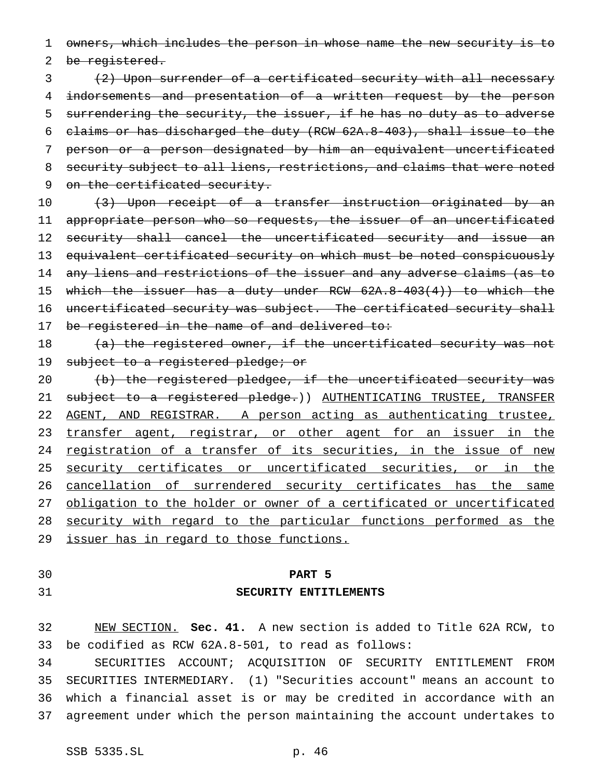1 owners, which includes the person in whose name the new security is to

2 be registered.

 (2) Upon surrender of a certificated security with all necessary indorsements and presentation of a written request by the person surrendering the security, the issuer, if he has no duty as to adverse claims or has discharged the duty (RCW 62A.8-403), shall issue to the person or a person designated by him an equivalent uncertificated security subject to all liens, restrictions, and claims that were noted 9 on the certificated security.

10 (3) Upon receipt of a transfer instruction originated by an 11 appropriate person who so requests, the issuer of an uncertificated 12 security shall cancel the uncertificated security and issue an 13 equivalent certificated security on which must be noted conspicuously 14 any liens and restrictions of the issuer and any adverse claims (as to 15 which the issuer has a duty under RCW 62A.8-403(4)) to which the 16 uncertificated security was subject. The certificated security shall 17 be registered in the name of and delivered to:

18 (a) the registered owner, if the uncertificated security was not 19 subject to a registered pledge; or

20 (b) the registered pledgee, if the uncertificated security was 21 subject to a registered pledge.) AUTHENTICATING TRUSTEE, TRANSFER 22 AGENT, AND REGISTRAR. A person acting as authenticating trustee, 23 transfer agent, registrar, or other agent for an issuer in the 24 registration of a transfer of its securities, in the issue of new 25 security certificates or uncertificated securities, or in the 26 cancellation of surrendered security certificates has the same 27 obligation to the holder or owner of a certificated or uncertificated 28 security with regard to the particular functions performed as the 29 issuer has in regard to those functions.

### 30 **PART 5**

### 31 **SECURITY ENTITLEMENTS**

32 NEW SECTION. **Sec. 41.** A new section is added to Title 62A RCW, to 33 be codified as RCW 62A.8-501, to read as follows:

 SECURITIES ACCOUNT; ACQUISITION OF SECURITY ENTITLEMENT FROM SECURITIES INTERMEDIARY. (1) "Securities account" means an account to which a financial asset is or may be credited in accordance with an agreement under which the person maintaining the account undertakes to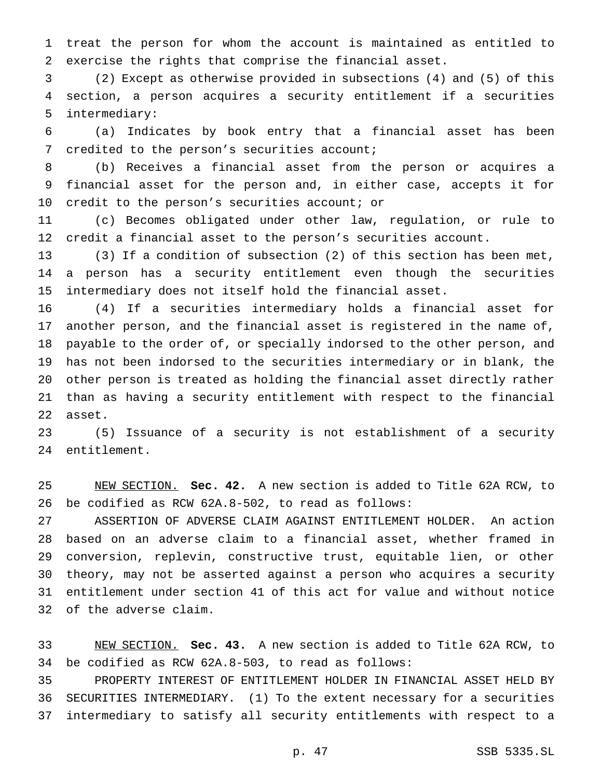treat the person for whom the account is maintained as entitled to exercise the rights that comprise the financial asset.

 (2) Except as otherwise provided in subsections (4) and (5) of this section, a person acquires a security entitlement if a securities intermediary:

 (a) Indicates by book entry that a financial asset has been credited to the person's securities account;

 (b) Receives a financial asset from the person or acquires a financial asset for the person and, in either case, accepts it for credit to the person's securities account; or

 (c) Becomes obligated under other law, regulation, or rule to credit a financial asset to the person's securities account.

 (3) If a condition of subsection (2) of this section has been met, a person has a security entitlement even though the securities intermediary does not itself hold the financial asset.

 (4) If a securities intermediary holds a financial asset for another person, and the financial asset is registered in the name of, payable to the order of, or specially indorsed to the other person, and has not been indorsed to the securities intermediary or in blank, the other person is treated as holding the financial asset directly rather than as having a security entitlement with respect to the financial asset.

 (5) Issuance of a security is not establishment of a security entitlement.

 NEW SECTION. **Sec. 42.** A new section is added to Title 62A RCW, to be codified as RCW 62A.8-502, to read as follows:

 ASSERTION OF ADVERSE CLAIM AGAINST ENTITLEMENT HOLDER. An action based on an adverse claim to a financial asset, whether framed in conversion, replevin, constructive trust, equitable lien, or other theory, may not be asserted against a person who acquires a security entitlement under section 41 of this act for value and without notice of the adverse claim.

 NEW SECTION. **Sec. 43.** A new section is added to Title 62A RCW, to be codified as RCW 62A.8-503, to read as follows:

 PROPERTY INTEREST OF ENTITLEMENT HOLDER IN FINANCIAL ASSET HELD BY SECURITIES INTERMEDIARY. (1) To the extent necessary for a securities intermediary to satisfy all security entitlements with respect to a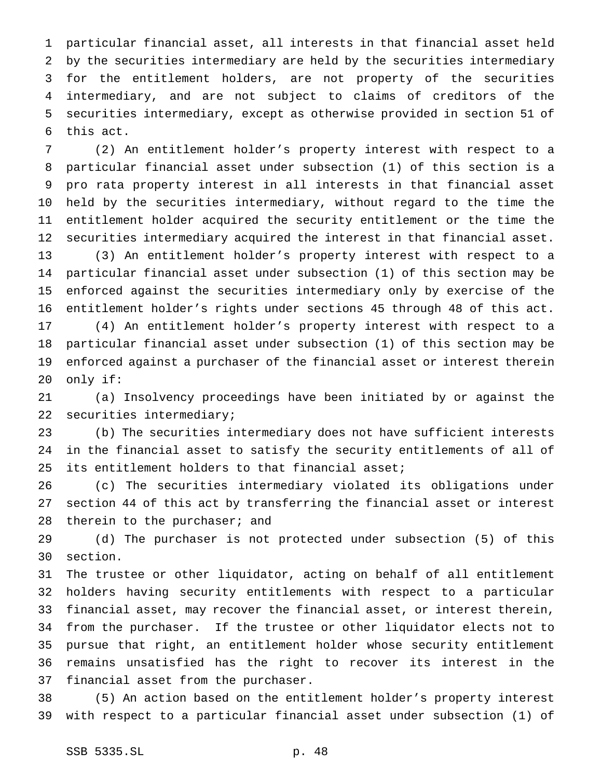particular financial asset, all interests in that financial asset held by the securities intermediary are held by the securities intermediary for the entitlement holders, are not property of the securities intermediary, and are not subject to claims of creditors of the securities intermediary, except as otherwise provided in section 51 of this act.

 (2) An entitlement holder's property interest with respect to a particular financial asset under subsection (1) of this section is a pro rata property interest in all interests in that financial asset held by the securities intermediary, without regard to the time the entitlement holder acquired the security entitlement or the time the securities intermediary acquired the interest in that financial asset. (3) An entitlement holder's property interest with respect to a particular financial asset under subsection (1) of this section may be enforced against the securities intermediary only by exercise of the entitlement holder's rights under sections 45 through 48 of this act.

 (4) An entitlement holder's property interest with respect to a particular financial asset under subsection (1) of this section may be enforced against a purchaser of the financial asset or interest therein only if:

 (a) Insolvency proceedings have been initiated by or against the securities intermediary;

 (b) The securities intermediary does not have sufficient interests in the financial asset to satisfy the security entitlements of all of 25 its entitlement holders to that financial asset;

 (c) The securities intermediary violated its obligations under section 44 of this act by transferring the financial asset or interest 28 therein to the purchaser; and

 (d) The purchaser is not protected under subsection (5) of this section.

 The trustee or other liquidator, acting on behalf of all entitlement holders having security entitlements with respect to a particular financial asset, may recover the financial asset, or interest therein, from the purchaser. If the trustee or other liquidator elects not to pursue that right, an entitlement holder whose security entitlement remains unsatisfied has the right to recover its interest in the financial asset from the purchaser.

 (5) An action based on the entitlement holder's property interest with respect to a particular financial asset under subsection (1) of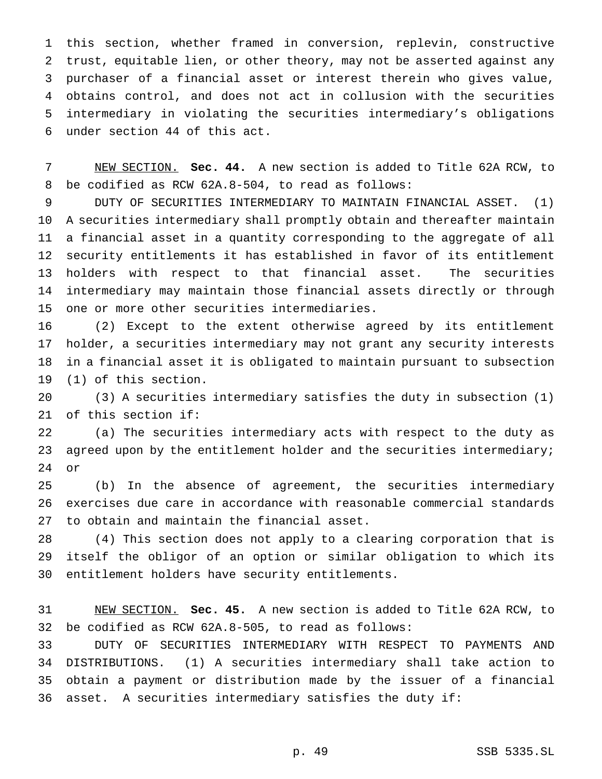this section, whether framed in conversion, replevin, constructive trust, equitable lien, or other theory, may not be asserted against any purchaser of a financial asset or interest therein who gives value, obtains control, and does not act in collusion with the securities intermediary in violating the securities intermediary's obligations under section 44 of this act.

 NEW SECTION. **Sec. 44.** A new section is added to Title 62A RCW, to be codified as RCW 62A.8-504, to read as follows:

 DUTY OF SECURITIES INTERMEDIARY TO MAINTAIN FINANCIAL ASSET. (1) A securities intermediary shall promptly obtain and thereafter maintain a financial asset in a quantity corresponding to the aggregate of all security entitlements it has established in favor of its entitlement holders with respect to that financial asset. The securities intermediary may maintain those financial assets directly or through one or more other securities intermediaries.

 (2) Except to the extent otherwise agreed by its entitlement holder, a securities intermediary may not grant any security interests in a financial asset it is obligated to maintain pursuant to subsection (1) of this section.

 (3) A securities intermediary satisfies the duty in subsection (1) of this section if:

 (a) The securities intermediary acts with respect to the duty as 23 agreed upon by the entitlement holder and the securities intermediary; or

 (b) In the absence of agreement, the securities intermediary exercises due care in accordance with reasonable commercial standards to obtain and maintain the financial asset.

 (4) This section does not apply to a clearing corporation that is itself the obligor of an option or similar obligation to which its entitlement holders have security entitlements.

 NEW SECTION. **Sec. 45.** A new section is added to Title 62A RCW, to be codified as RCW 62A.8-505, to read as follows:

 DUTY OF SECURITIES INTERMEDIARY WITH RESPECT TO PAYMENTS AND DISTRIBUTIONS. (1) A securities intermediary shall take action to obtain a payment or distribution made by the issuer of a financial asset. A securities intermediary satisfies the duty if: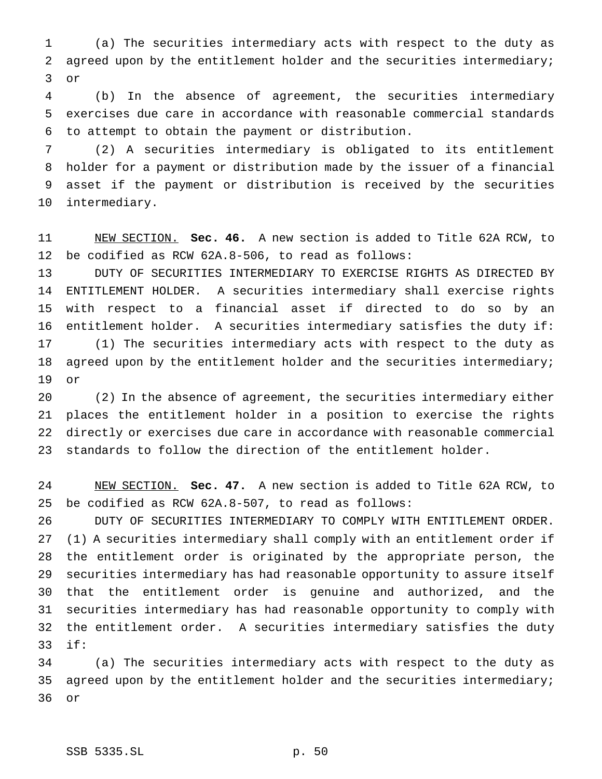(a) The securities intermediary acts with respect to the duty as agreed upon by the entitlement holder and the securities intermediary; or

 (b) In the absence of agreement, the securities intermediary exercises due care in accordance with reasonable commercial standards to attempt to obtain the payment or distribution.

 (2) A securities intermediary is obligated to its entitlement holder for a payment or distribution made by the issuer of a financial asset if the payment or distribution is received by the securities intermediary.

 NEW SECTION. **Sec. 46.** A new section is added to Title 62A RCW, to be codified as RCW 62A.8-506, to read as follows:

 DUTY OF SECURITIES INTERMEDIARY TO EXERCISE RIGHTS AS DIRECTED BY ENTITLEMENT HOLDER. A securities intermediary shall exercise rights with respect to a financial asset if directed to do so by an entitlement holder. A securities intermediary satisfies the duty if: (1) The securities intermediary acts with respect to the duty as 18 agreed upon by the entitlement holder and the securities intermediary; or

 (2) In the absence of agreement, the securities intermediary either places the entitlement holder in a position to exercise the rights directly or exercises due care in accordance with reasonable commercial standards to follow the direction of the entitlement holder.

 NEW SECTION. **Sec. 47.** A new section is added to Title 62A RCW, to be codified as RCW 62A.8-507, to read as follows:

 DUTY OF SECURITIES INTERMEDIARY TO COMPLY WITH ENTITLEMENT ORDER. (1) A securities intermediary shall comply with an entitlement order if the entitlement order is originated by the appropriate person, the securities intermediary has had reasonable opportunity to assure itself that the entitlement order is genuine and authorized, and the securities intermediary has had reasonable opportunity to comply with the entitlement order. A securities intermediary satisfies the duty if:

 (a) The securities intermediary acts with respect to the duty as 35 agreed upon by the entitlement holder and the securities intermediary; or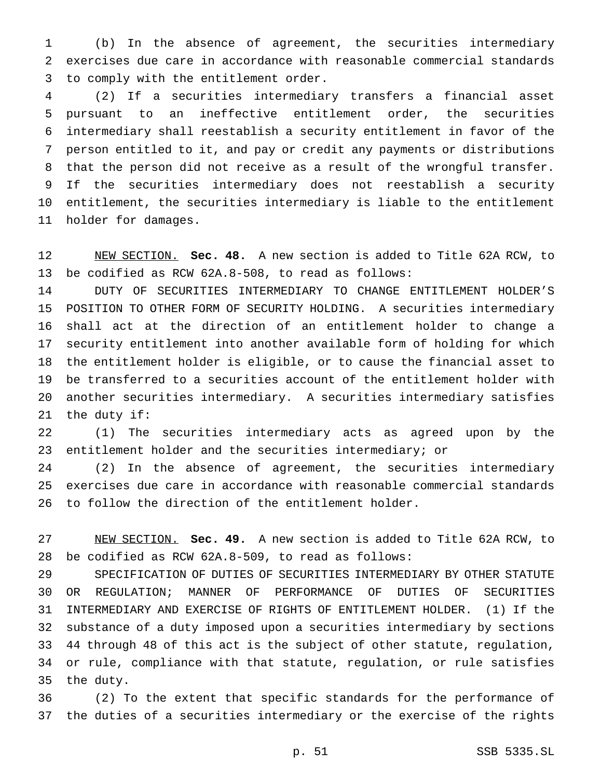(b) In the absence of agreement, the securities intermediary exercises due care in accordance with reasonable commercial standards to comply with the entitlement order.

 (2) If a securities intermediary transfers a financial asset pursuant to an ineffective entitlement order, the securities intermediary shall reestablish a security entitlement in favor of the person entitled to it, and pay or credit any payments or distributions that the person did not receive as a result of the wrongful transfer. If the securities intermediary does not reestablish a security entitlement, the securities intermediary is liable to the entitlement holder for damages.

 NEW SECTION. **Sec. 48.** A new section is added to Title 62A RCW, to be codified as RCW 62A.8-508, to read as follows:

 DUTY OF SECURITIES INTERMEDIARY TO CHANGE ENTITLEMENT HOLDER'S POSITION TO OTHER FORM OF SECURITY HOLDING. A securities intermediary shall act at the direction of an entitlement holder to change a security entitlement into another available form of holding for which the entitlement holder is eligible, or to cause the financial asset to be transferred to a securities account of the entitlement holder with another securities intermediary. A securities intermediary satisfies the duty if:

 (1) The securities intermediary acts as agreed upon by the entitlement holder and the securities intermediary; or

 (2) In the absence of agreement, the securities intermediary exercises due care in accordance with reasonable commercial standards to follow the direction of the entitlement holder.

 NEW SECTION. **Sec. 49.** A new section is added to Title 62A RCW, to be codified as RCW 62A.8-509, to read as follows:

 SPECIFICATION OF DUTIES OF SECURITIES INTERMEDIARY BY OTHER STATUTE OR REGULATION; MANNER OF PERFORMANCE OF DUTIES OF SECURITIES INTERMEDIARY AND EXERCISE OF RIGHTS OF ENTITLEMENT HOLDER. (1) If the substance of a duty imposed upon a securities intermediary by sections 44 through 48 of this act is the subject of other statute, regulation, or rule, compliance with that statute, regulation, or rule satisfies the duty.

 (2) To the extent that specific standards for the performance of the duties of a securities intermediary or the exercise of the rights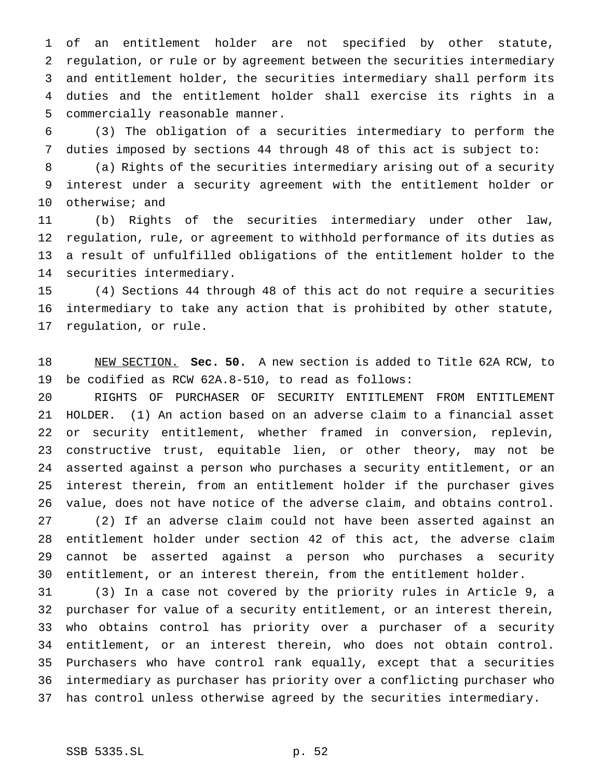of an entitlement holder are not specified by other statute, regulation, or rule or by agreement between the securities intermediary and entitlement holder, the securities intermediary shall perform its duties and the entitlement holder shall exercise its rights in a commercially reasonable manner.

 (3) The obligation of a securities intermediary to perform the duties imposed by sections 44 through 48 of this act is subject to:

 (a) Rights of the securities intermediary arising out of a security interest under a security agreement with the entitlement holder or otherwise; and

 (b) Rights of the securities intermediary under other law, regulation, rule, or agreement to withhold performance of its duties as a result of unfulfilled obligations of the entitlement holder to the securities intermediary.

 (4) Sections 44 through 48 of this act do not require a securities intermediary to take any action that is prohibited by other statute, regulation, or rule.

 NEW SECTION. **Sec. 50.** A new section is added to Title 62A RCW, to be codified as RCW 62A.8-510, to read as follows:

 RIGHTS OF PURCHASER OF SECURITY ENTITLEMENT FROM ENTITLEMENT HOLDER. (1) An action based on an adverse claim to a financial asset or security entitlement, whether framed in conversion, replevin, constructive trust, equitable lien, or other theory, may not be asserted against a person who purchases a security entitlement, or an interest therein, from an entitlement holder if the purchaser gives value, does not have notice of the adverse claim, and obtains control.

 (2) If an adverse claim could not have been asserted against an entitlement holder under section 42 of this act, the adverse claim cannot be asserted against a person who purchases a security entitlement, or an interest therein, from the entitlement holder.

 (3) In a case not covered by the priority rules in Article 9, a purchaser for value of a security entitlement, or an interest therein, who obtains control has priority over a purchaser of a security entitlement, or an interest therein, who does not obtain control. Purchasers who have control rank equally, except that a securities intermediary as purchaser has priority over a conflicting purchaser who has control unless otherwise agreed by the securities intermediary.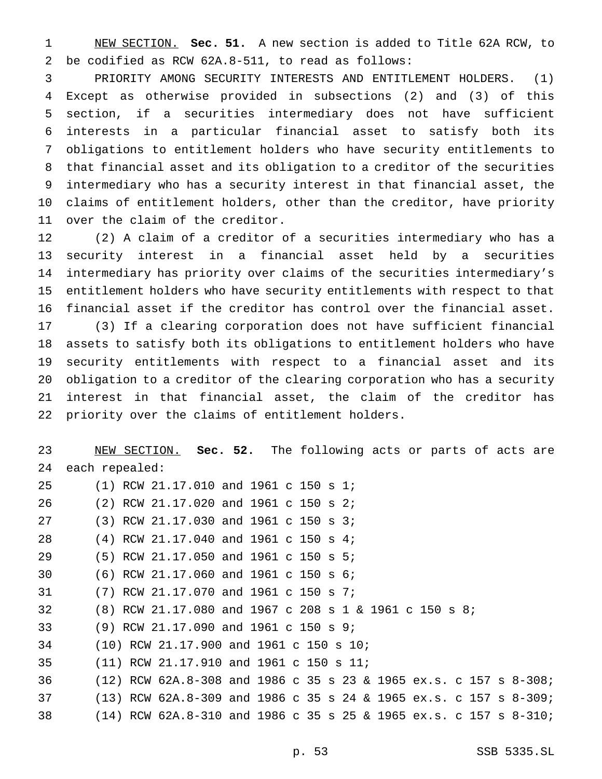NEW SECTION. **Sec. 51.** A new section is added to Title 62A RCW, to be codified as RCW 62A.8-511, to read as follows:

 PRIORITY AMONG SECURITY INTERESTS AND ENTITLEMENT HOLDERS. (1) Except as otherwise provided in subsections (2) and (3) of this section, if a securities intermediary does not have sufficient interests in a particular financial asset to satisfy both its obligations to entitlement holders who have security entitlements to that financial asset and its obligation to a creditor of the securities intermediary who has a security interest in that financial asset, the claims of entitlement holders, other than the creditor, have priority over the claim of the creditor.

 (2) A claim of a creditor of a securities intermediary who has a security interest in a financial asset held by a securities intermediary has priority over claims of the securities intermediary's entitlement holders who have security entitlements with respect to that financial asset if the creditor has control over the financial asset. (3) If a clearing corporation does not have sufficient financial assets to satisfy both its obligations to entitlement holders who have security entitlements with respect to a financial asset and its obligation to a creditor of the clearing corporation who has a security interest in that financial asset, the claim of the creditor has priority over the claims of entitlement holders.

 NEW SECTION. **Sec. 52.** The following acts or parts of acts are each repealed: (1) RCW 21.17.010 and 1961 c 150 s 1; (2) RCW 21.17.020 and 1961 c 150 s 2; (3) RCW 21.17.030 and 1961 c 150 s 3; (4) RCW 21.17.040 and 1961 c 150 s 4; (5) RCW 21.17.050 and 1961 c 150 s 5; (6) RCW 21.17.060 and 1961 c 150 s 6; (7) RCW 21.17.070 and 1961 c 150 s 7; (8) RCW 21.17.080 and 1967 c 208s1& 1961 c 150 s 8; (9) RCW 21.17.090 and 1961 c 150 s 9; (10) RCW 21.17.900 and 1961 c 150 s 10; (11) RCW 21.17.910 and 1961 c 150 s 11; (12) RCW 62A.8-308 and 1986 c 35 s 23 & 1965 ex.s. c 157 s 8-308; (13) RCW 62A.8-309 and 1986 c 35 s 24 & 1965 ex.s. c 157 s 8-309; (14) RCW 62A.8-310 and 1986 c 35 s 25 & 1965 ex.s. c 157 s 8-310;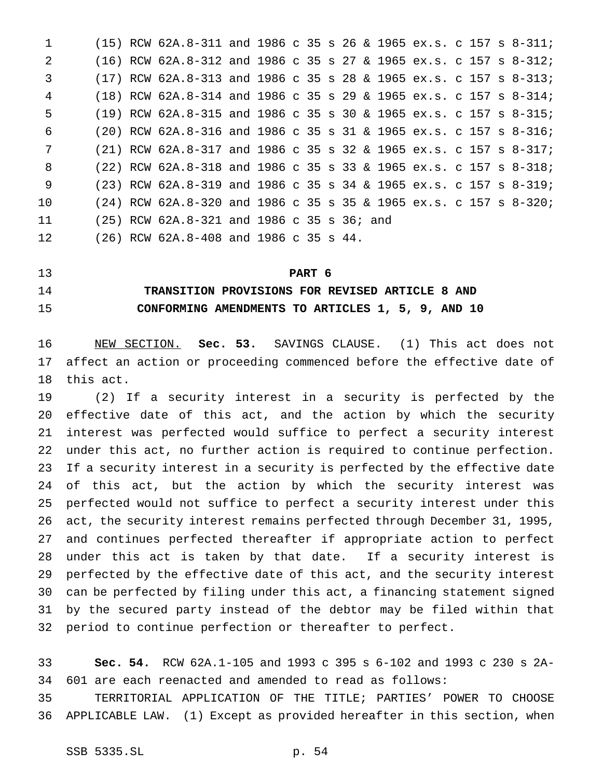| 1               |  | $(15)$ RCW 62A.8-311 and 1986 c 35 s 26 & 1965 ex.s. c 157 s 8-311; |  |  |  |  |  |  |  |
|-----------------|--|---------------------------------------------------------------------|--|--|--|--|--|--|--|
| -2              |  | $(16)$ RCW 62A.8-312 and 1986 c 35 s 27 & 1965 ex.s. c 157 s 8-312; |  |  |  |  |  |  |  |
| 3               |  | $(17)$ RCW 62A.8-313 and 1986 c 35 s 28 & 1965 ex.s. c 157 s 8-313; |  |  |  |  |  |  |  |
| 4               |  | $(18)$ RCW 62A.8-314 and 1986 c 35 s 29 & 1965 ex.s. c 157 s 8-314; |  |  |  |  |  |  |  |
| -5              |  | (19) RCW 62A.8-315 and 1986 c 35 s 30 & 1965 ex.s. c 157 s 8-315;   |  |  |  |  |  |  |  |
| -6              |  | $(20)$ RCW 62A.8-316 and 1986 c 35 s 31 & 1965 ex.s. c 157 s 8-316; |  |  |  |  |  |  |  |
| 7               |  | (21) RCW 62A.8-317 and 1986 c 35 s 32 & 1965 ex.s. c 157 s 8-317;   |  |  |  |  |  |  |  |
| -8              |  | (22) RCW 62A.8-318 and 1986 c 35 s 33 & 1965 ex.s. c 157 s 8-318;   |  |  |  |  |  |  |  |
| - 9             |  | $(23)$ RCW 62A.8-319 and 1986 c 35 s 34 & 1965 ex.s. c 157 s 8-319; |  |  |  |  |  |  |  |
| 10              |  | $(24)$ RCW 62A.8-320 and 1986 c 35 s 35 & 1965 ex.s. c 157 s 8-320; |  |  |  |  |  |  |  |
| 11              |  | $(25)$ RCW 62A.8-321 and 1986 c 35 s 36; and                        |  |  |  |  |  |  |  |
| 12 <sup>°</sup> |  | $(26)$ RCW 62A.8-408 and 1986 c 35 s 44.                            |  |  |  |  |  |  |  |

**PART 6**

# **TRANSITION PROVISIONS FOR REVISED ARTICLE 8 AND CONFORMING AMENDMENTS TO ARTICLES 1, 5, 9, AND 10**

 NEW SECTION. **Sec. 53.** SAVINGS CLAUSE. (1) This act does not affect an action or proceeding commenced before the effective date of this act.

 (2) If a security interest in a security is perfected by the effective date of this act, and the action by which the security interest was perfected would suffice to perfect a security interest under this act, no further action is required to continue perfection. If a security interest in a security is perfected by the effective date of this act, but the action by which the security interest was perfected would not suffice to perfect a security interest under this act, the security interest remains perfected through December 31, 1995, and continues perfected thereafter if appropriate action to perfect under this act is taken by that date. If a security interest is perfected by the effective date of this act, and the security interest can be perfected by filing under this act, a financing statement signed by the secured party instead of the debtor may be filed within that period to continue perfection or thereafter to perfect.

 **Sec. 54.** RCW 62A.1-105 and 1993 c 395 s 6-102 and 1993 c 230 s 2A-601 are each reenacted and amended to read as follows:

 TERRITORIAL APPLICATION OF THE TITLE; PARTIES' POWER TO CHOOSE APPLICABLE LAW. (1) Except as provided hereafter in this section, when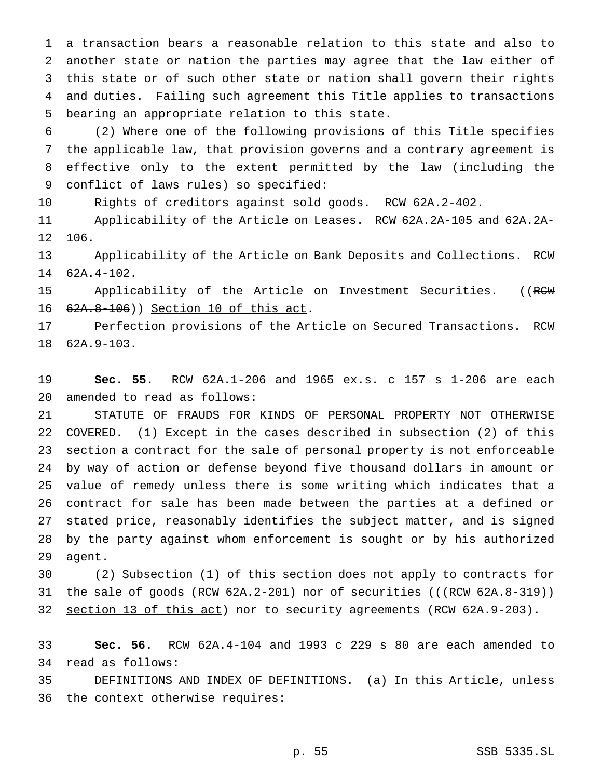a transaction bears a reasonable relation to this state and also to another state or nation the parties may agree that the law either of this state or of such other state or nation shall govern their rights and duties. Failing such agreement this Title applies to transactions bearing an appropriate relation to this state.

 (2) Where one of the following provisions of this Title specifies the applicable law, that provision governs and a contrary agreement is effective only to the extent permitted by the law (including the conflict of laws rules) so specified:

Rights of creditors against sold goods. RCW 62A.2-402.

 Applicability of the Article on Leases. RCW 62A.2A-105 and 62A.2A-106.

 Applicability of the Article on Bank Deposits and Collections. RCW 62A.4-102.

15 Applicability of the Article on Investment Securities. ((RCW 62A.8-106)) Section 10 of this act.

 Perfection provisions of the Article on Secured Transactions. RCW 62A.9-103.

 **Sec. 55.** RCW 62A.1-206 and 1965 ex.s. c 157 s 1-206 are each amended to read as follows:

 STATUTE OF FRAUDS FOR KINDS OF PERSONAL PROPERTY NOT OTHERWISE COVERED. (1) Except in the cases described in subsection (2) of this section a contract for the sale of personal property is not enforceable by way of action or defense beyond five thousand dollars in amount or value of remedy unless there is some writing which indicates that a contract for sale has been made between the parties at a defined or stated price, reasonably identifies the subject matter, and is signed by the party against whom enforcement is sought or by his authorized agent.

 (2) Subsection (1) of this section does not apply to contracts for 31 the sale of goods (RCW 62A.2-201) nor of securities (((RCW 62A.8-319)) 32 section 13 of this act) nor to security agreements (RCW 62A.9-203).

 **Sec. 56.** RCW 62A.4-104 and 1993 c 229 s 80 are each amended to read as follows:

 DEFINITIONS AND INDEX OF DEFINITIONS. (a) In this Article, unless the context otherwise requires: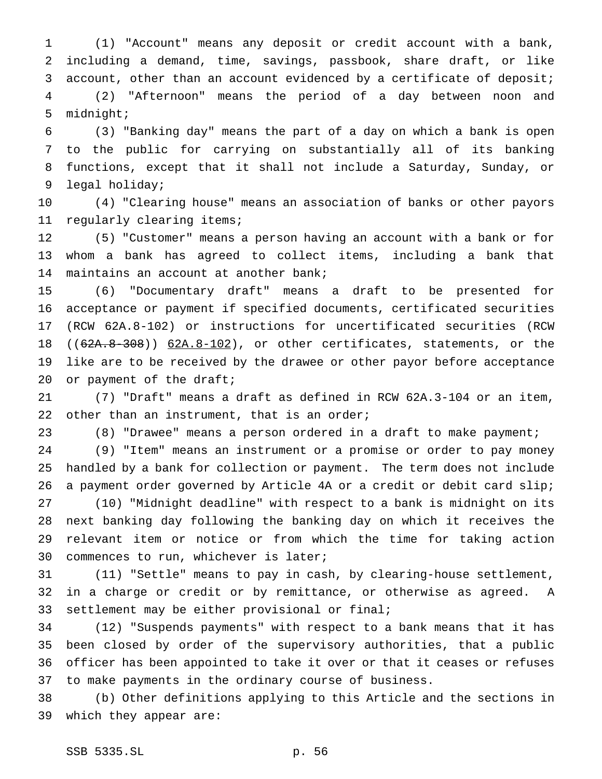(1) "Account" means any deposit or credit account with a bank, including a demand, time, savings, passbook, share draft, or like account, other than an account evidenced by a certificate of deposit; (2) "Afternoon" means the period of a day between noon and

 (3) "Banking day" means the part of a day on which a bank is open to the public for carrying on substantially all of its banking functions, except that it shall not include a Saturday, Sunday, or legal holiday;

 (4) "Clearing house" means an association of banks or other payors regularly clearing items;

 (5) "Customer" means a person having an account with a bank or for whom a bank has agreed to collect items, including a bank that maintains an account at another bank;

 (6) "Documentary draft" means a draft to be presented for acceptance or payment if specified documents, certificated securities (RCW 62A.8-102) or instructions for uncertificated securities (RCW 18 ((62A.8-308)) 62A.8-102), or other certificates, statements, or the like are to be received by the drawee or other payor before acceptance 20 or payment of the draft;

 (7) "Draft" means a draft as defined in RCW 62A.3-104 or an item, other than an instrument, that is an order;

(8) "Drawee" means a person ordered in a draft to make payment;

 (9) "Item" means an instrument or a promise or order to pay money handled by a bank for collection or payment. The term does not include a payment order governed by Article 4A or a credit or debit card slip;

 (10) "Midnight deadline" with respect to a bank is midnight on its next banking day following the banking day on which it receives the relevant item or notice or from which the time for taking action commences to run, whichever is later;

 (11) "Settle" means to pay in cash, by clearing-house settlement, in a charge or credit or by remittance, or otherwise as agreed. A settlement may be either provisional or final;

 (12) "Suspends payments" with respect to a bank means that it has been closed by order of the supervisory authorities, that a public officer has been appointed to take it over or that it ceases or refuses to make payments in the ordinary course of business.

 (b) Other definitions applying to this Article and the sections in which they appear are:

midnight;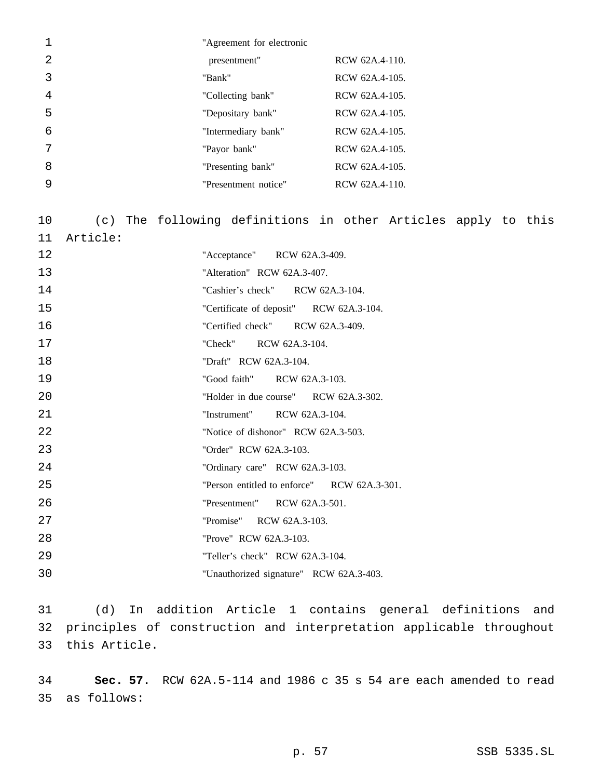| $\mathbf 1$ |          | "Agreement for electronic                                 |                |                |  |  |  |  |  |  |
|-------------|----------|-----------------------------------------------------------|----------------|----------------|--|--|--|--|--|--|
| 2           |          | presentment"                                              | RCW 62A.4-110. |                |  |  |  |  |  |  |
| 3           |          | "Bank"                                                    | RCW 62A.4-105. |                |  |  |  |  |  |  |
| 4           |          | "Collecting bank"                                         | RCW 62A.4-105. |                |  |  |  |  |  |  |
| 5           |          | "Depositary bank"                                         | RCW 62A.4-105. |                |  |  |  |  |  |  |
| 6           |          | "Intermediary bank"                                       | RCW 62A.4-105. |                |  |  |  |  |  |  |
| 7           |          | "Payor bank"                                              | RCW 62A.4-105. |                |  |  |  |  |  |  |
| 8           |          | "Presenting bank"                                         |                | RCW 62A.4-105. |  |  |  |  |  |  |
| 9           |          | "Presentment notice"                                      |                | RCW 62A.4-110. |  |  |  |  |  |  |
|             |          |                                                           |                |                |  |  |  |  |  |  |
| 10          | (c)      | The following definitions in other Articles apply to this |                |                |  |  |  |  |  |  |
| 11          | Article: |                                                           |                |                |  |  |  |  |  |  |
| 12          |          | "Acceptance"<br>RCW 62A.3-409.                            |                |                |  |  |  |  |  |  |
| 13          |          | "Alteration" RCW 62A.3-407.                               |                |                |  |  |  |  |  |  |
| 14          |          | "Cashier's check"                                         | RCW 62A.3-104. |                |  |  |  |  |  |  |
| 15          |          | "Certificate of deposit" RCW 62A.3-104.                   |                |                |  |  |  |  |  |  |
| 16          |          | "Certified check"                                         | RCW 62A.3-409. |                |  |  |  |  |  |  |
| 17          |          | "Check"<br>RCW 62A.3-104.                                 |                |                |  |  |  |  |  |  |
| 18          |          | "Draft" RCW 62A.3-104.                                    |                |                |  |  |  |  |  |  |
| 19          |          | "Good faith"<br>RCW 62A.3-103.                            |                |                |  |  |  |  |  |  |
| 20          |          | "Holder in due course"                                    | RCW 62A.3-302. |                |  |  |  |  |  |  |
| 21          |          | "Instrument"<br>RCW 62A.3-104.                            |                |                |  |  |  |  |  |  |
| 22          |          | "Notice of dishonor" RCW 62A.3-503.                       |                |                |  |  |  |  |  |  |
| 23          |          | "Order" RCW 62A.3-103.                                    |                |                |  |  |  |  |  |  |
| 24          |          | "Ordinary care" RCW 62A.3-103.                            |                |                |  |  |  |  |  |  |
| 25          |          | "Person entitled to enforce"                              | RCW 62A.3-301. |                |  |  |  |  |  |  |
| 26          |          | "Presentment"<br>RCW 62A.3-501.                           |                |                |  |  |  |  |  |  |
| 27          |          | "Promise"<br>RCW 62A.3-103.                               |                |                |  |  |  |  |  |  |
| 28          |          | "Prove" RCW 62A.3-103.                                    |                |                |  |  |  |  |  |  |
| 29          |          | "Teller's check" RCW 62A.3-104.                           |                |                |  |  |  |  |  |  |
| 30          |          | "Unauthorized signature" RCW 62A.3-403.                   |                |                |  |  |  |  |  |  |

 (d) In addition Article 1 contains general definitions and principles of construction and interpretation applicable throughout this Article.

 **Sec. 57.** RCW 62A.5-114 and 1986 c 35 s 54 are each amended to read as follows: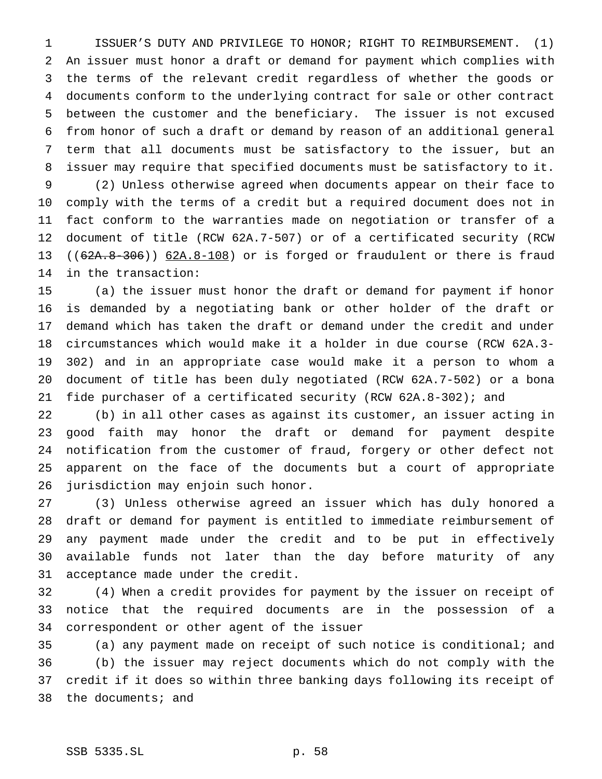ISSUER'S DUTY AND PRIVILEGE TO HONOR; RIGHT TO REIMBURSEMENT. (1) An issuer must honor a draft or demand for payment which complies with the terms of the relevant credit regardless of whether the goods or documents conform to the underlying contract for sale or other contract between the customer and the beneficiary. The issuer is not excused from honor of such a draft or demand by reason of an additional general term that all documents must be satisfactory to the issuer, but an issuer may require that specified documents must be satisfactory to it.

 (2) Unless otherwise agreed when documents appear on their face to comply with the terms of a credit but a required document does not in fact conform to the warranties made on negotiation or transfer of a document of title (RCW 62A.7-507) or of a certificated security (RCW 13 ((62A.8-306)) 62A.8-108) or is forged or fraudulent or there is fraud in the transaction:

 (a) the issuer must honor the draft or demand for payment if honor is demanded by a negotiating bank or other holder of the draft or demand which has taken the draft or demand under the credit and under circumstances which would make it a holder in due course (RCW 62A.3- 302) and in an appropriate case would make it a person to whom a document of title has been duly negotiated (RCW 62A.7-502) or a bona fide purchaser of a certificated security (RCW 62A.8-302); and

 (b) in all other cases as against its customer, an issuer acting in good faith may honor the draft or demand for payment despite notification from the customer of fraud, forgery or other defect not apparent on the face of the documents but a court of appropriate jurisdiction may enjoin such honor.

 (3) Unless otherwise agreed an issuer which has duly honored a draft or demand for payment is entitled to immediate reimbursement of any payment made under the credit and to be put in effectively available funds not later than the day before maturity of any acceptance made under the credit.

 (4) When a credit provides for payment by the issuer on receipt of notice that the required documents are in the possession of a correspondent or other agent of the issuer

 (a) any payment made on receipt of such notice is conditional; and (b) the issuer may reject documents which do not comply with the credit if it does so within three banking days following its receipt of the documents; and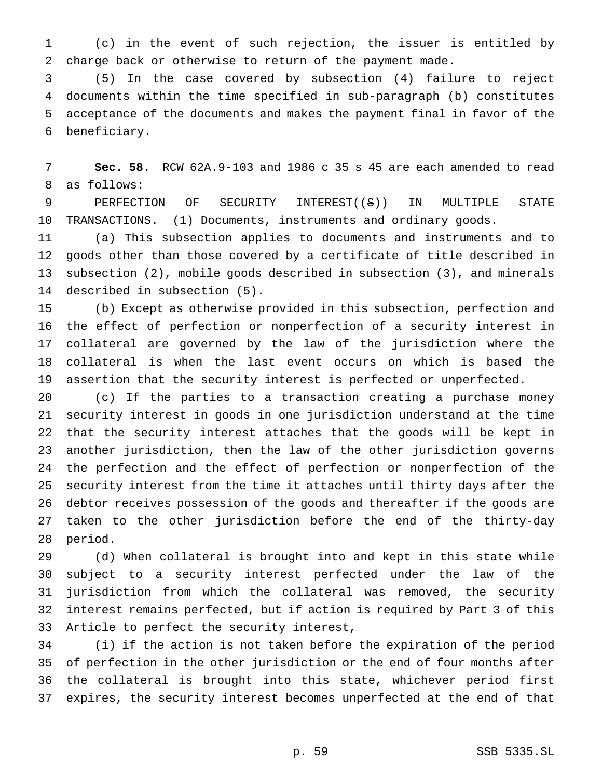(c) in the event of such rejection, the issuer is entitled by charge back or otherwise to return of the payment made.

 (5) In the case covered by subsection (4) failure to reject documents within the time specified in sub-paragraph (b) constitutes acceptance of the documents and makes the payment final in favor of the beneficiary.

 **Sec. 58.** RCW 62A.9-103 and 1986 c 35 s 45 are each amended to read as follows:

 PERFECTION OF SECURITY INTEREST((S)) IN MULTIPLE STATE TRANSACTIONS. (1) Documents, instruments and ordinary goods.

 (a) This subsection applies to documents and instruments and to goods other than those covered by a certificate of title described in subsection (2), mobile goods described in subsection (3), and minerals described in subsection (5).

 (b) Except as otherwise provided in this subsection, perfection and the effect of perfection or nonperfection of a security interest in collateral are governed by the law of the jurisdiction where the collateral is when the last event occurs on which is based the assertion that the security interest is perfected or unperfected.

 (c) If the parties to a transaction creating a purchase money security interest in goods in one jurisdiction understand at the time that the security interest attaches that the goods will be kept in another jurisdiction, then the law of the other jurisdiction governs the perfection and the effect of perfection or nonperfection of the security interest from the time it attaches until thirty days after the debtor receives possession of the goods and thereafter if the goods are taken to the other jurisdiction before the end of the thirty-day period.

 (d) When collateral is brought into and kept in this state while subject to a security interest perfected under the law of the jurisdiction from which the collateral was removed, the security interest remains perfected, but if action is required by Part 3 of this Article to perfect the security interest,

 (i) if the action is not taken before the expiration of the period of perfection in the other jurisdiction or the end of four months after the collateral is brought into this state, whichever period first expires, the security interest becomes unperfected at the end of that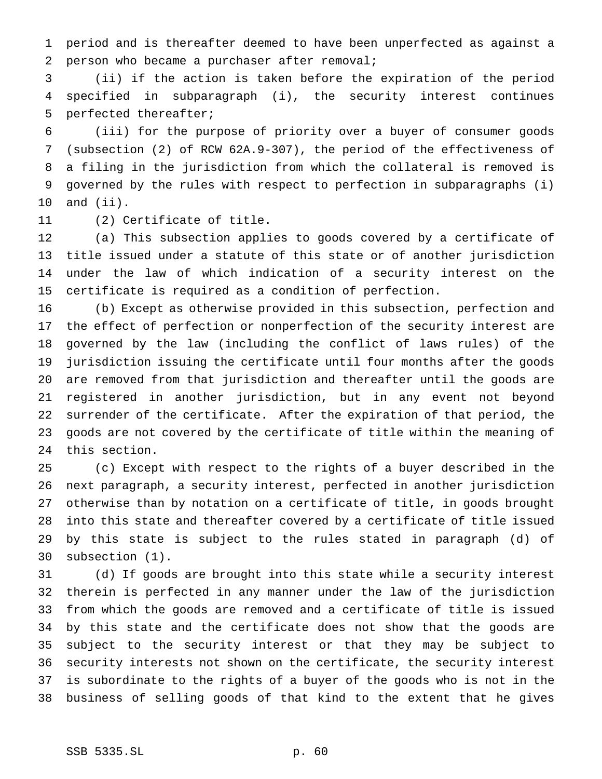period and is thereafter deemed to have been unperfected as against a person who became a purchaser after removal;

 (ii) if the action is taken before the expiration of the period specified in subparagraph (i), the security interest continues perfected thereafter;

 (iii) for the purpose of priority over a buyer of consumer goods (subsection (2) of RCW 62A.9-307), the period of the effectiveness of a filing in the jurisdiction from which the collateral is removed is governed by the rules with respect to perfection in subparagraphs (i) and (ii).

(2) Certificate of title.

 (a) This subsection applies to goods covered by a certificate of title issued under a statute of this state or of another jurisdiction under the law of which indication of a security interest on the certificate is required as a condition of perfection.

 (b) Except as otherwise provided in this subsection, perfection and the effect of perfection or nonperfection of the security interest are governed by the law (including the conflict of laws rules) of the jurisdiction issuing the certificate until four months after the goods are removed from that jurisdiction and thereafter until the goods are registered in another jurisdiction, but in any event not beyond surrender of the certificate. After the expiration of that period, the goods are not covered by the certificate of title within the meaning of this section.

 (c) Except with respect to the rights of a buyer described in the next paragraph, a security interest, perfected in another jurisdiction otherwise than by notation on a certificate of title, in goods brought into this state and thereafter covered by a certificate of title issued by this state is subject to the rules stated in paragraph (d) of subsection (1).

 (d) If goods are brought into this state while a security interest therein is perfected in any manner under the law of the jurisdiction from which the goods are removed and a certificate of title is issued by this state and the certificate does not show that the goods are subject to the security interest or that they may be subject to security interests not shown on the certificate, the security interest is subordinate to the rights of a buyer of the goods who is not in the business of selling goods of that kind to the extent that he gives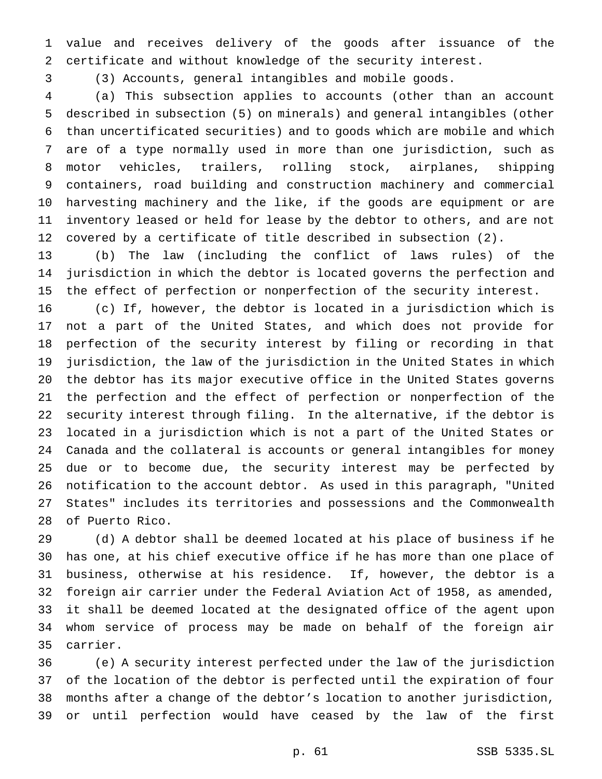value and receives delivery of the goods after issuance of the certificate and without knowledge of the security interest.

(3) Accounts, general intangibles and mobile goods.

 (a) This subsection applies to accounts (other than an account described in subsection (5) on minerals) and general intangibles (other than uncertificated securities) and to goods which are mobile and which are of a type normally used in more than one jurisdiction, such as motor vehicles, trailers, rolling stock, airplanes, shipping containers, road building and construction machinery and commercial harvesting machinery and the like, if the goods are equipment or are inventory leased or held for lease by the debtor to others, and are not covered by a certificate of title described in subsection (2).

 (b) The law (including the conflict of laws rules) of the jurisdiction in which the debtor is located governs the perfection and the effect of perfection or nonperfection of the security interest.

 (c) If, however, the debtor is located in a jurisdiction which is not a part of the United States, and which does not provide for perfection of the security interest by filing or recording in that jurisdiction, the law of the jurisdiction in the United States in which the debtor has its major executive office in the United States governs the perfection and the effect of perfection or nonperfection of the security interest through filing. In the alternative, if the debtor is located in a jurisdiction which is not a part of the United States or Canada and the collateral is accounts or general intangibles for money due or to become due, the security interest may be perfected by notification to the account debtor. As used in this paragraph, "United States" includes its territories and possessions and the Commonwealth of Puerto Rico.

 (d) A debtor shall be deemed located at his place of business if he has one, at his chief executive office if he has more than one place of business, otherwise at his residence. If, however, the debtor is a foreign air carrier under the Federal Aviation Act of 1958, as amended, it shall be deemed located at the designated office of the agent upon whom service of process may be made on behalf of the foreign air carrier.

 (e) A security interest perfected under the law of the jurisdiction of the location of the debtor is perfected until the expiration of four months after a change of the debtor's location to another jurisdiction, or until perfection would have ceased by the law of the first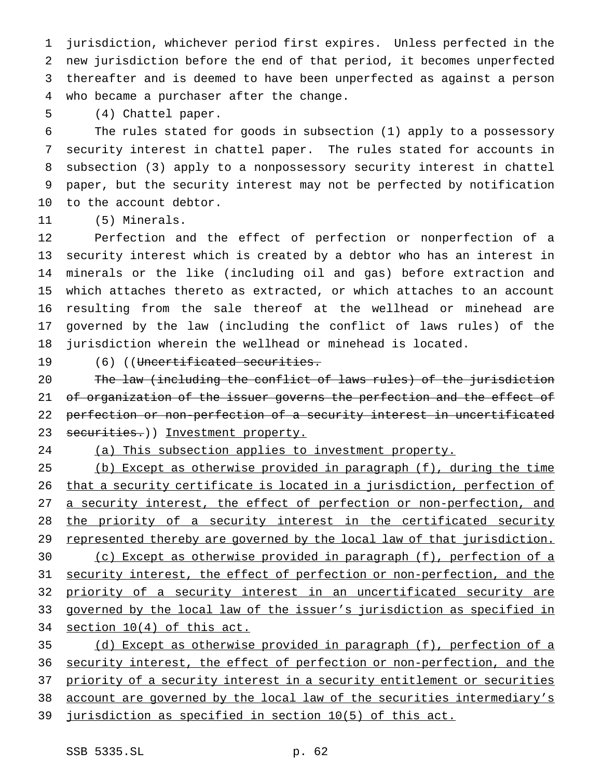jurisdiction, whichever period first expires. Unless perfected in the new jurisdiction before the end of that period, it becomes unperfected thereafter and is deemed to have been unperfected as against a person who became a purchaser after the change.

(4) Chattel paper.

 The rules stated for goods in subsection (1) apply to a possessory security interest in chattel paper. The rules stated for accounts in subsection (3) apply to a nonpossessory security interest in chattel paper, but the security interest may not be perfected by notification to the account debtor.

(5) Minerals.

 Perfection and the effect of perfection or nonperfection of a security interest which is created by a debtor who has an interest in minerals or the like (including oil and gas) before extraction and which attaches thereto as extracted, or which attaches to an account resulting from the sale thereof at the wellhead or minehead are governed by the law (including the conflict of laws rules) of the jurisdiction wherein the wellhead or minehead is located.

19 (6) ((Uncertificated securities.

 The law (including the conflict of laws rules) of the jurisdiction 21 of organization of the issuer governs the perfection and the effect of perfection or non-perfection of a security interest in uncertificated 23 securities.)) Investment property.

## (a) This subsection applies to investment property.

 (b) Except as otherwise provided in paragraph (f), during the time that a security certificate is located in a jurisdiction, perfection of 27 a security interest, the effect of perfection or non-perfection, and the priority of a security interest in the certificated security 29 represented thereby are governed by the local law of that jurisdiction. (c) Except as otherwise provided in paragraph (f), perfection of a 31 security interest, the effect of perfection or non-perfection, and the 32 priority of a security interest in an uncertificated security are governed by the local law of the issuer's jurisdiction as specified in section 10(4) of this act.

 (d) Except as otherwise provided in paragraph (f), perfection of a security interest, the effect of perfection or non-perfection, and the 37 priority of a security interest in a security entitlement or securities account are governed by the local law of the securities intermediary's jurisdiction as specified in section 10(5) of this act.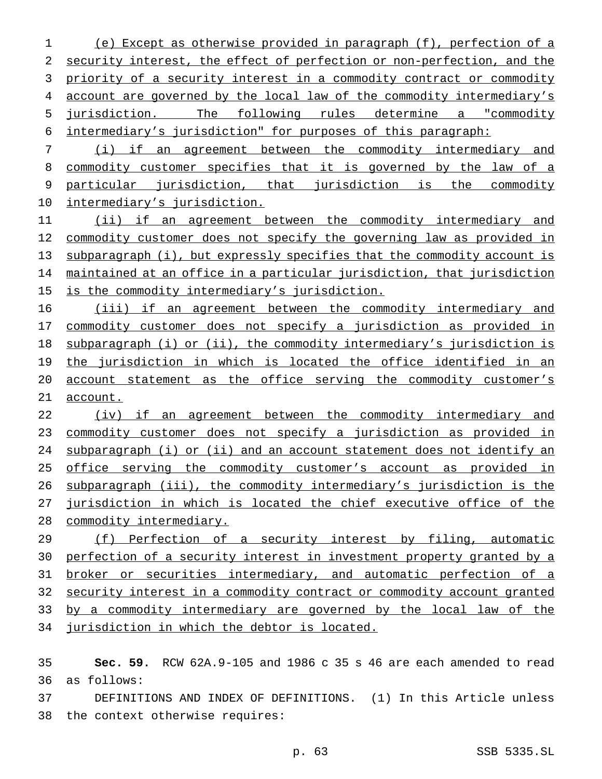(e) Except as otherwise provided in paragraph (f), perfection of a security interest, the effect of perfection or non-perfection, and the 3 priority of a security interest in a commodity contract or commodity 4 account are governed by the local law of the commodity intermediary's jurisdiction. The following rules determine a "commodity intermediary's jurisdiction" for purposes of this paragraph:

 (i) if an agreement between the commodity intermediary and commodity customer specifies that it is governed by the law of a particular jurisdiction, that jurisdiction is the commodity intermediary's jurisdiction.

 (ii) if an agreement between the commodity intermediary and 12 commodity customer does not specify the governing law as provided in 13 subparagraph (i), but expressly specifies that the commodity account is maintained at an office in a particular jurisdiction, that jurisdiction 15 is the commodity intermediary's jurisdiction.

 (iii) if an agreement between the commodity intermediary and 17 commodity customer does not specify a jurisdiction as provided in subparagraph (i) or (ii), the commodity intermediary's jurisdiction is the jurisdiction in which is located the office identified in an 20 account statement as the office serving the commodity customer's account.

22 (iv) if an agreement between the commodity intermediary and 23 commodity customer does not specify a jurisdiction as provided in 24 subparagraph (i) or (ii) and an account statement does not identify an office serving the commodity customer's account as provided in subparagraph (iii), the commodity intermediary's jurisdiction is the 27 jurisdiction in which is located the chief executive office of the commodity intermediary.

 (f) Perfection of a security interest by filing, automatic perfection of a security interest in investment property granted by a broker or securities intermediary, and automatic perfection of a security interest in a commodity contract or commodity account granted by a commodity intermediary are governed by the local law of the jurisdiction in which the debtor is located.

 **Sec. 59.** RCW 62A.9-105 and 1986 c 35 s 46 are each amended to read as follows:

 DEFINITIONS AND INDEX OF DEFINITIONS. (1) In this Article unless the context otherwise requires:

p. 63 SSB 5335.SL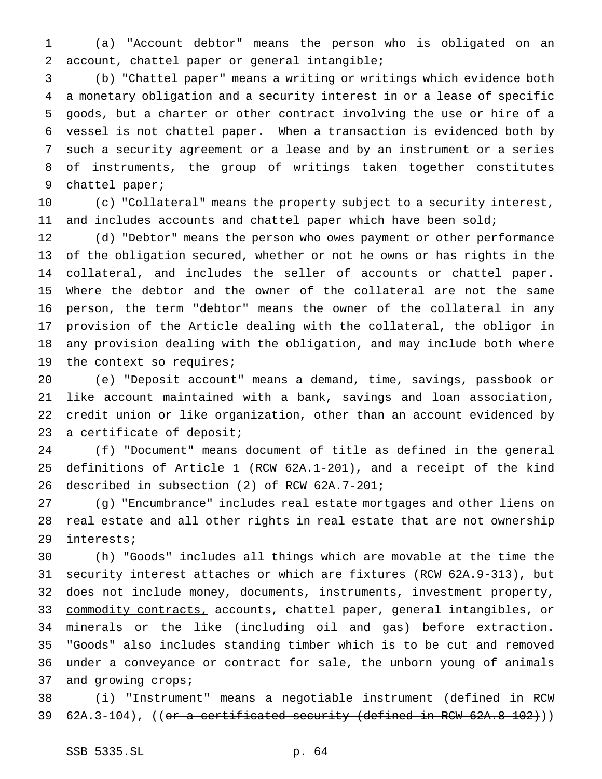(a) "Account debtor" means the person who is obligated on an account, chattel paper or general intangible;

 (b) "Chattel paper" means a writing or writings which evidence both a monetary obligation and a security interest in or a lease of specific goods, but a charter or other contract involving the use or hire of a vessel is not chattel paper. When a transaction is evidenced both by such a security agreement or a lease and by an instrument or a series of instruments, the group of writings taken together constitutes chattel paper;

 (c) "Collateral" means the property subject to a security interest, and includes accounts and chattel paper which have been sold;

 (d) "Debtor" means the person who owes payment or other performance of the obligation secured, whether or not he owns or has rights in the collateral, and includes the seller of accounts or chattel paper. Where the debtor and the owner of the collateral are not the same person, the term "debtor" means the owner of the collateral in any provision of the Article dealing with the collateral, the obligor in any provision dealing with the obligation, and may include both where 19 the context so requires;

 (e) "Deposit account" means a demand, time, savings, passbook or like account maintained with a bank, savings and loan association, credit union or like organization, other than an account evidenced by 23 a certificate of deposit;

 (f) "Document" means document of title as defined in the general definitions of Article 1 (RCW 62A.1-201), and a receipt of the kind described in subsection (2) of RCW 62A.7-201;

 (g) "Encumbrance" includes real estate mortgages and other liens on real estate and all other rights in real estate that are not ownership interests;

 (h) "Goods" includes all things which are movable at the time the security interest attaches or which are fixtures (RCW 62A.9-313), but 32 does not include money, documents, instruments, investment property, 33 commodity contracts, accounts, chattel paper, general intangibles, or minerals or the like (including oil and gas) before extraction. "Goods" also includes standing timber which is to be cut and removed under a conveyance or contract for sale, the unborn young of animals and growing crops;

 (i) "Instrument" means a negotiable instrument (defined in RCW 39 62A.3-104), ((<del>or a certificated security (defined in RCW 62A.8-102)</del>))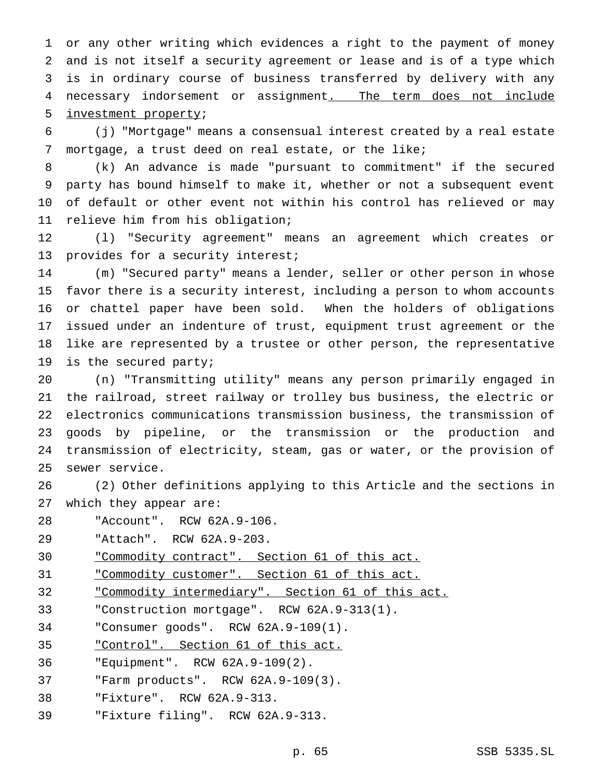or any other writing which evidences a right to the payment of money and is not itself a security agreement or lease and is of a type which is in ordinary course of business transferred by delivery with any necessary indorsement or assignment. The term does not include investment property;

 (j) "Mortgage" means a consensual interest created by a real estate mortgage, a trust deed on real estate, or the like;

 (k) An advance is made "pursuant to commitment" if the secured party has bound himself to make it, whether or not a subsequent event of default or other event not within his control has relieved or may relieve him from his obligation;

 (l) "Security agreement" means an agreement which creates or 13 provides for a security interest;

 (m) "Secured party" means a lender, seller or other person in whose favor there is a security interest, including a person to whom accounts or chattel paper have been sold. When the holders of obligations issued under an indenture of trust, equipment trust agreement or the like are represented by a trustee or other person, the representative is the secured party;

 (n) "Transmitting utility" means any person primarily engaged in the railroad, street railway or trolley bus business, the electric or electronics communications transmission business, the transmission of goods by pipeline, or the transmission or the production and transmission of electricity, steam, gas or water, or the provision of sewer service.

 (2) Other definitions applying to this Article and the sections in which they appear are:

- "Account". RCW 62A.9-106.
- "Attach". RCW 62A.9-203.

"Commodity contract". Section 61 of this act.

- "Commodity customer". Section 61 of this act.
- "Commodity intermediary". Section 61 of this act.
- "Construction mortgage". RCW 62A.9-313(1).
- "Consumer goods". RCW 62A.9-109(1).
- "Control". Section 61 of this act.
- "Equipment". RCW 62A.9-109(2).
- "Farm products". RCW 62A.9-109(3).
- "Fixture". RCW 62A.9-313.
- "Fixture filing". RCW 62A.9-313.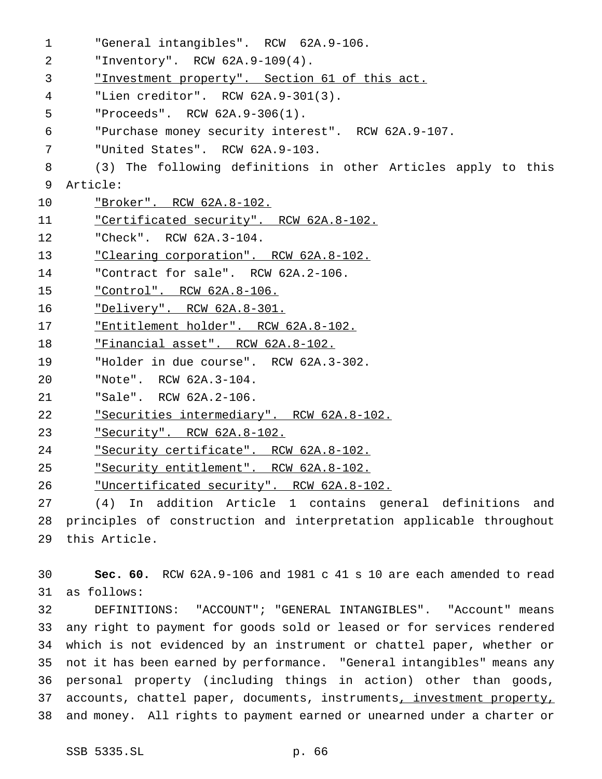| $\mathbf 1$ | "General intangibles". RCW 62A.9-106.                         |  |  |  |  |  |  |  |
|-------------|---------------------------------------------------------------|--|--|--|--|--|--|--|
| 2           | "Inventory". RCW 62A.9-109(4).                                |  |  |  |  |  |  |  |
| 3           | "Investment property". Section 61 of this act.                |  |  |  |  |  |  |  |
| 4           | "Lien creditor". RCW 62A.9-301(3).                            |  |  |  |  |  |  |  |
| 5           | "Proceeds". RCW 62A.9-306(1).                                 |  |  |  |  |  |  |  |
| 6           | "Purchase money security interest". RCW 62A.9-107.            |  |  |  |  |  |  |  |
| 7           | "United States". RCW 62A.9-103.                               |  |  |  |  |  |  |  |
| 8           | (3) The following definitions in other Articles apply to this |  |  |  |  |  |  |  |
| 9           | Article:                                                      |  |  |  |  |  |  |  |
| 10          | "Broker". RCW 62A.8-102.                                      |  |  |  |  |  |  |  |
| 11          | "Certificated security". RCW 62A.8-102.                       |  |  |  |  |  |  |  |
| 12          | "Check". RCW 62A.3-104.                                       |  |  |  |  |  |  |  |
| 13          | "Clearing corporation". RCW 62A.8-102.                        |  |  |  |  |  |  |  |
| 14          | "Contract for sale". RCW 62A.2-106.                           |  |  |  |  |  |  |  |
| 15          | "Control". RCW 62A.8-106.                                     |  |  |  |  |  |  |  |
| 16          | "Delivery". RCW 62A.8-301.                                    |  |  |  |  |  |  |  |
| 17          | "Entitlement holder". RCW 62A.8-102.                          |  |  |  |  |  |  |  |
| 18          | "Financial asset". RCW 62A.8-102.                             |  |  |  |  |  |  |  |
| 19          | "Holder in due course". RCW 62A.3-302.                        |  |  |  |  |  |  |  |
| 20          | "Note". RCW 62A.3-104.                                        |  |  |  |  |  |  |  |
| 21          | "Sale". RCW 62A.2-106.                                        |  |  |  |  |  |  |  |
| 22          | "Securities intermediary". RCW 62A.8-102.                     |  |  |  |  |  |  |  |
| 23          | "Security". RCW 62A.8-102.                                    |  |  |  |  |  |  |  |
| 24          | "Security certificate". RCW 62A.8-102.                        |  |  |  |  |  |  |  |
| 25          | "Security entitlement". RCW 62A.8-102.                        |  |  |  |  |  |  |  |
| 26          | "Uncertificated security". RCW 62A.8-102.                     |  |  |  |  |  |  |  |
| 27          | (4) In addition Article 1 contains general definitions<br>and |  |  |  |  |  |  |  |

 principles of construction and interpretation applicable throughout this Article.

 **Sec. 60.** RCW 62A.9-106 and 1981 c 41 s 10 are each amended to read as follows:

 DEFINITIONS: "ACCOUNT"; "GENERAL INTANGIBLES". "Account" means any right to payment for goods sold or leased or for services rendered which is not evidenced by an instrument or chattel paper, whether or not it has been earned by performance. "General intangibles" means any personal property (including things in action) other than goods, 37 accounts, chattel paper, documents, instruments, investment property, and money. All rights to payment earned or unearned under a charter or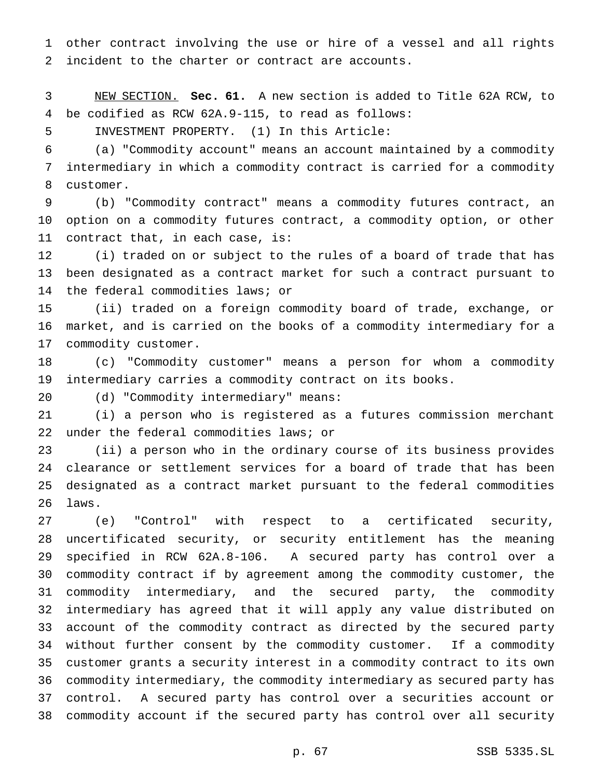other contract involving the use or hire of a vessel and all rights incident to the charter or contract are accounts.

 NEW SECTION. **Sec. 61.** A new section is added to Title 62A RCW, to be codified as RCW 62A.9-115, to read as follows:

INVESTMENT PROPERTY. (1) In this Article:

 (a) "Commodity account" means an account maintained by a commodity intermediary in which a commodity contract is carried for a commodity customer.

 (b) "Commodity contract" means a commodity futures contract, an option on a commodity futures contract, a commodity option, or other contract that, in each case, is:

 (i) traded on or subject to the rules of a board of trade that has been designated as a contract market for such a contract pursuant to the federal commodities laws; or

 (ii) traded on a foreign commodity board of trade, exchange, or market, and is carried on the books of a commodity intermediary for a commodity customer.

 (c) "Commodity customer" means a person for whom a commodity intermediary carries a commodity contract on its books.

(d) "Commodity intermediary" means:

 (i) a person who is registered as a futures commission merchant under the federal commodities laws; or

 (ii) a person who in the ordinary course of its business provides clearance or settlement services for a board of trade that has been designated as a contract market pursuant to the federal commodities laws.

 (e) "Control" with respect to a certificated security, uncertificated security, or security entitlement has the meaning specified in RCW 62A.8-106. A secured party has control over a commodity contract if by agreement among the commodity customer, the commodity intermediary, and the secured party, the commodity intermediary has agreed that it will apply any value distributed on account of the commodity contract as directed by the secured party without further consent by the commodity customer. If a commodity customer grants a security interest in a commodity contract to its own commodity intermediary, the commodity intermediary as secured party has control. A secured party has control over a securities account or commodity account if the secured party has control over all security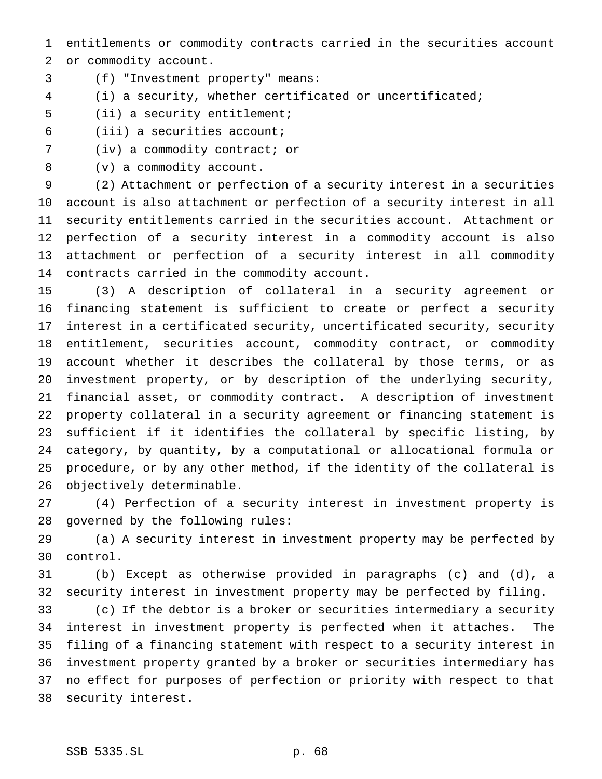entitlements or commodity contracts carried in the securities account

or commodity account.

- (f) "Investment property" means:
- (i) a security, whether certificated or uncertificated;

(ii) a security entitlement;

- (iii) a securities account;
- (iv) a commodity contract; or
- (v) a commodity account.

 (2) Attachment or perfection of a security interest in a securities account is also attachment or perfection of a security interest in all security entitlements carried in the securities account. Attachment or perfection of a security interest in a commodity account is also attachment or perfection of a security interest in all commodity contracts carried in the commodity account.

 (3) A description of collateral in a security agreement or financing statement is sufficient to create or perfect a security interest in a certificated security, uncertificated security, security entitlement, securities account, commodity contract, or commodity account whether it describes the collateral by those terms, or as investment property, or by description of the underlying security, financial asset, or commodity contract. A description of investment property collateral in a security agreement or financing statement is sufficient if it identifies the collateral by specific listing, by category, by quantity, by a computational or allocational formula or procedure, or by any other method, if the identity of the collateral is objectively determinable.

 (4) Perfection of a security interest in investment property is governed by the following rules:

 (a) A security interest in investment property may be perfected by control.

 (b) Except as otherwise provided in paragraphs (c) and (d), a security interest in investment property may be perfected by filing.

 (c) If the debtor is a broker or securities intermediary a security interest in investment property is perfected when it attaches. The filing of a financing statement with respect to a security interest in investment property granted by a broker or securities intermediary has no effect for purposes of perfection or priority with respect to that security interest.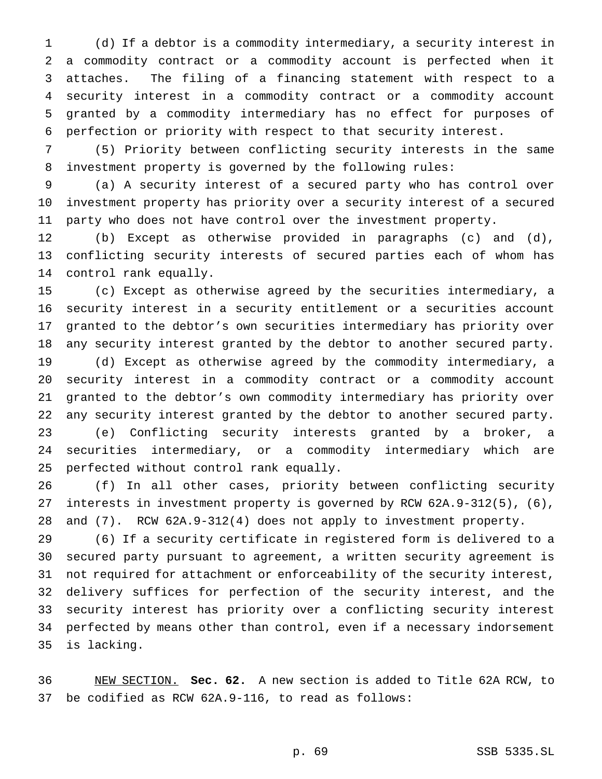(d) If a debtor is a commodity intermediary, a security interest in a commodity contract or a commodity account is perfected when it attaches. The filing of a financing statement with respect to a security interest in a commodity contract or a commodity account granted by a commodity intermediary has no effect for purposes of perfection or priority with respect to that security interest.

 (5) Priority between conflicting security interests in the same investment property is governed by the following rules:

 (a) A security interest of a secured party who has control over investment property has priority over a security interest of a secured party who does not have control over the investment property.

 (b) Except as otherwise provided in paragraphs (c) and (d), conflicting security interests of secured parties each of whom has control rank equally.

 (c) Except as otherwise agreed by the securities intermediary, a security interest in a security entitlement or a securities account granted to the debtor's own securities intermediary has priority over any security interest granted by the debtor to another secured party. (d) Except as otherwise agreed by the commodity intermediary, a security interest in a commodity contract or a commodity account granted to the debtor's own commodity intermediary has priority over any security interest granted by the debtor to another secured party. (e) Conflicting security interests granted by a broker, a securities intermediary, or a commodity intermediary which are perfected without control rank equally.

 (f) In all other cases, priority between conflicting security interests in investment property is governed by RCW 62A.9-312(5), (6), and (7). RCW 62A.9-312(4) does not apply to investment property.

 (6) If a security certificate in registered form is delivered to a secured party pursuant to agreement, a written security agreement is not required for attachment or enforceability of the security interest, delivery suffices for perfection of the security interest, and the security interest has priority over a conflicting security interest perfected by means other than control, even if a necessary indorsement is lacking.

 NEW SECTION. **Sec. 62.** A new section is added to Title 62A RCW, to be codified as RCW 62A.9-116, to read as follows: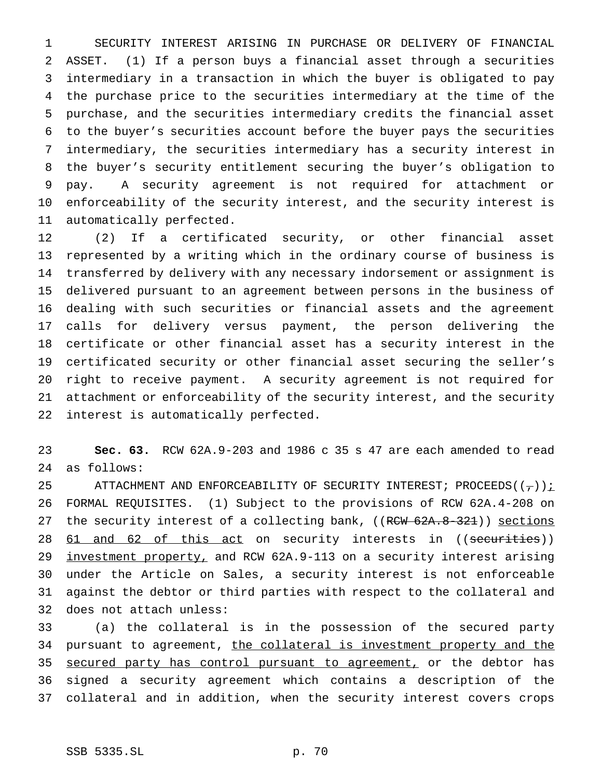SECURITY INTEREST ARISING IN PURCHASE OR DELIVERY OF FINANCIAL ASSET. (1) If a person buys a financial asset through a securities intermediary in a transaction in which the buyer is obligated to pay the purchase price to the securities intermediary at the time of the purchase, and the securities intermediary credits the financial asset to the buyer's securities account before the buyer pays the securities intermediary, the securities intermediary has a security interest in the buyer's security entitlement securing the buyer's obligation to pay. A security agreement is not required for attachment or enforceability of the security interest, and the security interest is automatically perfected.

 (2) If a certificated security, or other financial asset represented by a writing which in the ordinary course of business is transferred by delivery with any necessary indorsement or assignment is delivered pursuant to an agreement between persons in the business of dealing with such securities or financial assets and the agreement calls for delivery versus payment, the person delivering the certificate or other financial asset has a security interest in the certificated security or other financial asset securing the seller's right to receive payment. A security agreement is not required for attachment or enforceability of the security interest, and the security interest is automatically perfected.

 **Sec. 63.** RCW 62A.9-203 and 1986 c 35 s 47 are each amended to read as follows:

25 ATTACHMENT AND ENFORCEABILITY OF SECURITY INTEREST; PROCEEDS( $(\tau)$ )  $\geq$  FORMAL REQUISITES. (1) Subject to the provisions of RCW 62A.4-208 on 27 the security interest of a collecting bank, ((RCW 62A.8-321)) sections 28 <u>61 and 62 of this act</u> on security interests in ((securities)) investment property, and RCW 62A.9-113 on a security interest arising under the Article on Sales, a security interest is not enforceable against the debtor or third parties with respect to the collateral and does not attach unless:

 (a) the collateral is in the possession of the secured party 34 pursuant to agreement, the collateral is investment property and the 35 secured party has control pursuant to agreement, or the debtor has signed a security agreement which contains a description of the collateral and in addition, when the security interest covers crops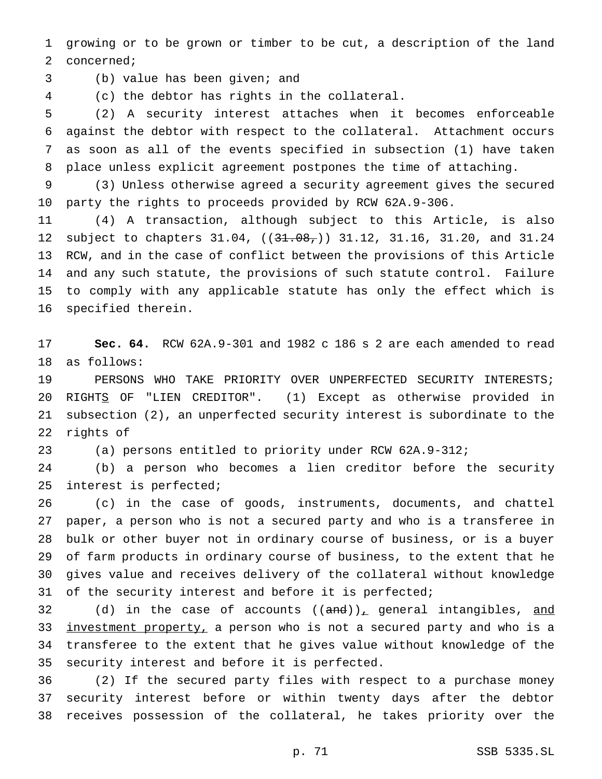growing or to be grown or timber to be cut, a description of the land concerned;

(b) value has been given; and

(c) the debtor has rights in the collateral.

 (2) A security interest attaches when it becomes enforceable against the debtor with respect to the collateral. Attachment occurs as soon as all of the events specified in subsection (1) have taken place unless explicit agreement postpones the time of attaching.

 (3) Unless otherwise agreed a security agreement gives the secured party the rights to proceeds provided by RCW 62A.9-306.

 (4) A transaction, although subject to this Article, is also 12 subject to chapters 31.04, ((31.08,)) 31.12, 31.16, 31.20, and 31.24 RCW, and in the case of conflict between the provisions of this Article and any such statute, the provisions of such statute control. Failure to comply with any applicable statute has only the effect which is specified therein.

 **Sec. 64.** RCW 62A.9-301 and 1982 c 186 s 2 are each amended to read as follows:

 PERSONS WHO TAKE PRIORITY OVER UNPERFECTED SECURITY INTERESTS; RIGHTS OF "LIEN CREDITOR". (1) Except as otherwise provided in subsection (2), an unperfected security interest is subordinate to the rights of

(a) persons entitled to priority under RCW 62A.9-312;

 (b) a person who becomes a lien creditor before the security interest is perfected;

 (c) in the case of goods, instruments, documents, and chattel paper, a person who is not a secured party and who is a transferee in bulk or other buyer not in ordinary course of business, or is a buyer of farm products in ordinary course of business, to the extent that he gives value and receives delivery of the collateral without knowledge 31 of the security interest and before it is perfected;

32 (d) in the case of accounts  $((and))_{\text{L}}$  general intangibles, and 33 investment property, a person who is not a secured party and who is a transferee to the extent that he gives value without knowledge of the security interest and before it is perfected.

 (2) If the secured party files with respect to a purchase money security interest before or within twenty days after the debtor receives possession of the collateral, he takes priority over the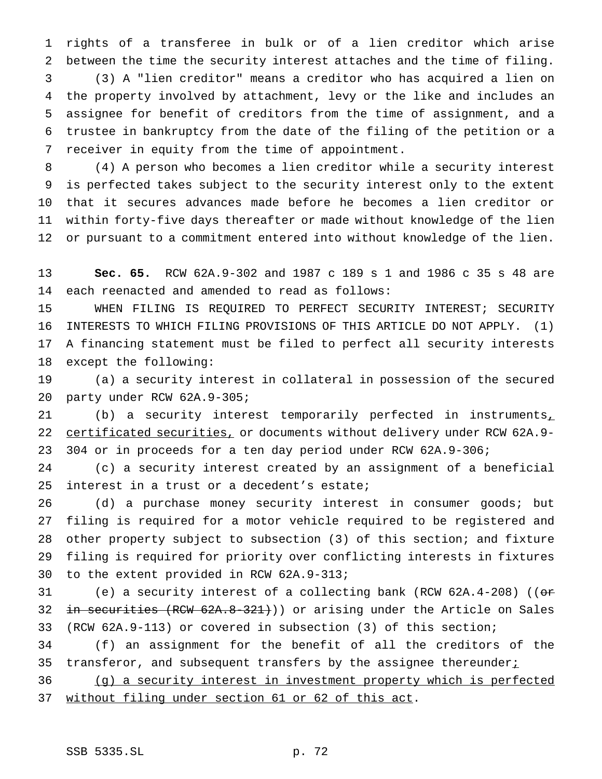rights of a transferee in bulk or of a lien creditor which arise between the time the security interest attaches and the time of filing. (3) A "lien creditor" means a creditor who has acquired a lien on the property involved by attachment, levy or the like and includes an assignee for benefit of creditors from the time of assignment, and a trustee in bankruptcy from the date of the filing of the petition or a receiver in equity from the time of appointment.

 (4) A person who becomes a lien creditor while a security interest is perfected takes subject to the security interest only to the extent that it secures advances made before he becomes a lien creditor or within forty-five days thereafter or made without knowledge of the lien or pursuant to a commitment entered into without knowledge of the lien.

 **Sec. 65.** RCW 62A.9-302 and 1987 c 189 s 1 and 1986 c 35 s 48 are each reenacted and amended to read as follows:

 WHEN FILING IS REQUIRED TO PERFECT SECURITY INTEREST; SECURITY INTERESTS TO WHICH FILING PROVISIONS OF THIS ARTICLE DO NOT APPLY. (1) A financing statement must be filed to perfect all security interests except the following:

 (a) a security interest in collateral in possession of the secured party under RCW 62A.9-305;

21 (b) a security interest temporarily perfected in instruments<sub>1</sub> certificated securities, or documents without delivery under RCW 62A.9- 304 or in proceeds for a ten day period under RCW 62A.9-306;

 (c) a security interest created by an assignment of a beneficial interest in a trust or a decedent's estate;

 (d) a purchase money security interest in consumer goods; but filing is required for a motor vehicle required to be registered and other property subject to subsection (3) of this section; and fixture filing is required for priority over conflicting interests in fixtures to the extent provided in RCW 62A.9-313;

31 (e) a security interest of a collecting bank (RCW 62A.4-208) (( $\sigma$ reform) 32 in securities (RCW 62A.8-321)) or arising under the Article on Sales (RCW 62A.9-113) or covered in subsection (3) of this section;

 (f) an assignment for the benefit of all the creditors of the 35 transferor, and subsequent transfers by the assignee thereunder $$ 

 (g) a security interest in investment property which is perfected without filing under section 61 or 62 of this act.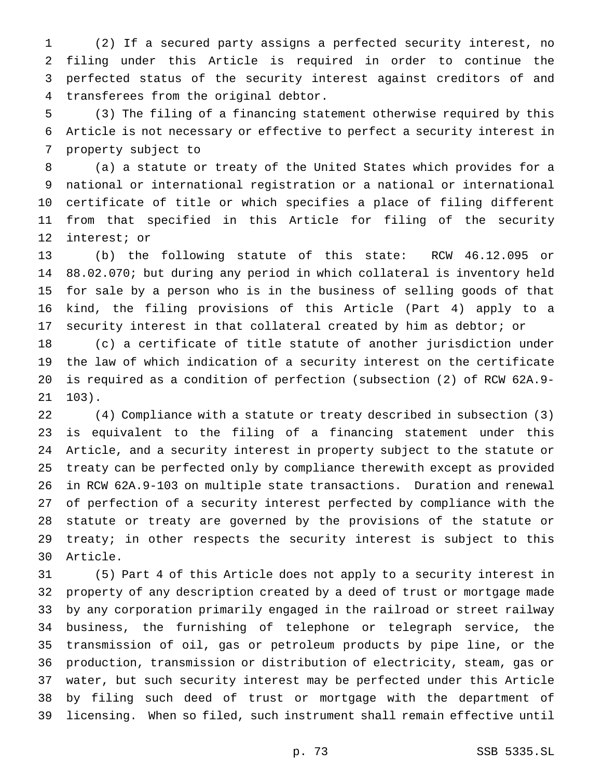(2) If a secured party assigns a perfected security interest, no filing under this Article is required in order to continue the perfected status of the security interest against creditors of and transferees from the original debtor.

 (3) The filing of a financing statement otherwise required by this Article is not necessary or effective to perfect a security interest in property subject to

 (a) a statute or treaty of the United States which provides for a national or international registration or a national or international certificate of title or which specifies a place of filing different from that specified in this Article for filing of the security interest; or

 (b) the following statute of this state: RCW 46.12.095 or 88.02.070; but during any period in which collateral is inventory held for sale by a person who is in the business of selling goods of that kind, the filing provisions of this Article (Part 4) apply to a security interest in that collateral created by him as debtor; or

 (c) a certificate of title statute of another jurisdiction under the law of which indication of a security interest on the certificate is required as a condition of perfection (subsection (2) of RCW 62A.9- 103).

 (4) Compliance with a statute or treaty described in subsection (3) is equivalent to the filing of a financing statement under this Article, and a security interest in property subject to the statute or treaty can be perfected only by compliance therewith except as provided in RCW 62A.9-103 on multiple state transactions. Duration and renewal of perfection of a security interest perfected by compliance with the statute or treaty are governed by the provisions of the statute or treaty; in other respects the security interest is subject to this Article.

 (5) Part 4 of this Article does not apply to a security interest in property of any description created by a deed of trust or mortgage made by any corporation primarily engaged in the railroad or street railway business, the furnishing of telephone or telegraph service, the transmission of oil, gas or petroleum products by pipe line, or the production, transmission or distribution of electricity, steam, gas or water, but such security interest may be perfected under this Article by filing such deed of trust or mortgage with the department of licensing. When so filed, such instrument shall remain effective until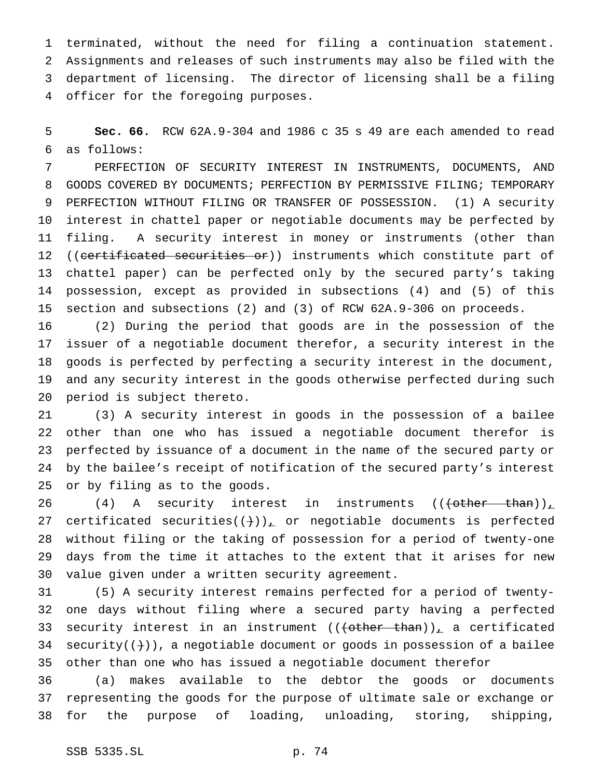terminated, without the need for filing a continuation statement. Assignments and releases of such instruments may also be filed with the department of licensing. The director of licensing shall be a filing officer for the foregoing purposes.

 **Sec. 66.** RCW 62A.9-304 and 1986 c 35 s 49 are each amended to read as follows:

 PERFECTION OF SECURITY INTEREST IN INSTRUMENTS, DOCUMENTS, AND GOODS COVERED BY DOCUMENTS; PERFECTION BY PERMISSIVE FILING; TEMPORARY PERFECTION WITHOUT FILING OR TRANSFER OF POSSESSION. (1) A security interest in chattel paper or negotiable documents may be perfected by filing. A security interest in money or instruments (other than 12 ((certificated securities or)) instruments which constitute part of chattel paper) can be perfected only by the secured party's taking possession, except as provided in subsections (4) and (5) of this section and subsections (2) and (3) of RCW 62A.9-306 on proceeds.

 (2) During the period that goods are in the possession of the issuer of a negotiable document therefor, a security interest in the goods is perfected by perfecting a security interest in the document, and any security interest in the goods otherwise perfected during such period is subject thereto.

 (3) A security interest in goods in the possession of a bailee other than one who has issued a negotiable document therefor is perfected by issuance of a document in the name of the secured party or by the bailee's receipt of notification of the secured party's interest or by filing as to the goods.

26 (4) A security interest in instruments  $((60 + 1)$ , 27 certificated securities $((+))_+$  or negotiable documents is perfected without filing or the taking of possession for a period of twenty-one days from the time it attaches to the extent that it arises for new value given under a written security agreement.

 (5) A security interest remains perfected for a period of twenty- one days without filing where a secured party having a perfected 33 security interest in an instrument  $((\text{other than}))_{\perp}$  a certificated 34 security( $(+)$ ), a negotiable document or goods in possession of a bailee other than one who has issued a negotiable document therefor

 (a) makes available to the debtor the goods or documents representing the goods for the purpose of ultimate sale or exchange or for the purpose of loading, unloading, storing, shipping,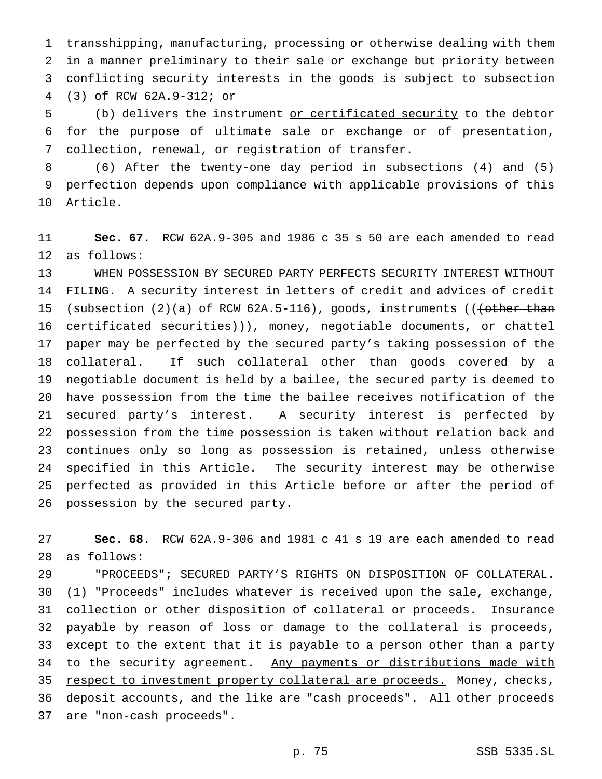transshipping, manufacturing, processing or otherwise dealing with them in a manner preliminary to their sale or exchange but priority between conflicting security interests in the goods is subject to subsection (3) of RCW 62A.9-312; or

 (b) delivers the instrument or certificated security to the debtor for the purpose of ultimate sale or exchange or of presentation, collection, renewal, or registration of transfer.

 (6) After the twenty-one day period in subsections (4) and (5) perfection depends upon compliance with applicable provisions of this Article.

 **Sec. 67.** RCW 62A.9-305 and 1986 c 35 s 50 are each amended to read as follows:

 WHEN POSSESSION BY SECURED PARTY PERFECTS SECURITY INTEREST WITHOUT FILING. A security interest in letters of credit and advices of credit 15 (subsection (2)(a) of RCW 62A.5-116), goods, instruments ((<del>(other than</del> 16 certificated securities))), money, negotiable documents, or chattel paper may be perfected by the secured party's taking possession of the collateral. If such collateral other than goods covered by a negotiable document is held by a bailee, the secured party is deemed to have possession from the time the bailee receives notification of the secured party's interest. A security interest is perfected by possession from the time possession is taken without relation back and continues only so long as possession is retained, unless otherwise specified in this Article. The security interest may be otherwise perfected as provided in this Article before or after the period of possession by the secured party.

 **Sec. 68.** RCW 62A.9-306 and 1981 c 41 s 19 are each amended to read as follows:

 "PROCEEDS"; SECURED PARTY'S RIGHTS ON DISPOSITION OF COLLATERAL. (1) "Proceeds" includes whatever is received upon the sale, exchange, collection or other disposition of collateral or proceeds. Insurance payable by reason of loss or damage to the collateral is proceeds, except to the extent that it is payable to a person other than a party 34 to the security agreement. Any payments or distributions made with 35 respect to investment property collateral are proceeds. Money, checks, deposit accounts, and the like are "cash proceeds". All other proceeds are "non-cash proceeds".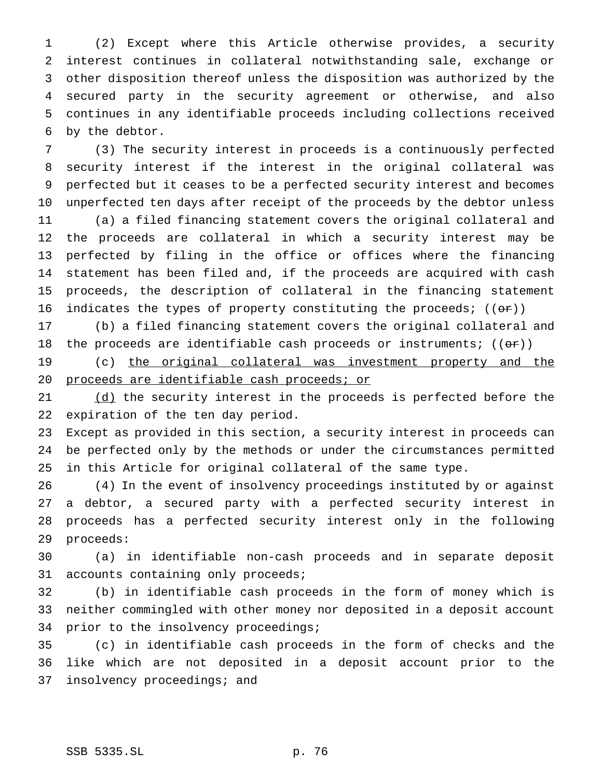(2) Except where this Article otherwise provides, a security interest continues in collateral notwithstanding sale, exchange or other disposition thereof unless the disposition was authorized by the secured party in the security agreement or otherwise, and also continues in any identifiable proceeds including collections received by the debtor.

 (3) The security interest in proceeds is a continuously perfected security interest if the interest in the original collateral was perfected but it ceases to be a perfected security interest and becomes unperfected ten days after receipt of the proceeds by the debtor unless (a) a filed financing statement covers the original collateral and the proceeds are collateral in which a security interest may be perfected by filing in the office or offices where the financing statement has been filed and, if the proceeds are acquired with cash proceeds, the description of collateral in the financing statement 16 indicates the types of property constituting the proceeds;  $((\theta \cdot \mathbf{r}))$ 

 (b) a filed financing statement covers the original collateral and 18 the proceeds are identifiable cash proceeds or instruments;  $((\theta \cdot \mathbf{r}))$ 

19 (c) the original collateral was investment property and the proceeds are identifiable cash proceeds; or

21 (d) the security interest in the proceeds is perfected before the expiration of the ten day period.

 Except as provided in this section, a security interest in proceeds can be perfected only by the methods or under the circumstances permitted in this Article for original collateral of the same type.

 (4) In the event of insolvency proceedings instituted by or against a debtor, a secured party with a perfected security interest in proceeds has a perfected security interest only in the following proceeds:

 (a) in identifiable non-cash proceeds and in separate deposit accounts containing only proceeds;

 (b) in identifiable cash proceeds in the form of money which is neither commingled with other money nor deposited in a deposit account prior to the insolvency proceedings;

 (c) in identifiable cash proceeds in the form of checks and the like which are not deposited in a deposit account prior to the 37 insolvency proceedings; and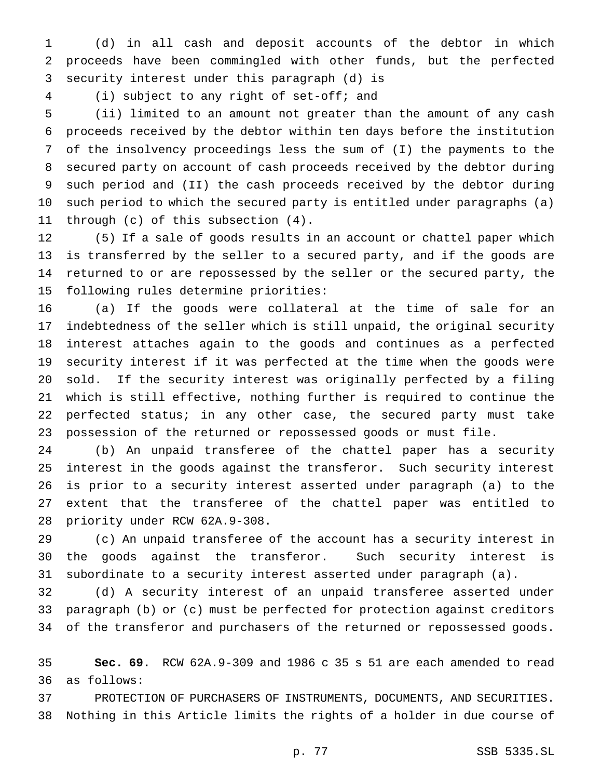(d) in all cash and deposit accounts of the debtor in which proceeds have been commingled with other funds, but the perfected security interest under this paragraph (d) is

(i) subject to any right of set-off; and

 (ii) limited to an amount not greater than the amount of any cash proceeds received by the debtor within ten days before the institution of the insolvency proceedings less the sum of (I) the payments to the secured party on account of cash proceeds received by the debtor during such period and (II) the cash proceeds received by the debtor during such period to which the secured party is entitled under paragraphs (a) through (c) of this subsection (4).

 (5) If a sale of goods results in an account or chattel paper which is transferred by the seller to a secured party, and if the goods are returned to or are repossessed by the seller or the secured party, the following rules determine priorities:

 (a) If the goods were collateral at the time of sale for an indebtedness of the seller which is still unpaid, the original security interest attaches again to the goods and continues as a perfected security interest if it was perfected at the time when the goods were sold. If the security interest was originally perfected by a filing which is still effective, nothing further is required to continue the perfected status; in any other case, the secured party must take possession of the returned or repossessed goods or must file.

 (b) An unpaid transferee of the chattel paper has a security interest in the goods against the transferor. Such security interest is prior to a security interest asserted under paragraph (a) to the extent that the transferee of the chattel paper was entitled to priority under RCW 62A.9-308.

 (c) An unpaid transferee of the account has a security interest in the goods against the transferor. Such security interest is subordinate to a security interest asserted under paragraph (a).

 (d) A security interest of an unpaid transferee asserted under paragraph (b) or (c) must be perfected for protection against creditors of the transferor and purchasers of the returned or repossessed goods.

 **Sec. 69.** RCW 62A.9-309 and 1986 c 35 s 51 are each amended to read as follows:

 PROTECTION OF PURCHASERS OF INSTRUMENTS, DOCUMENTS, AND SECURITIES. Nothing in this Article limits the rights of a holder in due course of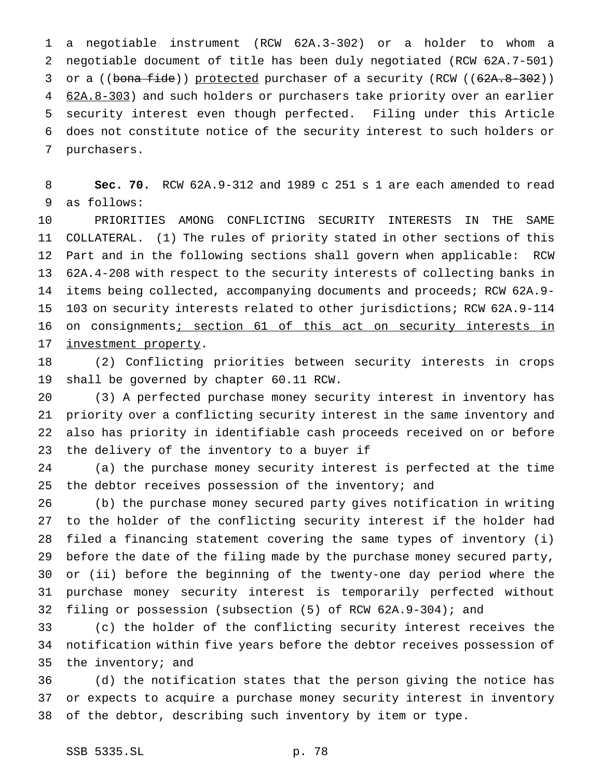a negotiable instrument (RCW 62A.3-302) or a holder to whom a negotiable document of title has been duly negotiated (RCW 62A.7-501) 3 or a ((bona fide)) protected purchaser of a security (RCW ((62A.8-302)) 62A.8-303) and such holders or purchasers take priority over an earlier security interest even though perfected. Filing under this Article does not constitute notice of the security interest to such holders or purchasers.

 **Sec. 70.** RCW 62A.9-312 and 1989 c 251 s 1 are each amended to read as follows:

 PRIORITIES AMONG CONFLICTING SECURITY INTERESTS IN THE SAME COLLATERAL. (1) The rules of priority stated in other sections of this Part and in the following sections shall govern when applicable: RCW 62A.4-208 with respect to the security interests of collecting banks in items being collected, accompanying documents and proceeds; RCW 62A.9- 103 on security interests related to other jurisdictions; RCW 62A.9-114 16 on consignments; section 61 of this act on security interests in 17 investment property.

 (2) Conflicting priorities between security interests in crops shall be governed by chapter 60.11 RCW.

 (3) A perfected purchase money security interest in inventory has priority over a conflicting security interest in the same inventory and also has priority in identifiable cash proceeds received on or before the delivery of the inventory to a buyer if

 (a) the purchase money security interest is perfected at the time 25 the debtor receives possession of the inventory; and

 (b) the purchase money secured party gives notification in writing to the holder of the conflicting security interest if the holder had filed a financing statement covering the same types of inventory (i) before the date of the filing made by the purchase money secured party, or (ii) before the beginning of the twenty-one day period where the purchase money security interest is temporarily perfected without filing or possession (subsection (5) of RCW 62A.9-304); and

 (c) the holder of the conflicting security interest receives the notification within five years before the debtor receives possession of the inventory; and

 (d) the notification states that the person giving the notice has or expects to acquire a purchase money security interest in inventory of the debtor, describing such inventory by item or type.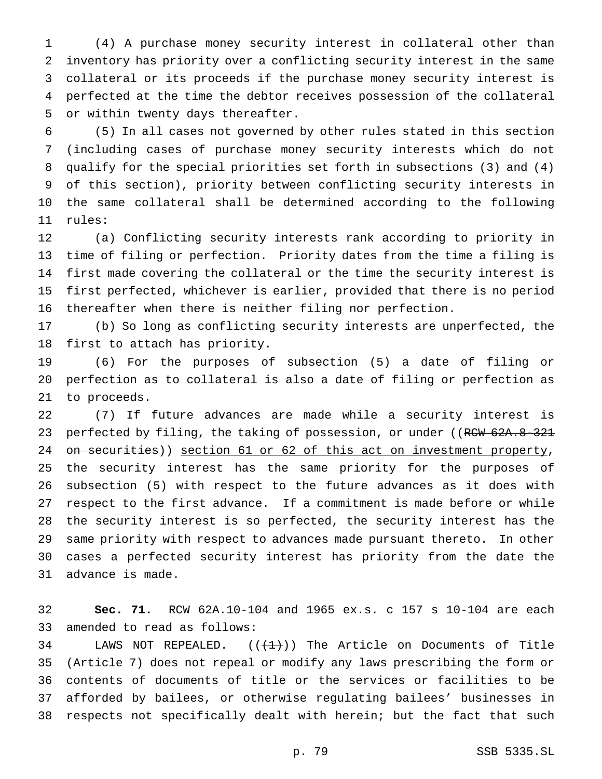(4) A purchase money security interest in collateral other than inventory has priority over a conflicting security interest in the same collateral or its proceeds if the purchase money security interest is perfected at the time the debtor receives possession of the collateral or within twenty days thereafter.

 (5) In all cases not governed by other rules stated in this section (including cases of purchase money security interests which do not qualify for the special priorities set forth in subsections (3) and (4) of this section), priority between conflicting security interests in the same collateral shall be determined according to the following rules:

 (a) Conflicting security interests rank according to priority in time of filing or perfection. Priority dates from the time a filing is first made covering the collateral or the time the security interest is first perfected, whichever is earlier, provided that there is no period thereafter when there is neither filing nor perfection.

 (b) So long as conflicting security interests are unperfected, the first to attach has priority.

 (6) For the purposes of subsection (5) a date of filing or perfection as to collateral is also a date of filing or perfection as to proceeds.

 (7) If future advances are made while a security interest is 23 perfected by filing, the taking of possession, or under ((RCW 62A.8-321 24 on securities)) section 61 or 62 of this act on investment property, the security interest has the same priority for the purposes of subsection (5) with respect to the future advances as it does with respect to the first advance. If a commitment is made before or while the security interest is so perfected, the security interest has the same priority with respect to advances made pursuant thereto. In other cases a perfected security interest has priority from the date the advance is made.

 **Sec. 71.** RCW 62A.10-104 and 1965 ex.s. c 157 s 10-104 are each amended to read as follows:

34 LAWS NOT REPEALED.  $((+1)^2)$  The Article on Documents of Title (Article 7) does not repeal or modify any laws prescribing the form or contents of documents of title or the services or facilities to be afforded by bailees, or otherwise regulating bailees' businesses in respects not specifically dealt with herein; but the fact that such